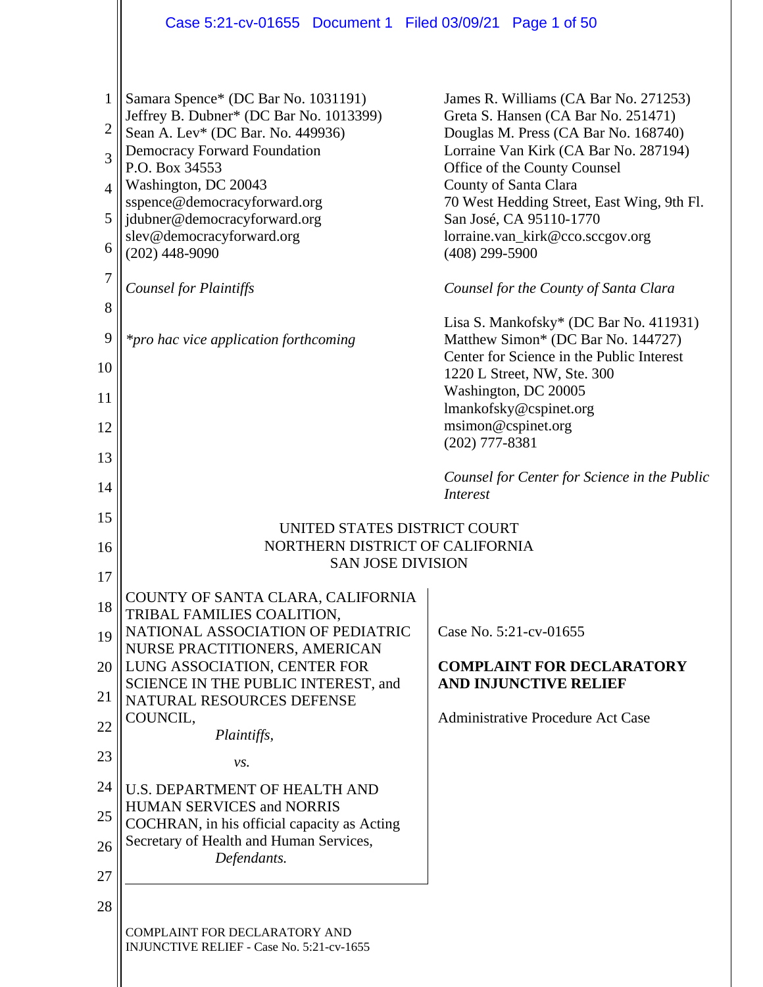|                | Case 5:21-cv-01655 Document 1 Filed 03/09/21 Page 1 of 50                      |                                                                              |  |  |
|----------------|--------------------------------------------------------------------------------|------------------------------------------------------------------------------|--|--|
|                |                                                                                |                                                                              |  |  |
| 1              | Samara Spence* (DC Bar No. 1031191)<br>Jeffrey B. Dubner* (DC Bar No. 1013399) | James R. Williams (CA Bar No. 271253)<br>Greta S. Hansen (CA Bar No. 251471) |  |  |
| $\overline{2}$ | Sean A. Lev* (DC Bar. No. 449936)                                              | Douglas M. Press (CA Bar No. 168740)                                         |  |  |
| 3              | <b>Democracy Forward Foundation</b><br>P.O. Box 34553                          | Lorraine Van Kirk (CA Bar No. 287194)<br>Office of the County Counsel        |  |  |
| $\overline{4}$ | Washington, DC 20043<br>sspence@democracyforward.org                           | County of Santa Clara<br>70 West Hedding Street, East Wing, 9th Fl.          |  |  |
| 5              | jdubner@democracyforward.org                                                   | San José, CA 95110-1770                                                      |  |  |
| 6              | slev@democracyforward.org<br>$(202)$ 448-9090                                  | lorraine.van_kirk@cco.sccgov.org<br>$(408)$ 299-5900                         |  |  |
| $\tau$         | <b>Counsel for Plaintiffs</b>                                                  | Counsel for the County of Santa Clara                                        |  |  |
| 8<br>9         | <i>*pro hac vice application forthcoming</i>                                   | Lisa S. Mankofsky* (DC Bar No. 411931)<br>Matthew Simon* (DC Bar No. 144727) |  |  |
| 10             |                                                                                | Center for Science in the Public Interest<br>1220 L Street, NW, Ste. 300     |  |  |
| 11             |                                                                                | Washington, DC 20005<br>lmankofsky@cspinet.org                               |  |  |
| 12             |                                                                                | msimon@cspinet.org                                                           |  |  |
| 13             | $(202)$ 777-8381                                                               |                                                                              |  |  |
| 14             |                                                                                | Counsel for Center for Science in the Public<br><i>Interest</i>              |  |  |
| 15             | UNITED STATES DISTRICT COURT                                                   |                                                                              |  |  |
| 16             | NORTHERN DISTRICT OF CALIFORNIA<br><b>SAN JOSE DIVISION</b>                    |                                                                              |  |  |
| 17             |                                                                                |                                                                              |  |  |
| 18             | COUNTY OF SANTA CLARA, CALIFORNIA<br>TRIBAL FAMILIES COALITION,                |                                                                              |  |  |
| 19             | NATIONAL ASSOCIATION OF PEDIATRIC<br>NURSE PRACTITIONERS, AMERICAN             | Case No. 5:21-cv-01655                                                       |  |  |
| 20             | LUNG ASSOCIATION, CENTER FOR                                                   | <b>COMPLAINT FOR DECLARATORY</b>                                             |  |  |
| 21             | SCIENCE IN THE PUBLIC INTEREST, and<br>NATURAL RESOURCES DEFENSE               | <b>AND INJUNCTIVE RELIEF</b>                                                 |  |  |
| 22             | COUNCIL,<br>Plaintiffs,                                                        | Administrative Procedure Act Case                                            |  |  |
| 23             | vs.                                                                            |                                                                              |  |  |
| 24             | <b>U.S. DEPARTMENT OF HEALTH AND</b>                                           |                                                                              |  |  |
| 25             | HUMAN SERVICES and NORRIS<br>COCHRAN, in his official capacity as Acting       |                                                                              |  |  |
| 26             | Secretary of Health and Human Services,                                        |                                                                              |  |  |
| 27             | Defendants.                                                                    |                                                                              |  |  |
| 28             |                                                                                |                                                                              |  |  |
|                | COMPLAINT FOR DECLARATORY AND<br>INJUNCTIVE RELIEF - Case No. 5:21-cv-1655     |                                                                              |  |  |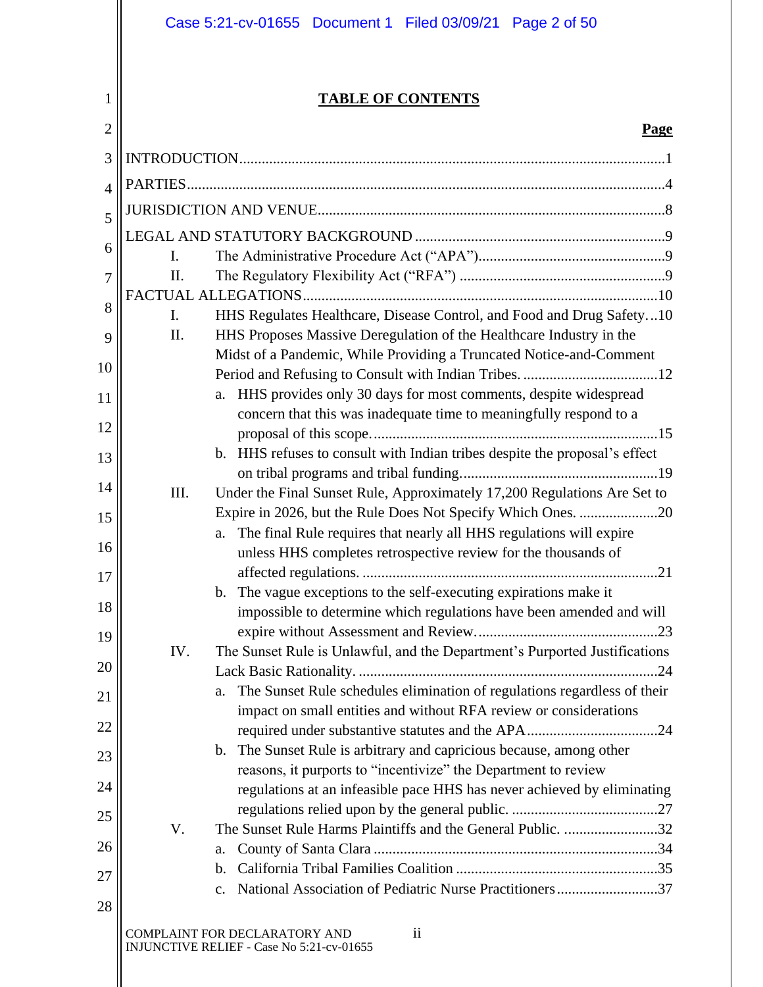|                | Case 5:21-cv-01655 Document 1 Filed 03/09/21 Page 2 of 50                                                                                                             |
|----------------|-----------------------------------------------------------------------------------------------------------------------------------------------------------------------|
|                |                                                                                                                                                                       |
| 1              | <b>TABLE OF CONTENTS</b>                                                                                                                                              |
| $\overline{2}$ | <b>Page</b>                                                                                                                                                           |
| 3              |                                                                                                                                                                       |
| 4              |                                                                                                                                                                       |
| 5              |                                                                                                                                                                       |
|                |                                                                                                                                                                       |
| 6              | Ι.                                                                                                                                                                    |
| 7              | II.                                                                                                                                                                   |
| 8              |                                                                                                                                                                       |
| 9              | HHS Regulates Healthcare, Disease Control, and Food and Drug Safety10<br>$\mathbf{I}$ .<br>HHS Proposes Massive Deregulation of the Healthcare Industry in the<br>II. |
|                | Midst of a Pandemic, While Providing a Truncated Notice-and-Comment                                                                                                   |
| 10             |                                                                                                                                                                       |
| 11             | HHS provides only 30 days for most comments, despite widespread<br>a.                                                                                                 |
| 12             | concern that this was inadequate time to meaningfully respond to a                                                                                                    |
| 13             | b. HHS refuses to consult with Indian tribes despite the proposal's effect                                                                                            |
|                |                                                                                                                                                                       |
| 14             | Under the Final Sunset Rule, Approximately 17,200 Regulations Are Set to<br>III.                                                                                      |
| 15             |                                                                                                                                                                       |
| 16             | The final Rule requires that nearly all HHS regulations will expire<br>a.<br>unless HHS completes retrospective review for the thousands of                           |
| 17             |                                                                                                                                                                       |
|                | The vague exceptions to the self-executing expirations make it<br>$\mathbf{b}$ .                                                                                      |
| 18             | impossible to determine which regulations have been amended and will                                                                                                  |
| 19             |                                                                                                                                                                       |
| 20             | The Sunset Rule is Unlawful, and the Department's Purported Justifications<br>IV.                                                                                     |
| 21             | The Sunset Rule schedules elimination of regulations regardless of their<br>a.                                                                                        |
|                | impact on small entities and without RFA review or considerations                                                                                                     |
| 22             |                                                                                                                                                                       |
| 23             | b. The Sunset Rule is arbitrary and capricious because, among other<br>reasons, it purports to "incentivize" the Department to review                                 |
| 24             | regulations at an infeasible pace HHS has never achieved by eliminating                                                                                               |
| 25             |                                                                                                                                                                       |
|                | The Sunset Rule Harms Plaintiffs and the General Public. 32<br>V.                                                                                                     |
| 26             | a.                                                                                                                                                                    |
| 27             | b.                                                                                                                                                                    |
| 28             | National Association of Pediatric Nurse Practitioners37<br>$\mathbf{c}$ .                                                                                             |
|                | COMPLAINT FOR DECLARATORY AND<br>$\mathbf{ii}$                                                                                                                        |
|                | INJUNCTIVE RELIEF - Case No 5:21-cv-01655                                                                                                                             |
|                |                                                                                                                                                                       |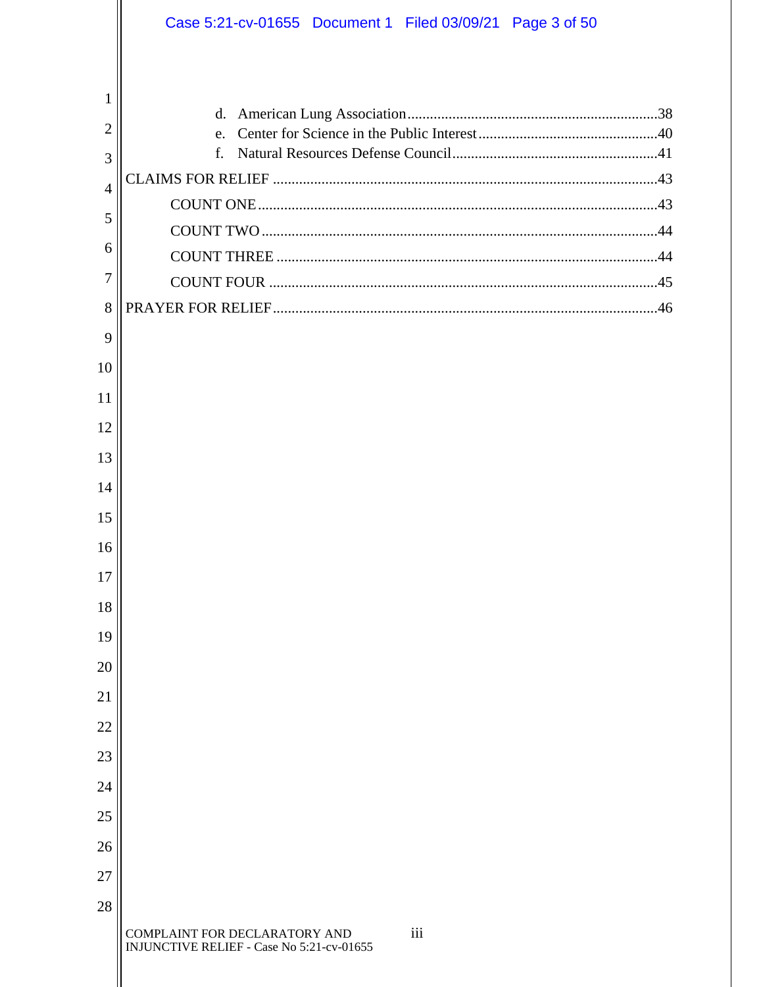|                | Case 5:21-cv-01655 Document 1 Filed 03/09/21 Page 3 of 50                         |
|----------------|-----------------------------------------------------------------------------------|
|                |                                                                                   |
| 1              | d.                                                                                |
| $\overline{2}$ | e.                                                                                |
| 3              |                                                                                   |
| $\overline{4}$ |                                                                                   |
| 5              |                                                                                   |
| 6              |                                                                                   |
| 7              |                                                                                   |
| 8              |                                                                                   |
| 9              |                                                                                   |
| 10             |                                                                                   |
| 11             |                                                                                   |
| 12             |                                                                                   |
| 13             |                                                                                   |
| 14             |                                                                                   |
| 15             |                                                                                   |
| 16             |                                                                                   |
| 17             |                                                                                   |
| 18             |                                                                                   |
| 19             |                                                                                   |
| 20             |                                                                                   |
| 21             |                                                                                   |
| 22             |                                                                                   |
| 23             |                                                                                   |
| 24             |                                                                                   |
| 25             |                                                                                   |
| 26             |                                                                                   |
| 27             |                                                                                   |
| 28             |                                                                                   |
|                | iii<br>COMPLAINT FOR DECLARATORY AND<br>INJUNCTIVE RELIEF - Case No 5:21-cv-01655 |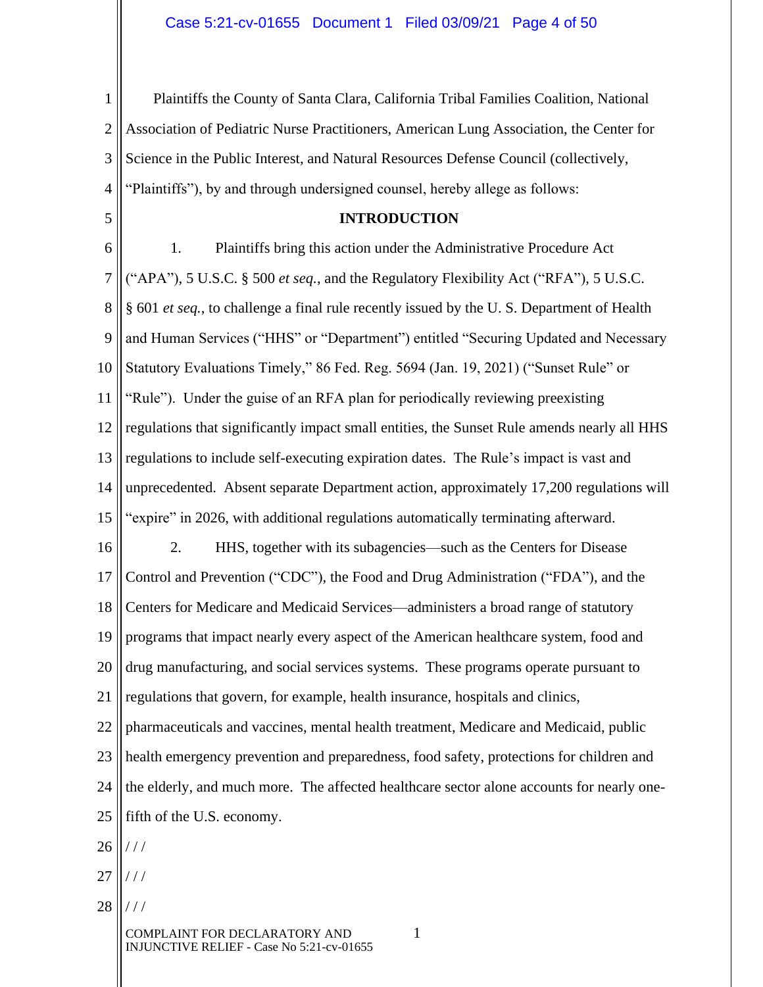1 2 3 4 Plaintiffs the County of Santa Clara, California Tribal Families Coalition, National Association of Pediatric Nurse Practitioners, American Lung Association, the Center for Science in the Public Interest, and Natural Resources Defense Council (collectively, "Plaintiffs"), by and through undersigned counsel, hereby allege as follows:

#### **INTRODUCTION**

6 7 8 9 10 11 12 13 14 15 16 17 18 19 20 21 22 23 24 25 1. Plaintiffs bring this action under the Administrative Procedure Act ("APA"), 5 U.S.C. § 500 *et seq.*, and the Regulatory Flexibility Act ("RFA"), 5 U.S.C. § 601 *et seq.*, to challenge a final rule recently issued by the U. S. Department of Health and Human Services ("HHS" or "Department") entitled "Securing Updated and Necessary Statutory Evaluations Timely," 86 Fed. Reg. 5694 (Jan. 19, 2021) ("Sunset Rule" or "Rule"). Under the guise of an RFA plan for periodically reviewing preexisting regulations that significantly impact small entities, the Sunset Rule amends nearly all HHS regulations to include self-executing expiration dates. The Rule's impact is vast and unprecedented. Absent separate Department action, approximately 17,200 regulations will "expire" in 2026, with additional regulations automatically terminating afterward. 2. HHS, together with its subagencies—such as the Centers for Disease Control and Prevention ("CDC"), the Food and Drug Administration ("FDA"), and the Centers for Medicare and Medicaid Services—administers a broad range of statutory programs that impact nearly every aspect of the American healthcare system, food and drug manufacturing, and social services systems. These programs operate pursuant to regulations that govern, for example, health insurance, hospitals and clinics, pharmaceuticals and vaccines, mental health treatment, Medicare and Medicaid, public health emergency prevention and preparedness, food safety, protections for children and the elderly, and much more. The affected healthcare sector alone accounts for nearly onefifth of the U.S. economy.

26  $//$ 

5

- 27 / / /
- 28 / / /

COMPLAINT FOR DECLARATORY AND 1 INJUNCTIVE RELIEF - Case No 5:21-cv-01655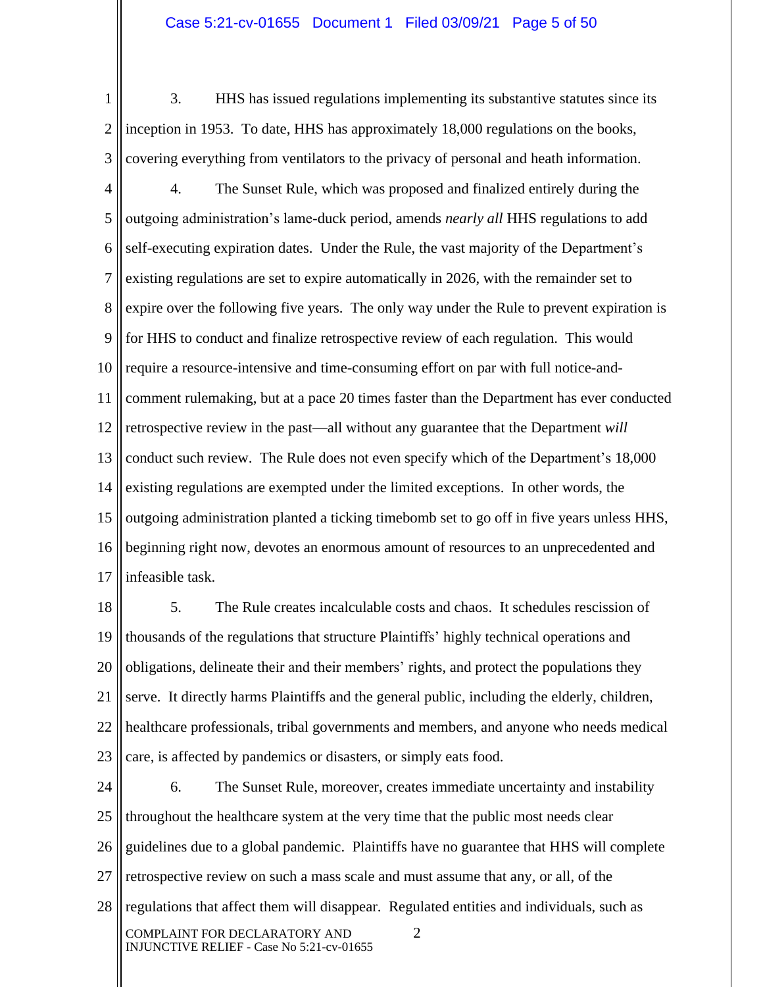#### Case 5:21-cv-01655 Document 1 Filed 03/09/21 Page 5 of 50

1 2 3 3. HHS has issued regulations implementing its substantive statutes since its inception in 1953. To date, HHS has approximately 18,000 regulations on the books, covering everything from ventilators to the privacy of personal and heath information.

4 5 6 7 8 9 10 11 12 13 14 15 16 17 4. The Sunset Rule, which was proposed and finalized entirely during the outgoing administration's lame-duck period, amends *nearly all* HHS regulations to add self-executing expiration dates. Under the Rule, the vast majority of the Department's existing regulations are set to expire automatically in 2026, with the remainder set to expire over the following five years. The only way under the Rule to prevent expiration is for HHS to conduct and finalize retrospective review of each regulation. This would require a resource-intensive and time-consuming effort on par with full notice-andcomment rulemaking, but at a pace 20 times faster than the Department has ever conducted retrospective review in the past—all without any guarantee that the Department *will* conduct such review. The Rule does not even specify which of the Department's 18,000 existing regulations are exempted under the limited exceptions. In other words, the outgoing administration planted a ticking timebomb set to go off in five years unless HHS, beginning right now, devotes an enormous amount of resources to an unprecedented and infeasible task.

18 19 20 21 22 23 5. The Rule creates incalculable costs and chaos. It schedules rescission of thousands of the regulations that structure Plaintiffs' highly technical operations and obligations, delineate their and their members' rights, and protect the populations they serve. It directly harms Plaintiffs and the general public, including the elderly, children, healthcare professionals, tribal governments and members, and anyone who needs medical care, is affected by pandemics or disasters, or simply eats food.

24 25 26 27 28 COMPLAINT FOR DECLARATORY AND 2 INJUNCTIVE RELIEF - Case No 5:21-cv-01655 6. The Sunset Rule, moreover, creates immediate uncertainty and instability throughout the healthcare system at the very time that the public most needs clear guidelines due to a global pandemic. Plaintiffs have no guarantee that HHS will complete retrospective review on such a mass scale and must assume that any, or all, of the regulations that affect them will disappear. Regulated entities and individuals, such as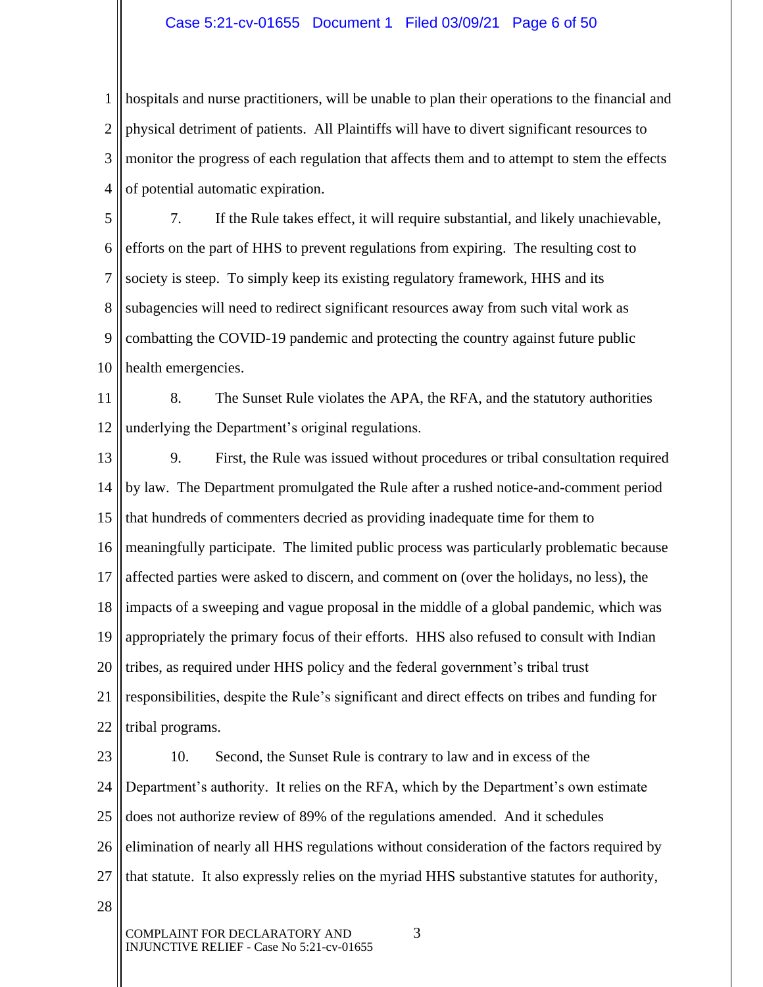#### Case 5:21-cv-01655 Document 1 Filed 03/09/21 Page 6 of 50

1 2 3 4 hospitals and nurse practitioners, will be unable to plan their operations to the financial and physical detriment of patients. All Plaintiffs will have to divert significant resources to monitor the progress of each regulation that affects them and to attempt to stem the effects of potential automatic expiration.

5 6 7 8 9 10 7. If the Rule takes effect, it will require substantial, and likely unachievable, efforts on the part of HHS to prevent regulations from expiring. The resulting cost to society is steep. To simply keep its existing regulatory framework, HHS and its subagencies will need to redirect significant resources away from such vital work as combatting the COVID-19 pandemic and protecting the country against future public health emergencies.

11 12 8. The Sunset Rule violates the APA, the RFA, and the statutory authorities underlying the Department's original regulations.

13 14 15 16 17 18 19 20 21 22 9. First, the Rule was issued without procedures or tribal consultation required by law. The Department promulgated the Rule after a rushed notice-and-comment period that hundreds of commenters decried as providing inadequate time for them to meaningfully participate. The limited public process was particularly problematic because affected parties were asked to discern, and comment on (over the holidays, no less), the impacts of a sweeping and vague proposal in the middle of a global pandemic, which was appropriately the primary focus of their efforts. HHS also refused to consult with Indian tribes, as required under HHS policy and the federal government's tribal trust responsibilities, despite the Rule's significant and direct effects on tribes and funding for tribal programs.

23 24 25 26 27 10. Second, the Sunset Rule is contrary to law and in excess of the Department's authority. It relies on the RFA, which by the Department's own estimate does not authorize review of 89% of the regulations amended. And it schedules elimination of nearly all HHS regulations without consideration of the factors required by that statute. It also expressly relies on the myriad HHS substantive statutes for authority,

28

COMPLAINT FOR DECLARATORY AND 3 INJUNCTIVE RELIEF - Case No 5:21-cv-01655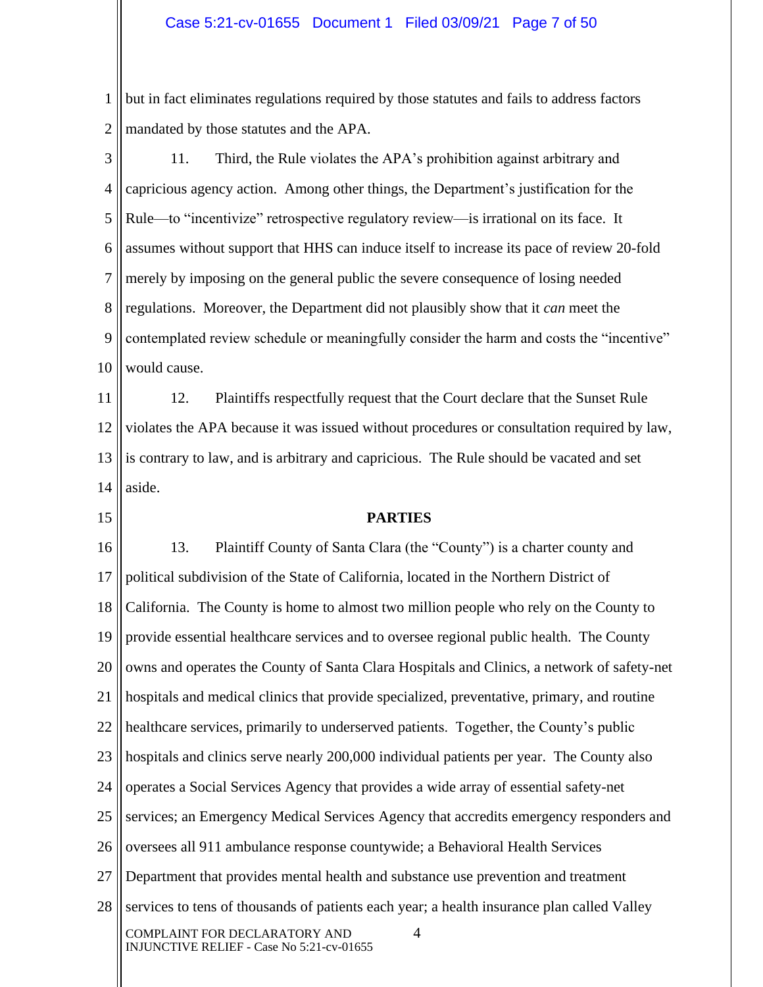1 2 but in fact eliminates regulations required by those statutes and fails to address factors mandated by those statutes and the APA.

3 4 5 6 7 8 9 10 11. Third, the Rule violates the APA's prohibition against arbitrary and capricious agency action. Among other things, the Department's justification for the Rule—to "incentivize" retrospective regulatory review—is irrational on its face. It assumes without support that HHS can induce itself to increase its pace of review 20-fold merely by imposing on the general public the severe consequence of losing needed regulations. Moreover, the Department did not plausibly show that it *can* meet the contemplated review schedule or meaningfully consider the harm and costs the "incentive" would cause.

11 12 13 14 12. Plaintiffs respectfully request that the Court declare that the Sunset Rule violates the APA because it was issued without procedures or consultation required by law, is contrary to law, and is arbitrary and capricious. The Rule should be vacated and set aside.

15

#### **PARTIES**

16 17 18 19 20 21 22 23 24 25 26 27 28 COMPLAINT FOR DECLARATORY AND 4 INJUNCTIVE RELIEF - Case No 5:21-cv-01655 13. Plaintiff County of Santa Clara (the "County") is a charter county and political subdivision of the State of California, located in the Northern District of California. The County is home to almost two million people who rely on the County to provide essential healthcare services and to oversee regional public health. The County owns and operates the County of Santa Clara Hospitals and Clinics, a network of safety-net hospitals and medical clinics that provide specialized, preventative, primary, and routine healthcare services, primarily to underserved patients. Together, the County's public hospitals and clinics serve nearly 200,000 individual patients per year. The County also operates a Social Services Agency that provides a wide array of essential safety-net services; an Emergency Medical Services Agency that accredits emergency responders and oversees all 911 ambulance response countywide; a Behavioral Health Services Department that provides mental health and substance use prevention and treatment services to tens of thousands of patients each year; a health insurance plan called Valley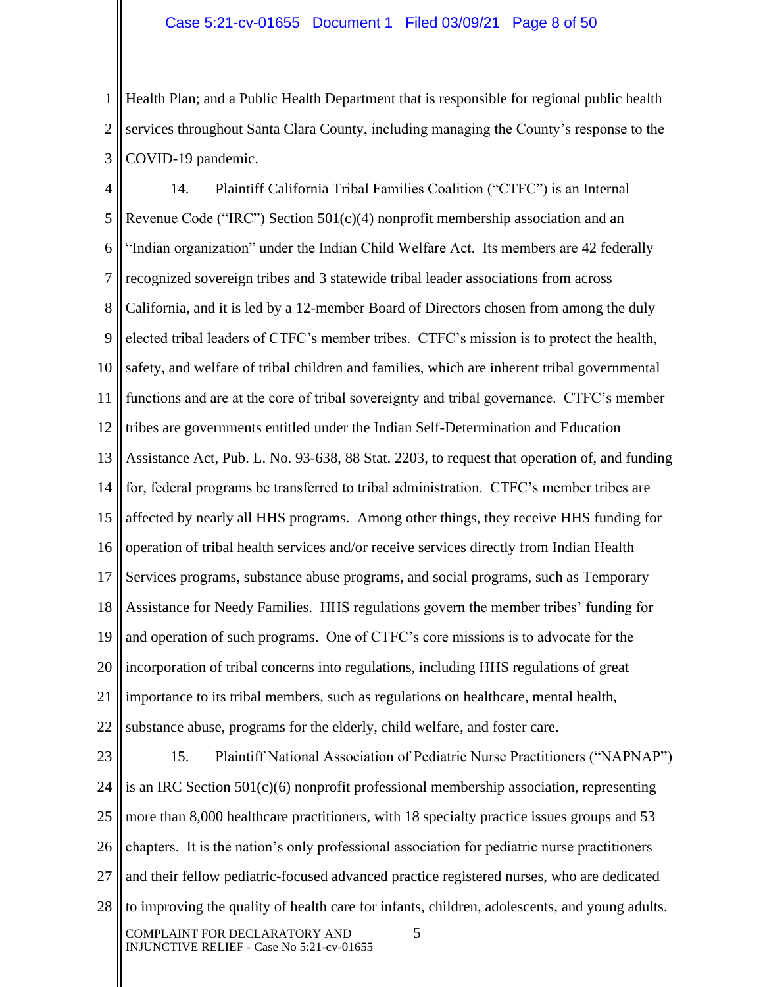1 2 3 Health Plan; and a Public Health Department that is responsible for regional public health services throughout Santa Clara County, including managing the County's response to the COVID-19 pandemic.

4 5 6 7 8 9 10 11 12 13 14 15 16 17 18 19 20 21 22 14. Plaintiff California Tribal Families Coalition ("CTFC") is an Internal Revenue Code ("IRC") Section 501(c)(4) nonprofit membership association and an "Indian organization" under the Indian Child Welfare Act. Its members are 42 federally recognized sovereign tribes and 3 statewide tribal leader associations from across California, and it is led by a 12-member Board of Directors chosen from among the duly elected tribal leaders of CTFC's member tribes. CTFC's mission is to protect the health, safety, and welfare of tribal children and families, which are inherent tribal governmental functions and are at the core of tribal sovereignty and tribal governance. CTFC's member tribes are governments entitled under the Indian Self-Determination and Education Assistance Act, Pub. L. No. 93-638, 88 Stat. 2203, to request that operation of, and funding for, federal programs be transferred to tribal administration. CTFC's member tribes are affected by nearly all HHS programs. Among other things, they receive HHS funding for operation of tribal health services and/or receive services directly from Indian Health Services programs, substance abuse programs, and social programs, such as Temporary Assistance for Needy Families. HHS regulations govern the member tribes' funding for and operation of such programs. One of CTFC's core missions is to advocate for the incorporation of tribal concerns into regulations, including HHS regulations of great importance to its tribal members, such as regulations on healthcare, mental health, substance abuse, programs for the elderly, child welfare, and foster care.

23 24 25 26 27 28 COMPLAINT FOR DECLARATORY AND 5 INJUNCTIVE RELIEF - Case No 5:21-cv-01655 15. Plaintiff National Association of Pediatric Nurse Practitioners ("NAPNAP") is an IRC Section  $501(c)(6)$  nonprofit professional membership association, representing more than 8,000 healthcare practitioners, with 18 specialty practice issues groups and 53 chapters. It is the nation's only professional association for pediatric nurse practitioners and their fellow pediatric-focused advanced practice registered nurses, who are dedicated to improving the quality of health care for infants, children, adolescents, and young adults.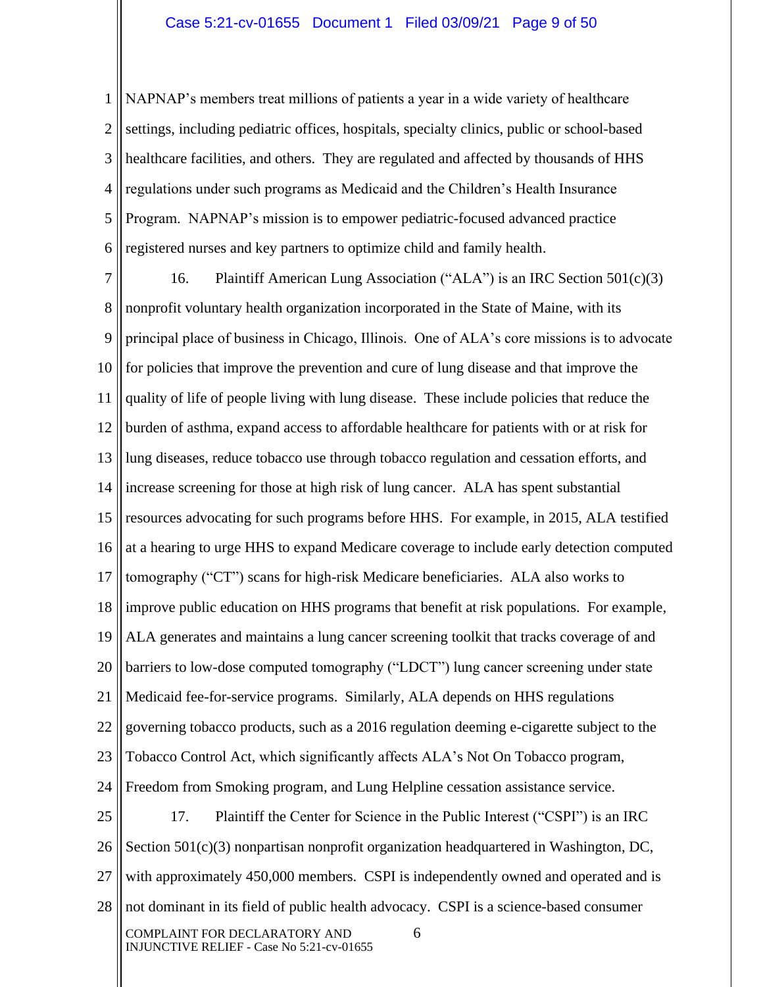1 2 3 4 5 6 NAPNAP's members treat millions of patients a year in a wide variety of healthcare settings, including pediatric offices, hospitals, specialty clinics, public or school-based healthcare facilities, and others. They are regulated and affected by thousands of HHS regulations under such programs as Medicaid and the Children's Health Insurance Program. NAPNAP's mission is to empower pediatric-focused advanced practice registered nurses and key partners to optimize child and family health.

7 8 9 10 11 12 13 14 15 16 17 18 19 20 21 22 23 24 25 26 27 28 16. Plaintiff American Lung Association ("ALA") is an IRC Section  $501(c)(3)$ nonprofit voluntary health organization incorporated in the State of Maine, with its principal place of business in Chicago, Illinois. One of ALA's core missions is to advocate for policies that improve the prevention and cure of lung disease and that improve the quality of life of people living with lung disease. These include policies that reduce the burden of asthma, expand access to affordable healthcare for patients with or at risk for lung diseases, reduce tobacco use through tobacco regulation and cessation efforts, and increase screening for those at high risk of lung cancer. ALA has spent substantial resources advocating for such programs before HHS. For example, in 2015, ALA testified at a hearing to urge HHS to expand Medicare coverage to include early detection computed tomography ("CT") scans for high-risk Medicare beneficiaries. ALA also works to improve public education on HHS programs that benefit at risk populations. For example, ALA generates and maintains a lung cancer screening toolkit that tracks coverage of and barriers to low-dose computed tomography ("LDCT") lung cancer screening under state Medicaid fee-for-service programs. Similarly, ALA depends on HHS regulations governing tobacco products, such as a 2016 regulation deeming e-cigarette subject to the Tobacco Control Act, which significantly affects ALA's Not On Tobacco program, Freedom from Smoking program, and Lung Helpline cessation assistance service. 17. Plaintiff the Center for Science in the Public Interest ("CSPI") is an IRC Section 501(c)(3) nonpartisan nonprofit organization headquartered in Washington, DC, with approximately 450,000 members. CSPI is independently owned and operated and is not dominant in its field of public health advocacy. CSPI is a science-based consumer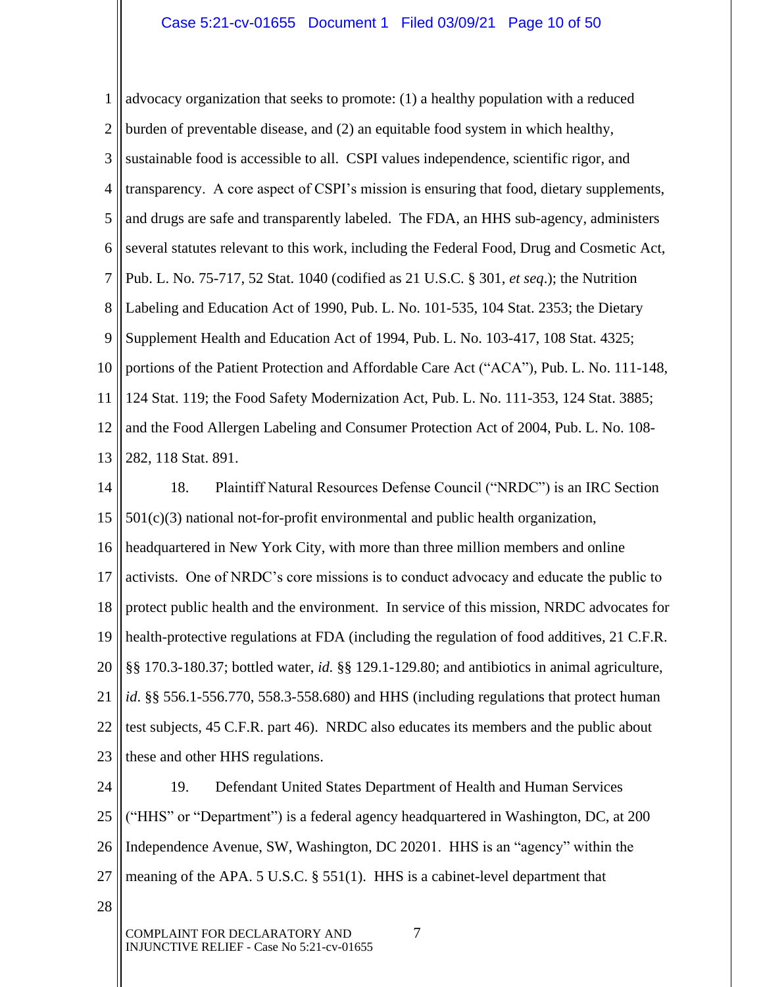1 2 3 4 5 6 7 8 9 10 11 12 13 advocacy organization that seeks to promote: (1) a healthy population with a reduced burden of preventable disease, and (2) an equitable food system in which healthy, sustainable food is accessible to all. CSPI values independence, scientific rigor, and transparency. A core aspect of CSPI's mission is ensuring that food, dietary supplements, and drugs are safe and transparently labeled. The FDA, an HHS sub-agency, administers several statutes relevant to this work, including the Federal Food, Drug and Cosmetic Act, Pub. L. No. 75-717, 52 Stat. 1040 (codified as 21 U.S.C. § 301, *et seq*.); the Nutrition Labeling and Education Act of 1990, Pub. L. No. 101-535, 104 Stat. 2353; the Dietary Supplement Health and Education Act of 1994, Pub. L. No. 103-417, 108 Stat. 4325; portions of the Patient Protection and Affordable Care Act ("ACA"), Pub. L. No. 111-148, 124 Stat. 119; the Food Safety Modernization Act, Pub. L. No. 111-353, 124 Stat. 3885; and the Food Allergen Labeling and Consumer Protection Act of 2004, Pub. L. No. 108- 282, 118 Stat. 891.

14 15 16 17 18 19 20 21 22 23 18. Plaintiff Natural Resources Defense Council ("NRDC") is an IRC Section  $501(c)(3)$  national not-for-profit environmental and public health organization, headquartered in New York City, with more than three million members and online activists. One of NRDC's core missions is to conduct advocacy and educate the public to protect public health and the environment. In service of this mission, NRDC advocates for health-protective regulations at FDA (including the regulation of food additives, 21 C.F.R. §§ 170.3-180.37; bottled water, *id.* §§ 129.1-129.80; and antibiotics in animal agriculture, *id*. §§ 556.1-556.770, 558.3-558.680) and HHS (including regulations that protect human test subjects, 45 C.F.R. part 46). NRDC also educates its members and the public about these and other HHS regulations.

24 25 26 27 19. Defendant United States Department of Health and Human Services ("HHS" or "Department") is a federal agency headquartered in Washington, DC, at 200 Independence Avenue, SW, Washington, DC 20201. HHS is an "agency" within the meaning of the APA. 5 U.S.C. § 551(1). HHS is a cabinet-level department that

28

COMPLAINT FOR DECLARATORY AND  $7$ INJUNCTIVE RELIEF - Case No 5:21-cv-01655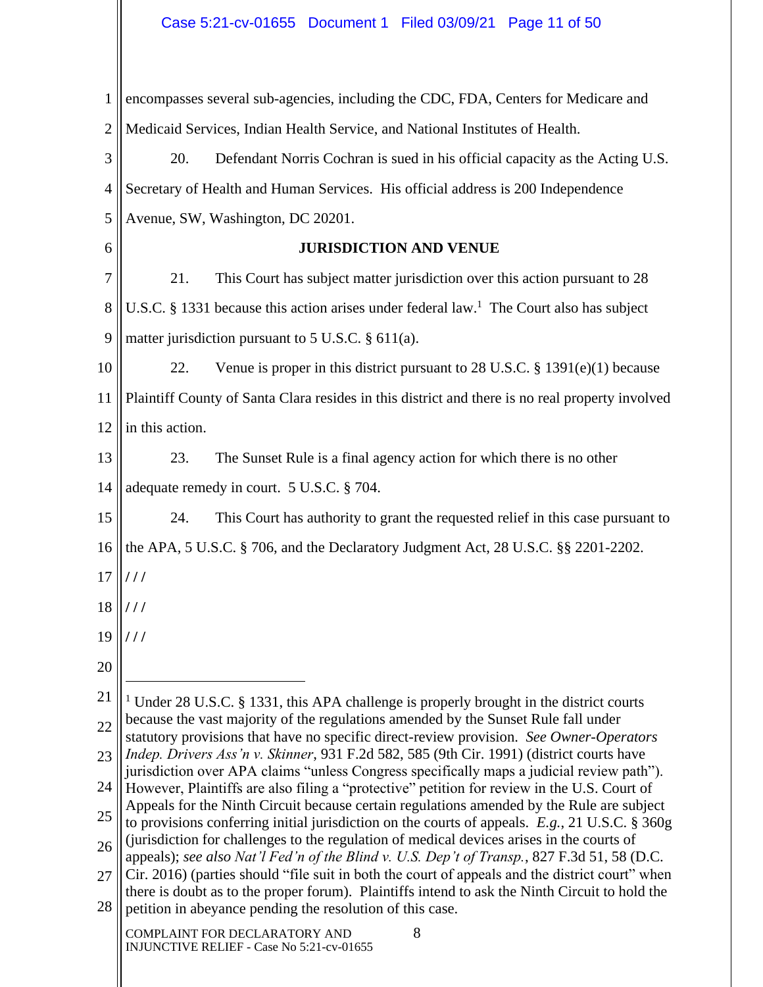1 2 encompasses several sub-agencies, including the CDC, FDA, Centers for Medicare and Medicaid Services, Indian Health Service, and National Institutes of Health.

3 4 5 20. Defendant Norris Cochran is sued in his official capacity as the Acting U.S. Secretary of Health and Human Services. His official address is 200 Independence Avenue, SW, Washington, DC 20201.

**JURISDICTION AND VENUE**

7 8 9 21. This Court has subject matter jurisdiction over this action pursuant to 28 U.S.C. § 1331 because this action arises under federal law.<sup>1</sup> The Court also has subject matter jurisdiction pursuant to 5 U.S.C. § 611(a).

10 11 12 22. Venue is proper in this district pursuant to  $28$  U.S.C. § 1391(e)(1) because Plaintiff County of Santa Clara resides in this district and there is no real property involved in this action.

13 14 23. The Sunset Rule is a final agency action for which there is no other adequate remedy in court. 5 U.S.C. § 704.

15 24. This Court has authority to grant the requested relief in this case pursuant to

16 the APA, 5 U.S.C. § 706, and the Declaratory Judgment Act, 28 U.S.C. §§ 2201-2202.

17 **/ / /**

6

- 18 **/ / /**
- 19 **/ / /**
- 20

21 22 <sup>1</sup> Under 28 U.S.C. § 1331, this APA challenge is properly brought in the district courts because the vast majority of the regulations amended by the Sunset Rule fall under

23 statutory provisions that have no specific direct-review provision. *See Owner-Operators Indep. Drivers Ass'n v. Skinner*, 931 F.2d 582, 585 (9th Cir. 1991) (district courts have

24 jurisdiction over APA claims "unless Congress specifically maps a judicial review path"). However, Plaintiffs are also filing a "protective" petition for review in the U.S. Court of Appeals for the Ninth Circuit because certain regulations amended by the Rule are subject

25 to provisions conferring initial jurisdiction on the courts of appeals. *E.g.*, 21 U.S.C. § 360g (jurisdiction for challenges to the regulation of medical devices arises in the courts of

26 appeals); *see also Nat'l Fed'n of the Blind v. U.S. Dep't of Transp.*, 827 F.3d 51, 58 (D.C.

27 28 Cir. 2016) (parties should "file suit in both the court of appeals and the district court" when there is doubt as to the proper forum). Plaintiffs intend to ask the Ninth Circuit to hold the petition in abeyance pending the resolution of this case.

COMPLAINT FOR DECLARATORY AND 8 INJUNCTIVE RELIEF - Case No 5:21-cv-01655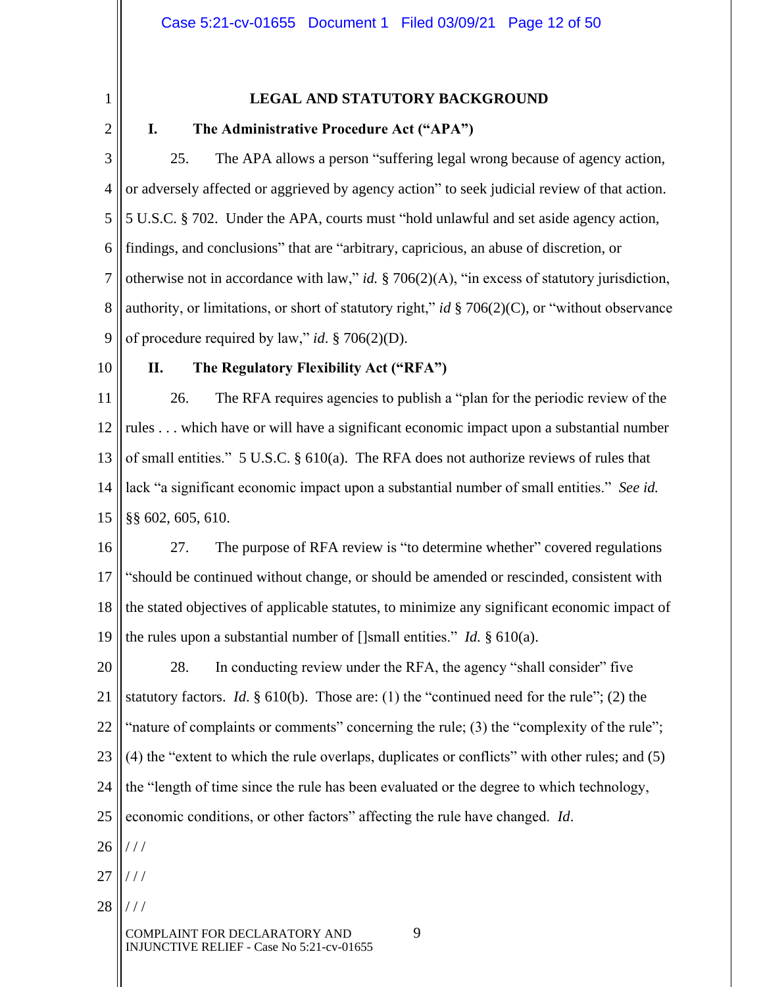1

# **LEGAL AND STATUTORY BACKGROUND**

2

# **I. The Administrative Procedure Act ("APA")**

3 4 5 6 7 8 9 25. The APA allows a person "suffering legal wrong because of agency action, or adversely affected or aggrieved by agency action" to seek judicial review of that action. 5 U.S.C. § 702. Under the APA, courts must "hold unlawful and set aside agency action, findings, and conclusions" that are "arbitrary, capricious, an abuse of discretion, or otherwise not in accordance with law," *id.* § 706(2)(A), "in excess of statutory jurisdiction, authority, or limitations, or short of statutory right," *id* § 706(2)(C), or "without observance of procedure required by law," *id*. § 706(2)(D).

10

## **II. The Regulatory Flexibility Act ("RFA")**

11 12 13 14 15 26. The RFA requires agencies to publish a "plan for the periodic review of the rules . . . which have or will have a significant economic impact upon a substantial number of small entities." 5 U.S.C. § 610(a). The RFA does not authorize reviews of rules that lack "a significant economic impact upon a substantial number of small entities." *See id.*  §§ 602, 605, 610.

16 17 18 19 27. The purpose of RFA review is "to determine whether" covered regulations "should be continued without change, or should be amended or rescinded, consistent with the stated objectives of applicable statutes, to minimize any significant economic impact of the rules upon a substantial number of []small entities." *Id.* § 610(a).

20 21 22 23 24 25 26 28. In conducting review under the RFA, the agency "shall consider" five statutory factors. *Id*. § 610(b). Those are: (1) the "continued need for the rule"; (2) the "nature of complaints or comments" concerning the rule; (3) the "complexity of the rule"; (4) the "extent to which the rule overlaps, duplicates or conflicts" with other rules; and (5) the "length of time since the rule has been evaluated or the degree to which technology, economic conditions, or other factors" affecting the rule have changed. *Id*.  $//$ 

- 27 / / /
- 28 / / /

COMPLAINT FOR DECLARATORY AND 9 INJUNCTIVE RELIEF - Case No 5:21-cv-01655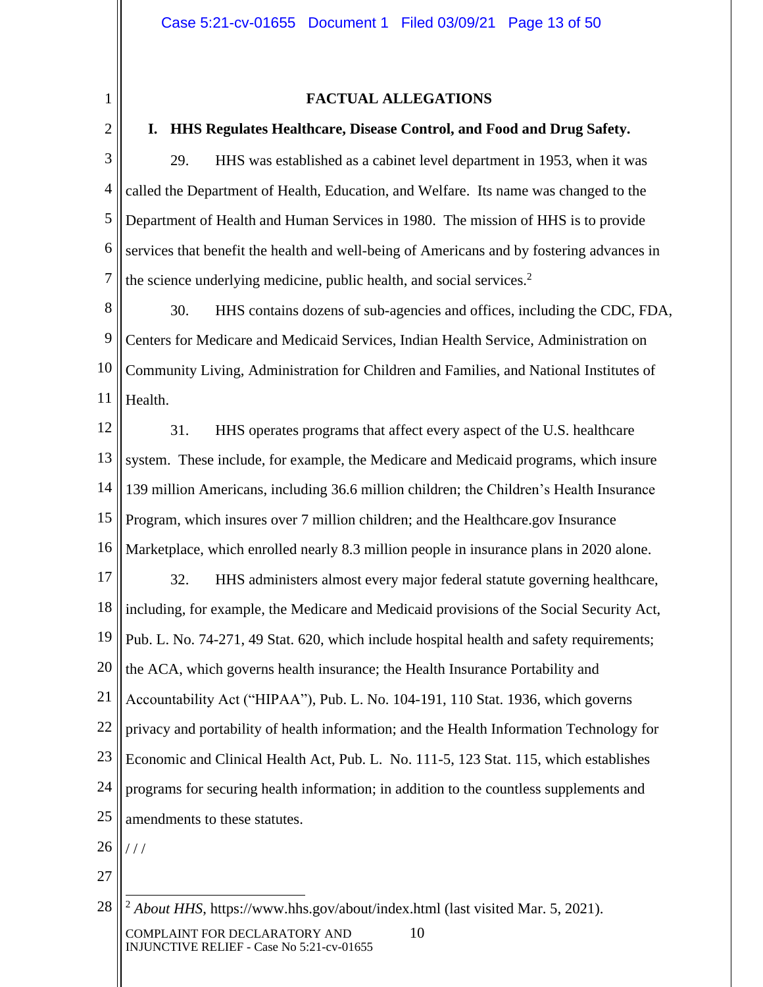1

2

## **FACTUAL ALLEGATIONS**

## **I. HHS Regulates Healthcare, Disease Control, and Food and Drug Safety.**

3 4 5 6 7 29. HHS was established as a cabinet level department in 1953, when it was called the Department of Health, Education, and Welfare. Its name was changed to the Department of Health and Human Services in 1980. The mission of HHS is to provide services that benefit the health and well-being of Americans and by fostering advances in the science underlying medicine, public health, and social services.<sup>2</sup>

8 9 10 11 30. HHS contains dozens of sub-agencies and offices, including the CDC, FDA, Centers for Medicare and Medicaid Services, Indian Health Service, Administration on Community Living, Administration for Children and Families, and National Institutes of Health.

12 13 14 15 16 17 18 19 20 21 22 23 24 25 31. HHS operates programs that affect every aspect of the U.S. healthcare system. These include, for example, the Medicare and Medicaid programs, which insure 139 million Americans, including 36.6 million children; the Children's Health Insurance Program, which insures over 7 million children; and the Healthcare.gov Insurance Marketplace, which enrolled nearly 8.3 million people in insurance plans in 2020 alone. 32. HHS administers almost every major federal statute governing healthcare, including, for example, the Medicare and Medicaid provisions of the Social Security Act, Pub. L. No. 74-271, 49 Stat. 620, which include hospital health and safety requirements; the ACA, which governs health insurance; the Health Insurance Portability and Accountability Act ("HIPAA"), Pub. L. No. 104-191, 110 Stat. 1936, which governs privacy and portability of health information; and the Health Information Technology for Economic and Clinical Health Act, Pub. L. No. 111-5, 123 Stat. 115, which establishes programs for securing health information; in addition to the countless supplements and amendments to these statutes.

26  $111$ 

27

COMPLAINT FOR DECLARATORY AND 10 INJUNCTIVE RELIEF - Case No 5:21-cv-01655

<sup>28</sup> <sup>2</sup> *About HHS*, https://www.hhs.gov/about/index.html (last visited Mar. 5, 2021).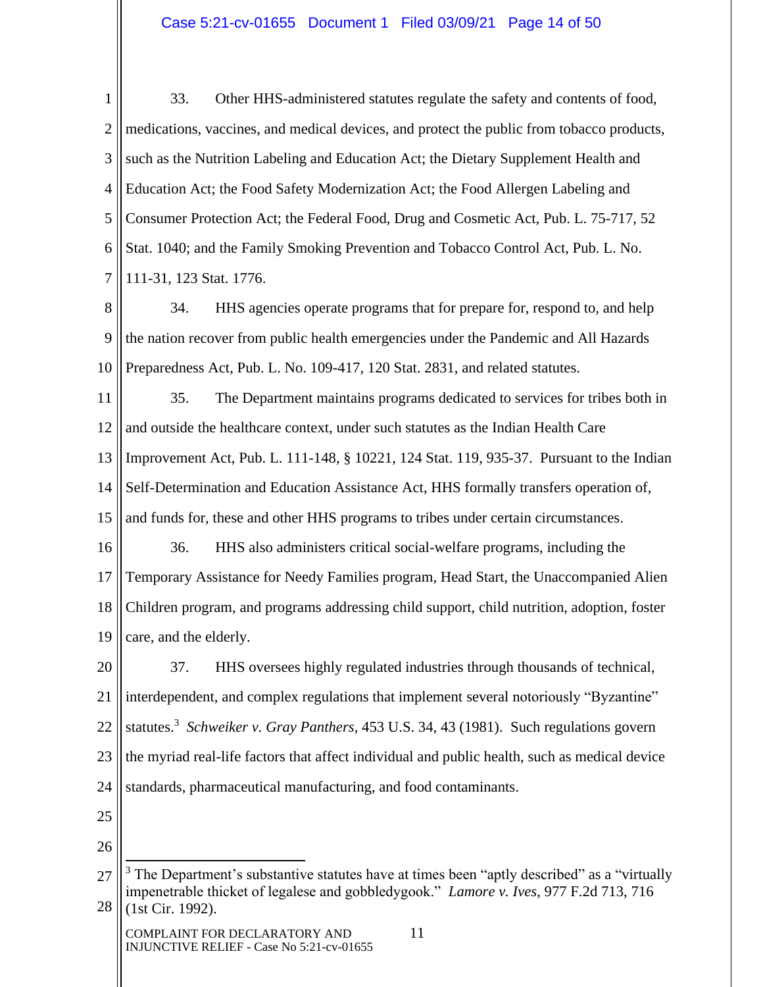1 2 3 4 5 6 7 33. Other HHS-administered statutes regulate the safety and contents of food, medications, vaccines, and medical devices, and protect the public from tobacco products, such as the Nutrition Labeling and Education Act; the Dietary Supplement Health and Education Act; the Food Safety Modernization Act; the Food Allergen Labeling and Consumer Protection Act; the Federal Food, Drug and Cosmetic Act, Pub. L. 75-717, 52 Stat. 1040; and the Family Smoking Prevention and Tobacco Control Act, Pub. L. No. 111-31, 123 Stat. 1776.

8 9 10 34. HHS agencies operate programs that for prepare for, respond to, and help the nation recover from public health emergencies under the Pandemic and All Hazards Preparedness Act, Pub. L. No. 109-417, 120 Stat. 2831, and related statutes.

11 12 13 14 15 35. The Department maintains programs dedicated to services for tribes both in and outside the healthcare context, under such statutes as the Indian Health Care Improvement Act, Pub. L. 111-148, § 10221, 124 Stat. 119, 935-37. Pursuant to the Indian Self-Determination and Education Assistance Act, HHS formally transfers operation of, and funds for, these and other HHS programs to tribes under certain circumstances.

16 17 18 19 36. HHS also administers critical social-welfare programs, including the Temporary Assistance for Needy Families program, Head Start, the Unaccompanied Alien Children program, and programs addressing child support, child nutrition, adoption, foster care, and the elderly.

20 21 22 23 24 37. HHS oversees highly regulated industries through thousands of technical, interdependent, and complex regulations that implement several notoriously "Byzantine" statutes.<sup>3</sup> *Schweiker v. Gray Panthers*, 453 U.S. 34, 43 (1981). Such regulations govern the myriad real-life factors that affect individual and public health, such as medical device standards, pharmaceutical manufacturing, and food contaminants.

- 25
- 26

COMPLAINT FOR DECLARATORY AND 11 INJUNCTIVE RELIEF - Case No 5:21-cv-01655

<sup>27</sup> 28 <sup>3</sup> The Department's substantive statutes have at times been "aptly described" as a "virtually impenetrable thicket of legalese and gobbledygook." *Lamore v. Ives*, 977 F.2d 713, 716 (1st Cir. 1992).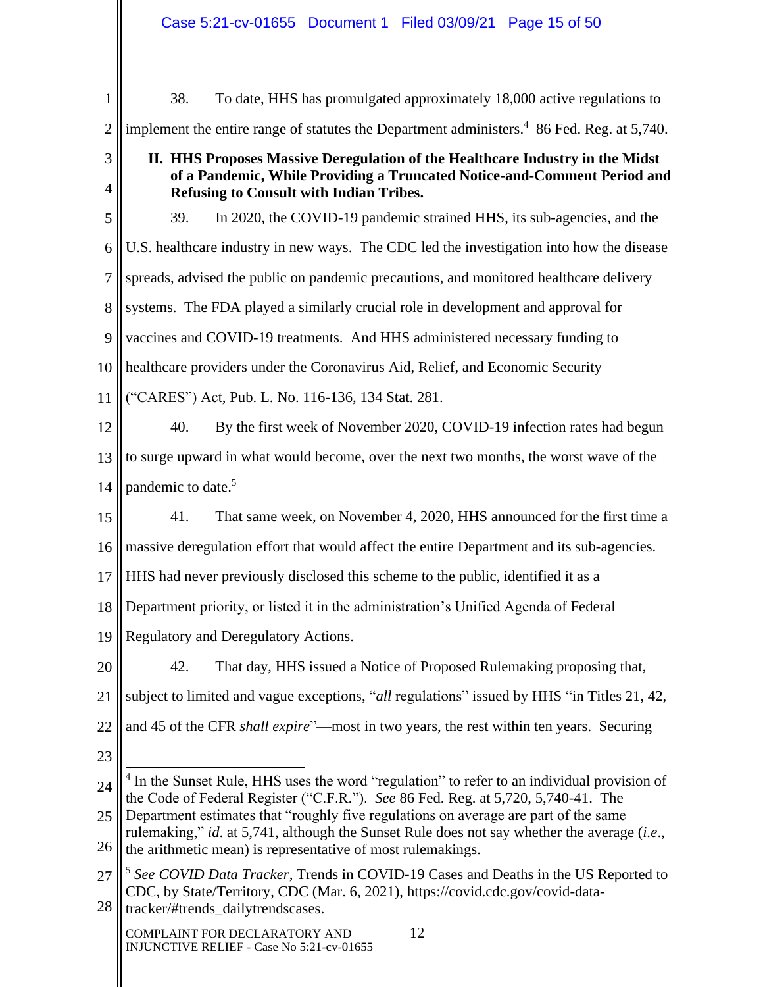|                     | Case 5:21-cv-01655 Document 1 Filed 03/09/21 Page 15 of 50                                                                                                                                                  |  |  |
|---------------------|-------------------------------------------------------------------------------------------------------------------------------------------------------------------------------------------------------------|--|--|
|                     |                                                                                                                                                                                                             |  |  |
| 1                   | 38.<br>To date, HHS has promulgated approximately 18,000 active regulations to                                                                                                                              |  |  |
| $\overline{2}$      | implement the entire range of statutes the Department administers. <sup>4</sup> 86 Fed. Reg. at 5,740.                                                                                                      |  |  |
| 3<br>$\overline{4}$ | II. HHS Proposes Massive Deregulation of the Healthcare Industry in the Midst<br>of a Pandemic, While Providing a Truncated Notice-and-Comment Period and<br><b>Refusing to Consult with Indian Tribes.</b> |  |  |
| 5                   | In 2020, the COVID-19 pandemic strained HHS, its sub-agencies, and the<br>39.                                                                                                                               |  |  |
| 6                   | U.S. healthcare industry in new ways. The CDC led the investigation into how the disease                                                                                                                    |  |  |
| 7                   | spreads, advised the public on pandemic precautions, and monitored healthcare delivery                                                                                                                      |  |  |
| 8                   | systems. The FDA played a similarly crucial role in development and approval for                                                                                                                            |  |  |
| 9                   | vaccines and COVID-19 treatments. And HHS administered necessary funding to                                                                                                                                 |  |  |
| 10                  | healthcare providers under the Coronavirus Aid, Relief, and Economic Security                                                                                                                               |  |  |
|                     | ("CARES") Act, Pub. L. No. 116-136, 134 Stat. 281.                                                                                                                                                          |  |  |
| 11                  |                                                                                                                                                                                                             |  |  |
| 12                  | 40.<br>By the first week of November 2020, COVID-19 infection rates had begun                                                                                                                               |  |  |
| 13                  | to surge upward in what would become, over the next two months, the worst wave of the                                                                                                                       |  |  |
| 14                  | pandemic to date. <sup>5</sup>                                                                                                                                                                              |  |  |
| 15                  | 41.<br>That same week, on November 4, 2020, HHS announced for the first time a                                                                                                                              |  |  |
| 16                  | massive deregulation effort that would affect the entire Department and its sub-agencies.                                                                                                                   |  |  |
| 17                  | HHS had never previously disclosed this scheme to the public, identified it as a                                                                                                                            |  |  |
| 18                  | Department priority, or listed it in the administration's Unified Agenda of Federal                                                                                                                         |  |  |
| 19                  | Regulatory and Deregulatory Actions.                                                                                                                                                                        |  |  |
| 20                  | That day, HHS issued a Notice of Proposed Rulemaking proposing that,<br>42.                                                                                                                                 |  |  |
| 21                  | subject to limited and vague exceptions, "all regulations" issued by HHS "in Titles 21, 42,                                                                                                                 |  |  |
| 22                  | and 45 of the CFR <i>shall expire</i> "—most in two years, the rest within ten years. Securing                                                                                                              |  |  |
| 23                  |                                                                                                                                                                                                             |  |  |
| 24                  | <sup>4</sup> In the Sunset Rule, HHS uses the word "regulation" to refer to an individual provision of                                                                                                      |  |  |
| 25                  | the Code of Federal Register ("C.F.R."). See 86 Fed. Reg. at 5,720, 5,740-41. The<br>Department estimates that "roughly five regulations on average are part of the same                                    |  |  |
| 26                  | rulemaking," id. at 5,741, although the Sunset Rule does not say whether the average (i.e.,<br>the arithmetic mean) is representative of most rulemakings.                                                  |  |  |
| 27                  | <sup>5</sup> See COVID Data Tracker, Trends in COVID-19 Cases and Deaths in the US Reported to                                                                                                              |  |  |
| 28                  | CDC, by State/Territory, CDC (Mar. 6, 2021), https://covid.cdc.gov/covid-data-<br>tracker/#trends_dailytrendscases.                                                                                         |  |  |
|                     | 12<br>COMPLAINT FOR DECLARATORY AND<br>INJUNCTIVE RELIEF - Case No 5:21-cv-01655                                                                                                                            |  |  |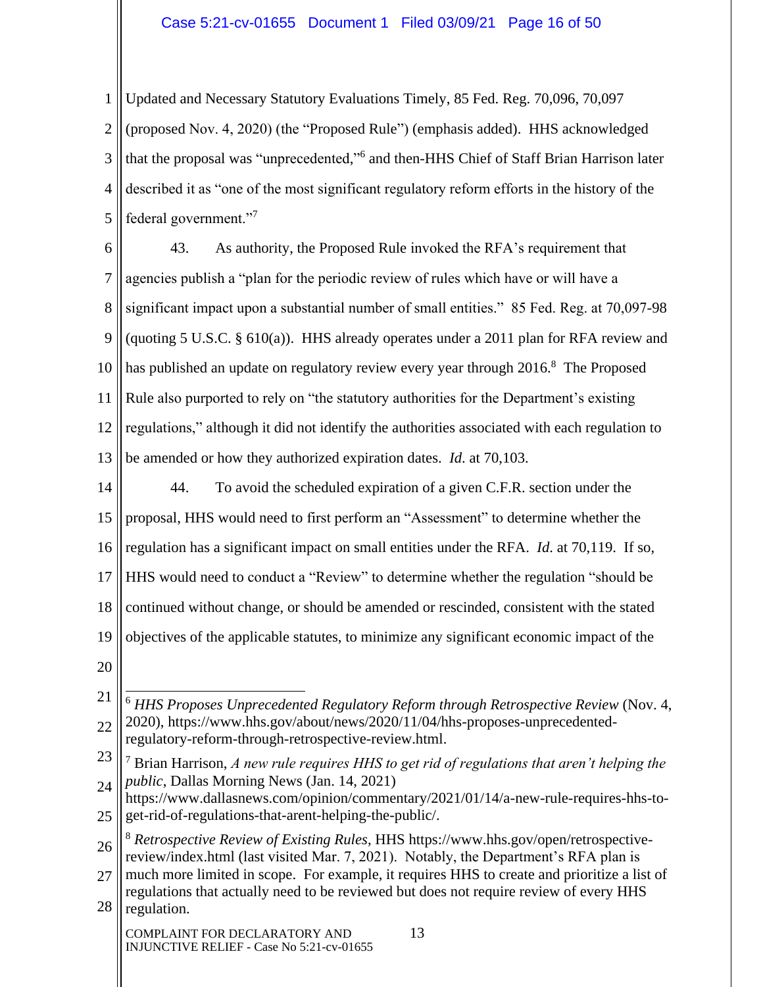## Case 5:21-cv-01655 Document 1 Filed 03/09/21 Page 16 of 50

1 2 3 4 5 Updated and Necessary Statutory Evaluations Timely, 85 Fed. Reg. 70,096, 70,097 (proposed Nov. 4, 2020) (the "Proposed Rule") (emphasis added). HHS acknowledged that the proposal was "unprecedented," 6 and then-HHS Chief of Staff Brian Harrison later described it as "one of the most significant regulatory reform efforts in the history of the federal government."<sup>7</sup>

6 7 8 9 10 11 12 13 43. As authority, the Proposed Rule invoked the RFA's requirement that agencies publish a "plan for the periodic review of rules which have or will have a significant impact upon a substantial number of small entities." 85 Fed. Reg. at 70,097-98 (quoting 5 U.S.C. § 610(a)). HHS already operates under a 2011 plan for RFA review and has published an update on regulatory review every year through 2016.<sup>8</sup> The Proposed Rule also purported to rely on "the statutory authorities for the Department's existing regulations," although it did not identify the authorities associated with each regulation to be amended or how they authorized expiration dates. *Id*. at 70,103.

14 15 16 17 18 19 44. To avoid the scheduled expiration of a given C.F.R. section under the proposal, HHS would need to first perform an "Assessment" to determine whether the regulation has a significant impact on small entities under the RFA. *Id*. at 70,119. If so, HHS would need to conduct a "Review" to determine whether the regulation "should be continued without change, or should be amended or rescinded, consistent with the stated objectives of the applicable statutes, to minimize any significant economic impact of the

20

23 24 <sup>7</sup> Brian Harrison, *A new rule requires HHS to get rid of regulations that aren't helping the public*, Dallas Morning News (Jan. 14, 2021)

<sup>21</sup> 22 <sup>6</sup> *HHS Proposes Unprecedented Regulatory Reform through Retrospective Review* (Nov. 4, 2020), https://www.hhs.gov/about/news/2020/11/04/hhs-proposes-unprecedentedregulatory-reform-through-retrospective-review.html.

<sup>25</sup> https://www.dallasnews.com/opinion/commentary/2021/01/14/a-new-rule-requires-hhs-toget-rid-of-regulations-that-arent-helping-the-public/.

<sup>26</sup> <sup>8</sup> *Retrospective Review of Existing Rules*, HHS https://www.hhs.gov/open/retrospectivereview/index.html (last visited Mar. 7, 2021). Notably, the Department's RFA plan is

<sup>27</sup> 28 much more limited in scope. For example, it requires HHS to create and prioritize a list of regulations that actually need to be reviewed but does not require review of every HHS regulation.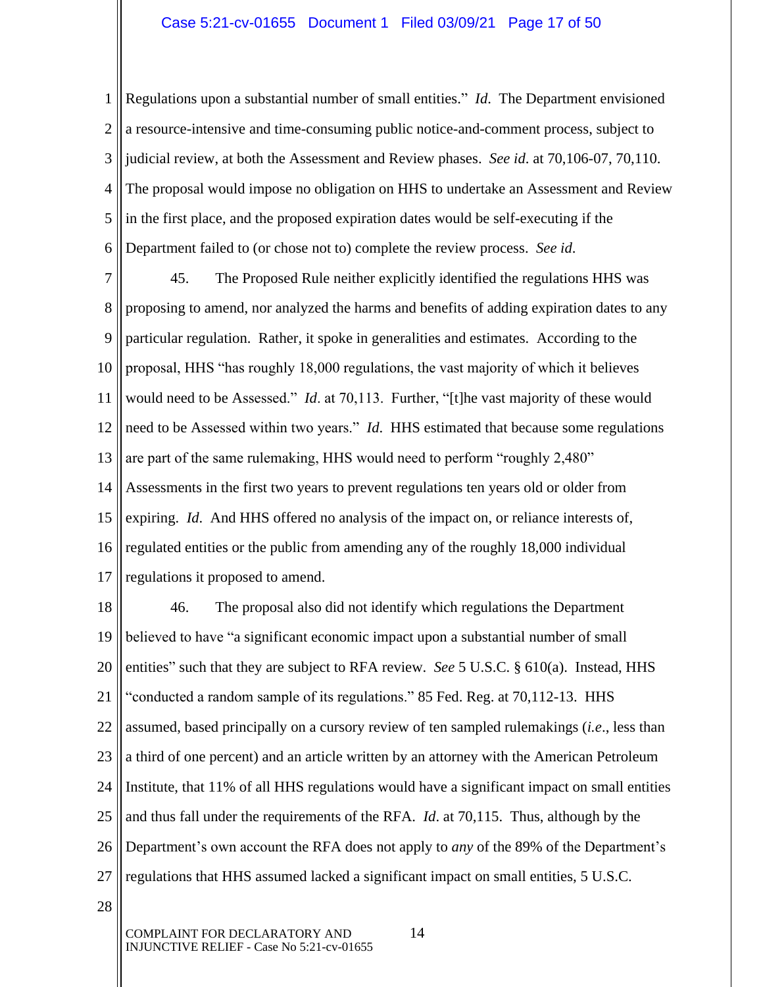1 2 3 4 5 6 Regulations upon a substantial number of small entities." *Id*. The Department envisioned a resource-intensive and time-consuming public notice-and-comment process, subject to judicial review, at both the Assessment and Review phases. *See id*. at 70,106-07, 70,110. The proposal would impose no obligation on HHS to undertake an Assessment and Review in the first place, and the proposed expiration dates would be self-executing if the Department failed to (or chose not to) complete the review process. *See id*.

7 8 9 10 11 12 13 14 15 16 17 45. The Proposed Rule neither explicitly identified the regulations HHS was proposing to amend, nor analyzed the harms and benefits of adding expiration dates to any particular regulation. Rather, it spoke in generalities and estimates. According to the proposal, HHS "has roughly 18,000 regulations, the vast majority of which it believes would need to be Assessed." *Id*. at 70,113. Further, "[t]he vast majority of these would need to be Assessed within two years." *Id*. HHS estimated that because some regulations are part of the same rulemaking, HHS would need to perform "roughly 2,480" Assessments in the first two years to prevent regulations ten years old or older from expiring. *Id*. And HHS offered no analysis of the impact on, or reliance interests of, regulated entities or the public from amending any of the roughly 18,000 individual regulations it proposed to amend.

18 19 20 21 22 23 24 25 26 27 46. The proposal also did not identify which regulations the Department believed to have "a significant economic impact upon a substantial number of small entities" such that they are subject to RFA review. *See* 5 U.S.C. § 610(a). Instead, HHS "conducted a random sample of its regulations." 85 Fed. Reg. at 70,112-13. HHS assumed, based principally on a cursory review of ten sampled rulemakings (*i.e*., less than a third of one percent) and an article written by an attorney with the American Petroleum Institute, that 11% of all HHS regulations would have a significant impact on small entities and thus fall under the requirements of the RFA. *Id*. at 70,115. Thus, although by the Department's own account the RFA does not apply to *any* of the 89% of the Department's regulations that HHS assumed lacked a significant impact on small entities, 5 U.S.C.

28

COMPLAINT FOR DECLARATORY AND 14 INJUNCTIVE RELIEF - Case No 5:21-cv-01655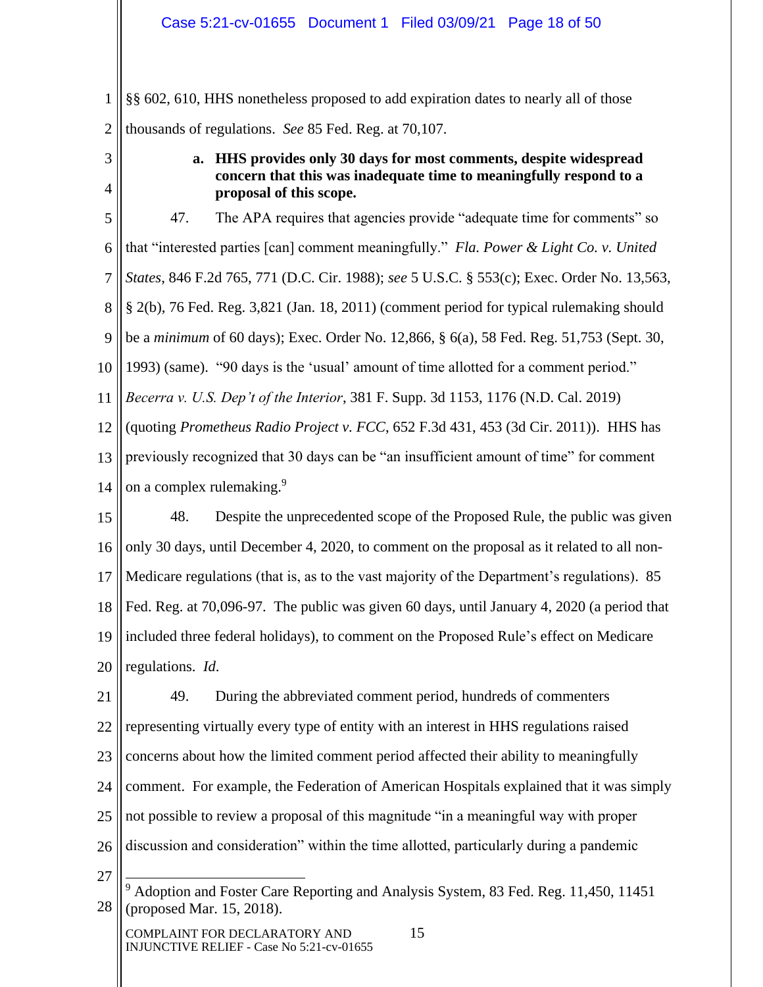1 2 §§ 602, 610, HHS nonetheless proposed to add expiration dates to nearly all of those thousands of regulations. *See* 85 Fed. Reg. at 70,107.

3

4

# **a. HHS provides only 30 days for most comments, despite widespread concern that this was inadequate time to meaningfully respond to a proposal of this scope.**

5 6 7 8 9 10 11 12 13 14 15 16 17 18 19 20 47. The APA requires that agencies provide "adequate time for comments" so that "interested parties [can] comment meaningfully." *Fla. Power & Light Co. v. United States*, 846 F.2d 765, 771 (D.C. Cir. 1988); *see* 5 U.S.C. § 553(c); Exec. Order No. 13,563, § 2(b), 76 Fed. Reg. 3,821 (Jan. 18, 2011) (comment period for typical rulemaking should be a *minimum* of 60 days); Exec. Order No. 12,866, § 6(a), 58 Fed. Reg. 51,753 (Sept. 30, 1993) (same). "90 days is the 'usual' amount of time allotted for a comment period." *Becerra v. U.S. Dep't of the Interior*, 381 F. Supp. 3d 1153, 1176 (N.D. Cal. 2019) (quoting *Prometheus Radio Project v. FCC*, 652 F.3d 431, 453 (3d Cir. 2011)). HHS has previously recognized that 30 days can be "an insufficient amount of time" for comment on a complex rulemaking.<sup>9</sup> 48. Despite the unprecedented scope of the Proposed Rule, the public was given only 30 days, until December 4, 2020, to comment on the proposal as it related to all non-Medicare regulations (that is, as to the vast majority of the Department's regulations). 85 Fed. Reg. at 70,096-97. The public was given 60 days, until January 4, 2020 (a period that included three federal holidays), to comment on the Proposed Rule's effect on Medicare regulations. *Id*.

21 22 23 24 25 26 49. During the abbreviated comment period, hundreds of commenters representing virtually every type of entity with an interest in HHS regulations raised concerns about how the limited comment period affected their ability to meaningfully comment. For example, the Federation of American Hospitals explained that it was simply not possible to review a proposal of this magnitude "in a meaningful way with proper discussion and consideration" within the time allotted, particularly during a pandemic

- 27
- 28 <sup>9</sup> Adoption and Foster Care Reporting and Analysis System, 83 Fed. Reg. 11,450, 11451 (proposed Mar. 15, 2018).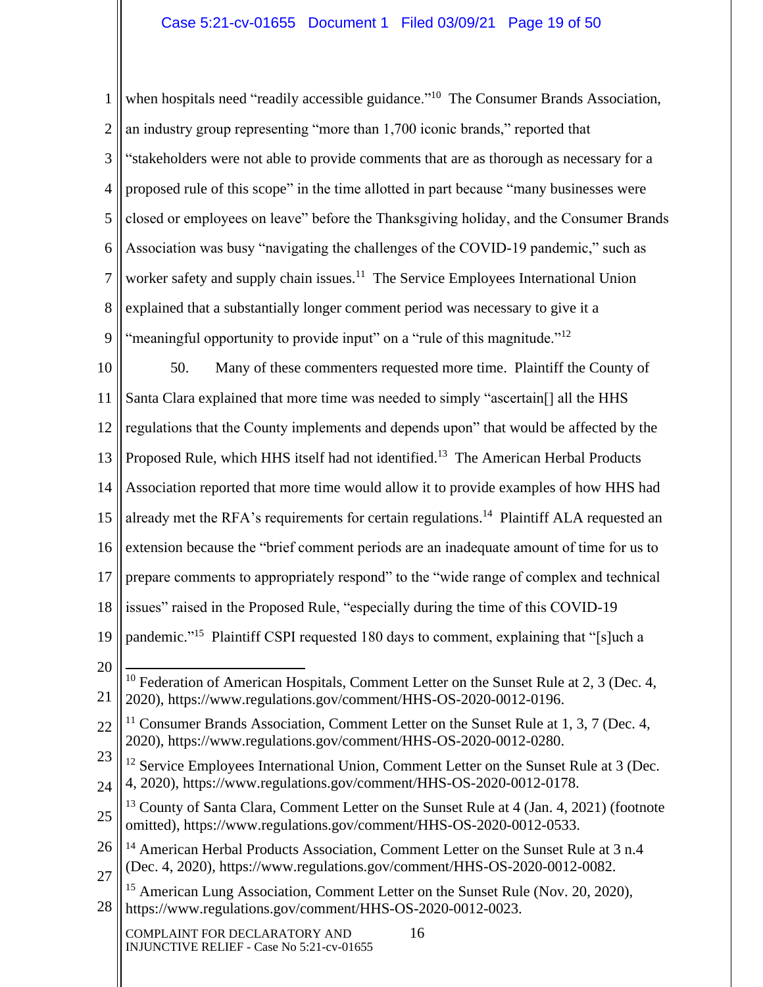1 2 3 4 5 6 7 8 9 when hospitals need "readily accessible guidance."<sup>10</sup> The Consumer Brands Association, an industry group representing "more than 1,700 iconic brands," reported that "stakeholders were not able to provide comments that are as thorough as necessary for a proposed rule of this scope" in the time allotted in part because "many businesses were closed or employees on leave" before the Thanksgiving holiday, and the Consumer Brands Association was busy "navigating the challenges of the COVID-19 pandemic," such as worker safety and supply chain issues.<sup>11</sup> The Service Employees International Union explained that a substantially longer comment period was necessary to give it a "meaningful opportunity to provide input" on a "rule of this magnitude."<sup>12</sup>

10 11 12 13 14 15 16 17 18 19 20 21 22 23 24 25 26 27 28 COMPLAINT FOR DECLARATORY AND 16 INJUNCTIVE RELIEF - Case No 5:21-cv-01655 50. Many of these commenters requested more time. Plaintiff the County of Santa Clara explained that more time was needed to simply "ascertain[] all the HHS regulations that the County implements and depends upon" that would be affected by the Proposed Rule, which HHS itself had not identified.<sup>13</sup> The American Herbal Products Association reported that more time would allow it to provide examples of how HHS had already met the RFA's requirements for certain regulations.<sup>14</sup> Plaintiff ALA requested an extension because the "brief comment periods are an inadequate amount of time for us to prepare comments to appropriately respond" to the "wide range of complex and technical issues" raised in the Proposed Rule, "especially during the time of this COVID-19 pandemic."<sup>15</sup> Plaintiff CSPI requested 180 days to comment, explaining that "[s]uch a  $10$  Federation of American Hospitals, Comment Letter on the Sunset Rule at 2, 3 (Dec. 4, 2020), https://www.regulations.gov/comment/HHS-OS-2020-0012-0196. <sup>11</sup> Consumer Brands Association, Comment Letter on the Sunset Rule at 1, 3, 7 (Dec. 4, 2020), https://www.regulations.gov/comment/HHS-OS-2020-0012-0280. <sup>12</sup> Service Employees International Union, Comment Letter on the Sunset Rule at 3 (Dec. 4, 2020), https://www.regulations.gov/comment/HHS-OS-2020-0012-0178. <sup>13</sup> County of Santa Clara, Comment Letter on the Sunset Rule at 4 (Jan. 4, 2021) (footnote omitted), https://www.regulations.gov/comment/HHS-OS-2020-0012-0533. <sup>14</sup> American Herbal Products Association, Comment Letter on the Sunset Rule at 3 n.4 (Dec. 4, 2020), https://www.regulations.gov/comment/HHS-OS-2020-0012-0082. <sup>15</sup> American Lung Association, Comment Letter on the Sunset Rule (Nov. 20, 2020), https://www.regulations.gov/comment/HHS-OS-2020-0012-0023.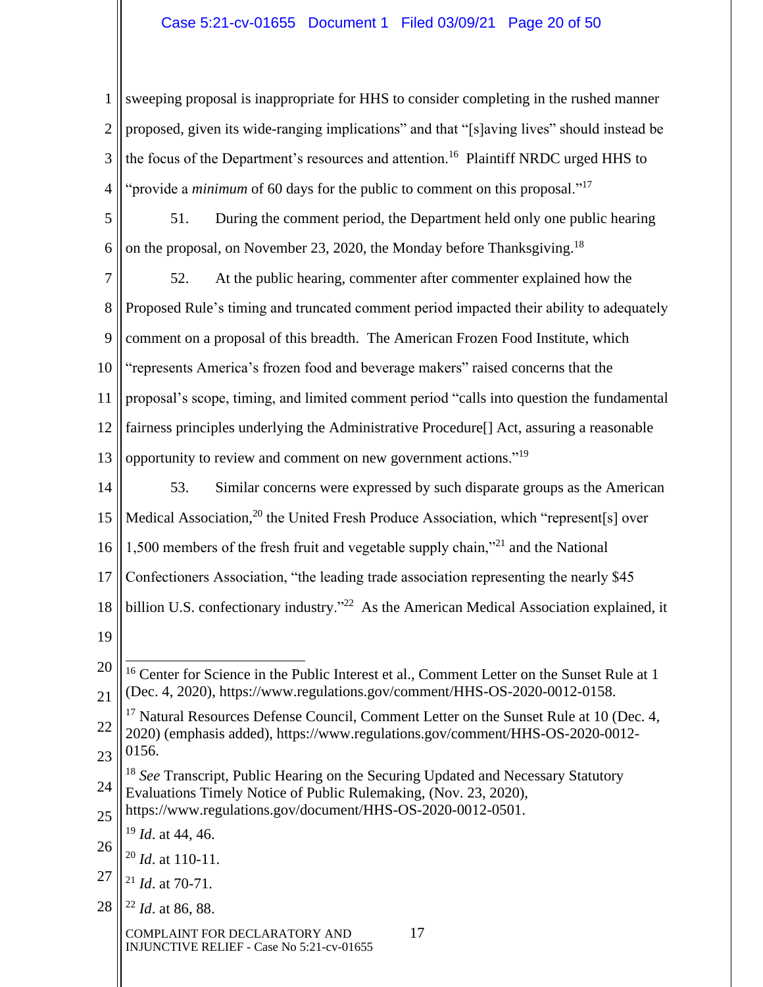# Case 5:21-cv-01655 Document 1 Filed 03/09/21 Page 20 of 50

1 2 3 4 sweeping proposal is inappropriate for HHS to consider completing in the rushed manner proposed, given its wide-ranging implications" and that "[s]aving lives" should instead be the focus of the Department's resources and attention.<sup>16</sup> Plaintiff NRDC urged HHS to "provide a *minimum* of 60 days for the public to comment on this proposal."<sup>17</sup>

5 6 51. During the comment period, the Department held only one public hearing on the proposal, on November 23, 2020, the Monday before Thanksgiving.<sup>18</sup>

7 8 9 10 11 12 13 52. At the public hearing, commenter after commenter explained how the Proposed Rule's timing and truncated comment period impacted their ability to adequately comment on a proposal of this breadth. The American Frozen Food Institute, which "represents America's frozen food and beverage makers" raised concerns that the proposal's scope, timing, and limited comment period "calls into question the fundamental fairness principles underlying the Administrative Procedure[] Act, assuring a reasonable opportunity to review and comment on new government actions."<sup>19</sup>

14 15 16 17 18 19 53. Similar concerns were expressed by such disparate groups as the American Medical Association,<sup>20</sup> the United Fresh Produce Association, which "represent[s] over 1,500 members of the fresh fruit and vegetable supply chain,"<sup>21</sup> and the National Confectioners Association, "the leading trade association representing the nearly \$45 billion U.S. confectionary industry."<sup>22</sup> As the American Medical Association explained, it

- 22 <sup>17</sup> Natural Resources Defense Council, Comment Letter on the Sunset Rule at 10 (Dec. 4, 2020) (emphasis added), https://www.regulations.gov/comment/HHS-OS-2020-0012-
- 23 0156.
- 24 <sup>18</sup> *See* Transcript, Public Hearing on the Securing Updated and Necessary Statutory Evaluations Timely Notice of Public Rulemaking, (Nov. 23, 2020),

25 https://www.regulations.gov/document/HHS-OS-2020-0012-0501.

<sup>19</sup> *Id*. at 44, 46.

- 27 <sup>21</sup> *Id*. at 70-71.
- 28 <sup>22</sup> *Id*. at 86, 88.

COMPLAINT FOR DECLARATORY AND 17 INJUNCTIVE RELIEF - Case No 5:21-cv-01655

<sup>20</sup> 21 <sup>16</sup> Center for Science in the Public Interest et al., Comment Letter on the Sunset Rule at 1 (Dec. 4, 2020), https://www.regulations.gov/comment/HHS-OS-2020-0012-0158.

<sup>26</sup> <sup>20</sup> *Id*. at 110-11.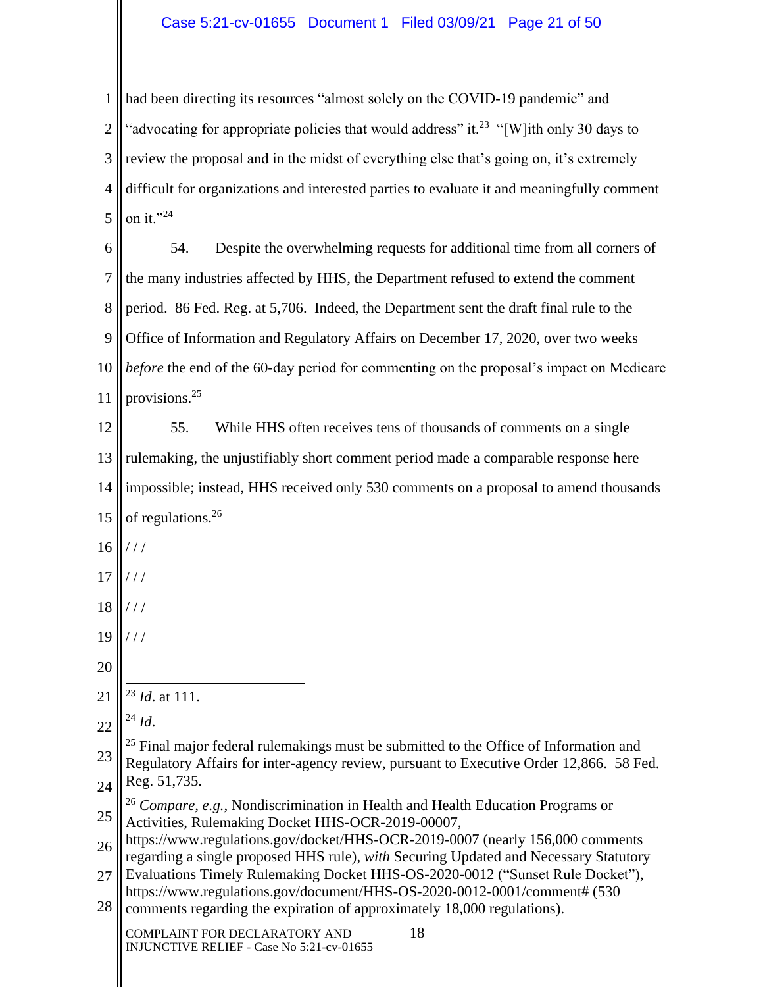# Case 5:21-cv-01655 Document 1 Filed 03/09/21 Page 21 of 50

1 2 3 4 5 had been directing its resources "almost solely on the COVID-19 pandemic" and "advocating for appropriate policies that would address" it.<sup>23</sup> "[W]ith only 30 days to review the proposal and in the midst of everything else that's going on, it's extremely difficult for organizations and interested parties to evaluate it and meaningfully comment on it." $^{24}$ 

6 7 8 9 10 11 54. Despite the overwhelming requests for additional time from all corners of the many industries affected by HHS, the Department refused to extend the comment period. 86 Fed. Reg. at 5,706. Indeed, the Department sent the draft final rule to the Office of Information and Regulatory Affairs on December 17, 2020, over two weeks *before* the end of the 60-day period for commenting on the proposal's impact on Medicare provisions.<sup>25</sup>

12 13 14 15 55. While HHS often receives tens of thousands of comments on a single rulemaking, the unjustifiably short comment period made a comparable response here impossible; instead, HHS received only 530 comments on a proposal to amend thousands of regulations.<sup>26</sup>

- 16 / / /
- 17 / / /
- 18 / / /
- 19 / / /
- 20
- 21 <sup>23</sup> *Id*. at 111.
- 22  $^{24}$  *Id.*
- 23 24 <sup>25</sup> Final major federal rulemakings must be submitted to the Office of Information and Regulatory Affairs for inter-agency review, pursuant to Executive Order 12,866. 58 Fed. Reg. 51,735.
- 25 <sup>26</sup> *Compare, e.g.*, Nondiscrimination in Health and Health Education Programs or Activities, Rulemaking Docket HHS-OCR-2019-00007,
- 26 https://www.regulations.gov/docket/HHS-OCR-2019-0007 (nearly 156,000 comments regarding a single proposed HHS rule), *with* Securing Updated and Necessary Statutory
- 27 Evaluations Timely Rulemaking Docket HHS-OS-2020-0012 ("Sunset Rule Docket"), https://www.regulations.gov/document/HHS-OS-2020-0012-0001/comment# (530
- 28 comments regarding the expiration of approximately 18,000 regulations).

COMPLAINT FOR DECLARATORY AND 18 INJUNCTIVE RELIEF - Case No 5:21-cv-01655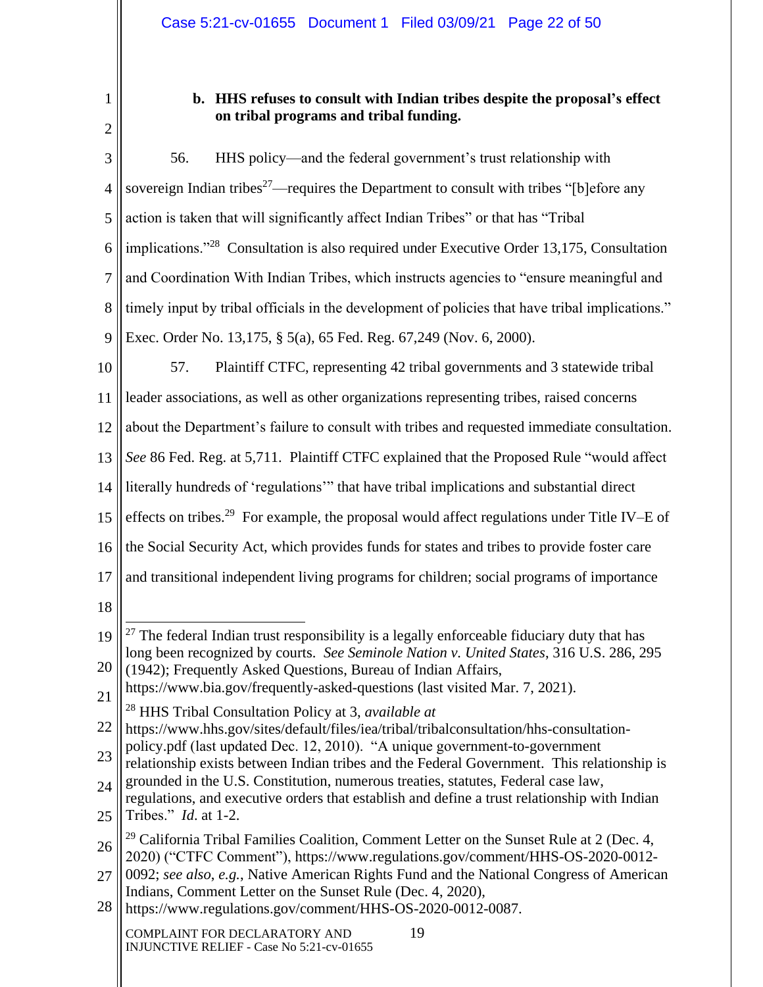1 2

# **b. HHS refuses to consult with Indian tribes despite the proposal's effect on tribal programs and tribal funding.**

3 4 5 6 7 8 9 10 11 12 13 14 15 16 17 18 19 20 21 22 23 24 25 26 27 28 COMPLAINT FOR DECLARATORY AND 19 INJUNCTIVE RELIEF - Case No 5:21-cv-01655 56. HHS policy—and the federal government's trust relationship with sovereign Indian tribes<sup>27</sup>—requires the Department to consult with tribes "[b]efore any action is taken that will significantly affect Indian Tribes" or that has "Tribal implications."<sup>28</sup> Consultation is also required under Executive Order 13,175, Consultation and Coordination With Indian Tribes, which instructs agencies to "ensure meaningful and timely input by tribal officials in the development of policies that have tribal implications." Exec. Order No. 13,175, § 5(a), 65 Fed. Reg. 67,249 (Nov. 6, 2000). 57. Plaintiff CTFC, representing 42 tribal governments and 3 statewide tribal leader associations, as well as other organizations representing tribes, raised concerns about the Department's failure to consult with tribes and requested immediate consultation. *See* 86 Fed. Reg. at 5,711. Plaintiff CTFC explained that the Proposed Rule "would affect literally hundreds of 'regulations'" that have tribal implications and substantial direct effects on tribes.<sup>29</sup> For example, the proposal would affect regulations under Title IV–E of the Social Security Act, which provides funds for states and tribes to provide foster care and transitional independent living programs for children; social programs of importance  $27$  The federal Indian trust responsibility is a legally enforceable fiduciary duty that has long been recognized by courts. *See Seminole Nation v. United States*, 316 U.S. 286, 295 (1942); Frequently Asked Questions, Bureau of Indian Affairs, https://www.bia.gov/frequently-asked-questions (last visited Mar. 7, 2021). <sup>28</sup> HHS Tribal Consultation Policy at 3, *available at* https://www.hhs.gov/sites/default/files/iea/tribal/tribalconsultation/hhs-consultationpolicy.pdf (last updated Dec. 12, 2010). "A unique government-to-government relationship exists between Indian tribes and the Federal Government. This relationship is grounded in the U.S. Constitution, numerous treaties, statutes, Federal case law, regulations, and executive orders that establish and define a trust relationship with Indian Tribes." *Id*. at 1-2.  $29$  California Tribal Families Coalition, Comment Letter on the Sunset Rule at 2 (Dec. 4, 2020) ("CTFC Comment"), https://www.regulations.gov/comment/HHS-OS-2020-0012- 0092; *see also*, *e.g.*, Native American Rights Fund and the National Congress of American Indians, Comment Letter on the Sunset Rule (Dec. 4, 2020), https://www.regulations.gov/comment/HHS-OS-2020-0012-0087.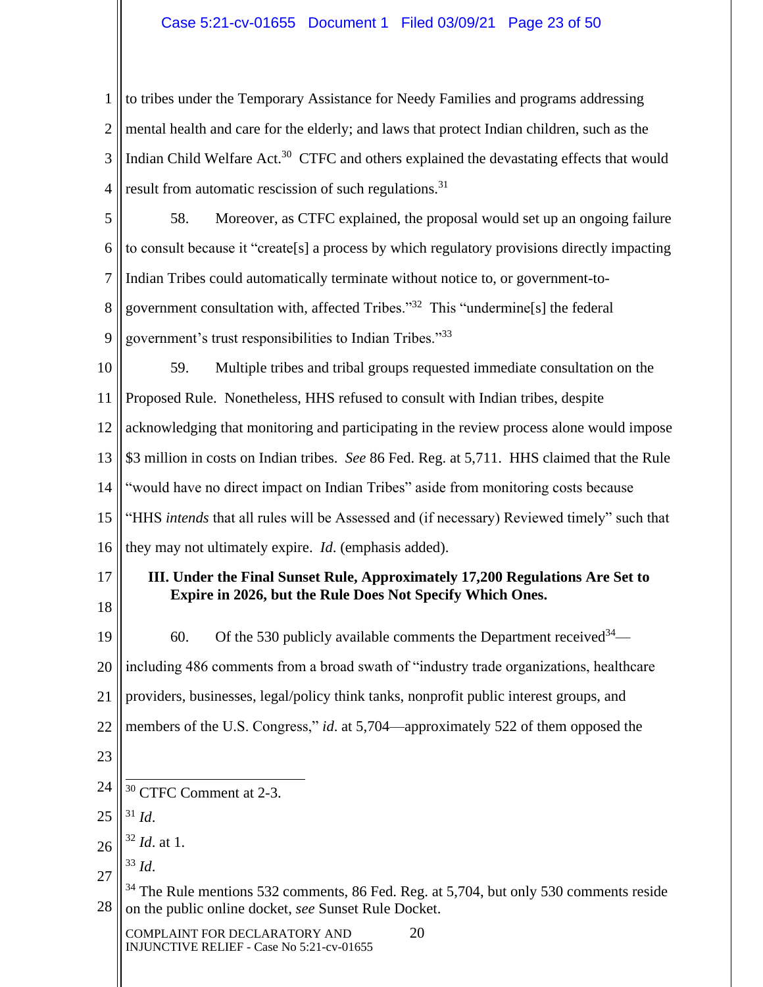# Case 5:21-cv-01655 Document 1 Filed 03/09/21 Page 23 of 50

1 2 3 4 to tribes under the Temporary Assistance for Needy Families and programs addressing mental health and care for the elderly; and laws that protect Indian children, such as the Indian Child Welfare Act.<sup>30</sup> CTFC and others explained the devastating effects that would result from automatic rescission of such regulations.<sup>31</sup>

5 6 7 8 9 58. Moreover, as CTFC explained, the proposal would set up an ongoing failure to consult because it "create[s] a process by which regulatory provisions directly impacting Indian Tribes could automatically terminate without notice to, or government-togovernment consultation with, affected Tribes."<sup>32</sup> This "undermine[s] the federal government's trust responsibilities to Indian Tribes."<sup>33</sup>

10 11 12 13 14 15 16 59. Multiple tribes and tribal groups requested immediate consultation on the Proposed Rule. Nonetheless, HHS refused to consult with Indian tribes, despite acknowledging that monitoring and participating in the review process alone would impose \$3 million in costs on Indian tribes. *See* 86 Fed. Reg. at 5,711. HHS claimed that the Rule "would have no direct impact on Indian Tribes" aside from monitoring costs because "HHS *intends* that all rules will be Assessed and (if necessary) Reviewed timely" such that they may not ultimately expire. *Id*. (emphasis added).

17 18

# **III. Under the Final Sunset Rule, Approximately 17,200 Regulations Are Set to Expire in 2026, but the Rule Does Not Specify Which Ones.**

19 20 21 22 23 60. Of the 530 publicly available comments the Department received  $34$ including 486 comments from a broad swath of "industry trade organizations, healthcare providers, businesses, legal/policy think tanks, nonprofit public interest groups, and members of the U.S. Congress," *id*. at 5,704—approximately 522 of them opposed the

- 24 <sup>30</sup> CTFC Comment at 2-3.
- 25 <sup>31</sup> *Id*.

27 <sup>33</sup> *Id*.

28 <sup>34</sup> The Rule mentions 532 comments, 86 Fed. Reg. at 5,704, but only 530 comments reside on the public online docket, *see* Sunset Rule Docket.

COMPLAINT FOR DECLARATORY AND 20 INJUNCTIVE RELIEF - Case No 5:21-cv-01655

<sup>26</sup> <sup>32</sup> *Id*. at 1.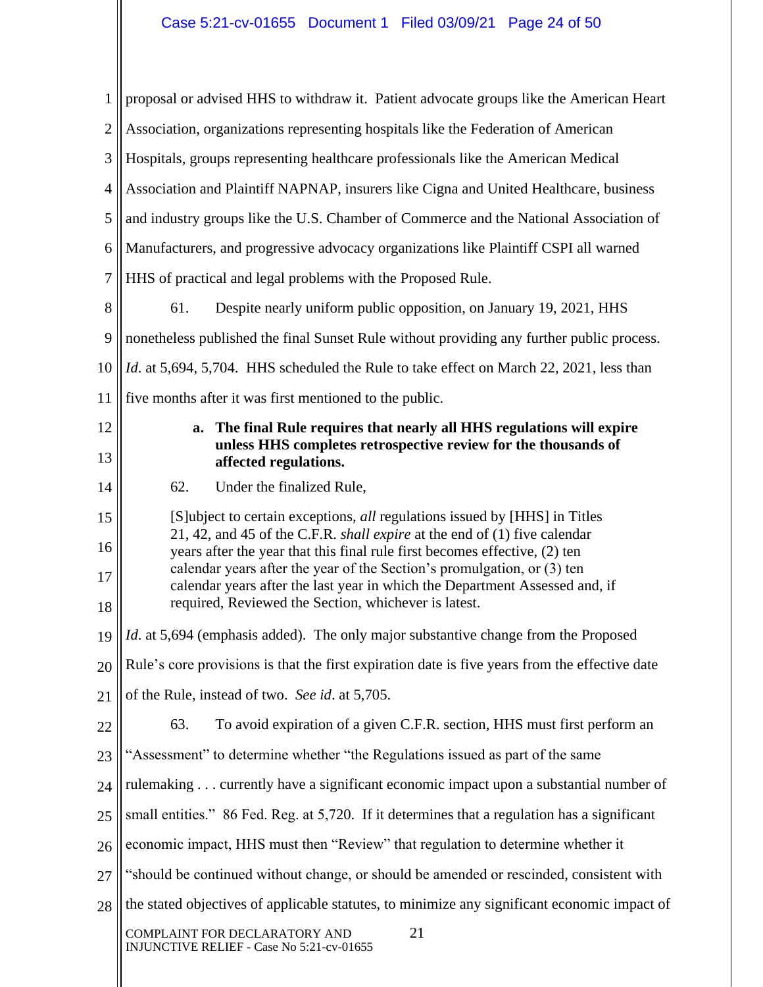| $\mathbf{1}$   | proposal or advised HHS to withdraw it. Patient advocate groups like the American Heart                                                                                                                                                                                                      |  |  |
|----------------|----------------------------------------------------------------------------------------------------------------------------------------------------------------------------------------------------------------------------------------------------------------------------------------------|--|--|
| $\mathbf{2}$   | Association, organizations representing hospitals like the Federation of American                                                                                                                                                                                                            |  |  |
| 3              | Hospitals, groups representing healthcare professionals like the American Medical                                                                                                                                                                                                            |  |  |
| $\overline{4}$ | Association and Plaintiff NAPNAP, insurers like Cigna and United Healthcare, business                                                                                                                                                                                                        |  |  |
| 5              | and industry groups like the U.S. Chamber of Commerce and the National Association of                                                                                                                                                                                                        |  |  |
| 6              | Manufacturers, and progressive advocacy organizations like Plaintiff CSPI all warned                                                                                                                                                                                                         |  |  |
| 7              | HHS of practical and legal problems with the Proposed Rule.                                                                                                                                                                                                                                  |  |  |
| 8              | Despite nearly uniform public opposition, on January 19, 2021, HHS<br>61.                                                                                                                                                                                                                    |  |  |
| 9              | nonetheless published the final Sunset Rule without providing any further public process.                                                                                                                                                                                                    |  |  |
| 10             | <i>Id.</i> at 5,694, 5,704. HHS scheduled the Rule to take effect on March 22, 2021, less than                                                                                                                                                                                               |  |  |
| 11             | five months after it was first mentioned to the public.                                                                                                                                                                                                                                      |  |  |
| 12<br>13       | The final Rule requires that nearly all HHS regulations will expire<br>a.<br>unless HHS completes retrospective review for the thousands of<br>affected regulations.                                                                                                                         |  |  |
| 14             | 62.<br>Under the finalized Rule,                                                                                                                                                                                                                                                             |  |  |
| 15             | [S]ubject to certain exceptions, all regulations issued by [HHS] in Titles<br>21, 42, and 45 of the C.F.R. shall expire at the end of (1) five calendar                                                                                                                                      |  |  |
| 16<br>17<br>18 | years after the year that this final rule first becomes effective, (2) ten<br>calendar years after the year of the Section's promulgation, or (3) ten<br>calendar years after the last year in which the Department Assessed and, if<br>required, Reviewed the Section, whichever is latest. |  |  |
| 19             | Id. at 5,694 (emphasis added). The only major substantive change from the Proposed                                                                                                                                                                                                           |  |  |
| 20             | Rule's core provisions is that the first expiration date is five years from the effective date                                                                                                                                                                                               |  |  |
| 21             | of the Rule, instead of two. See id. at 5,705.                                                                                                                                                                                                                                               |  |  |
| 22             | 63.<br>To avoid expiration of a given C.F.R. section, HHS must first perform an                                                                                                                                                                                                              |  |  |
| 23             | "Assessment" to determine whether "the Regulations issued as part of the same                                                                                                                                                                                                                |  |  |
| 24             | rulemaking currently have a significant economic impact upon a substantial number of                                                                                                                                                                                                         |  |  |
| 25             | small entities." 86 Fed. Reg. at 5,720. If it determines that a regulation has a significant                                                                                                                                                                                                 |  |  |
| 26             | economic impact, HHS must then "Review" that regulation to determine whether it                                                                                                                                                                                                              |  |  |
| 27             | "should be continued without change, or should be amended or rescinded, consistent with                                                                                                                                                                                                      |  |  |
| 28             | the stated objectives of applicable statutes, to minimize any significant economic impact of                                                                                                                                                                                                 |  |  |
|                | 21<br>COMPLAINT FOR DECLARATORY AND<br>INJUNCTIVE RELIEF - Case No 5:21-cv-01655                                                                                                                                                                                                             |  |  |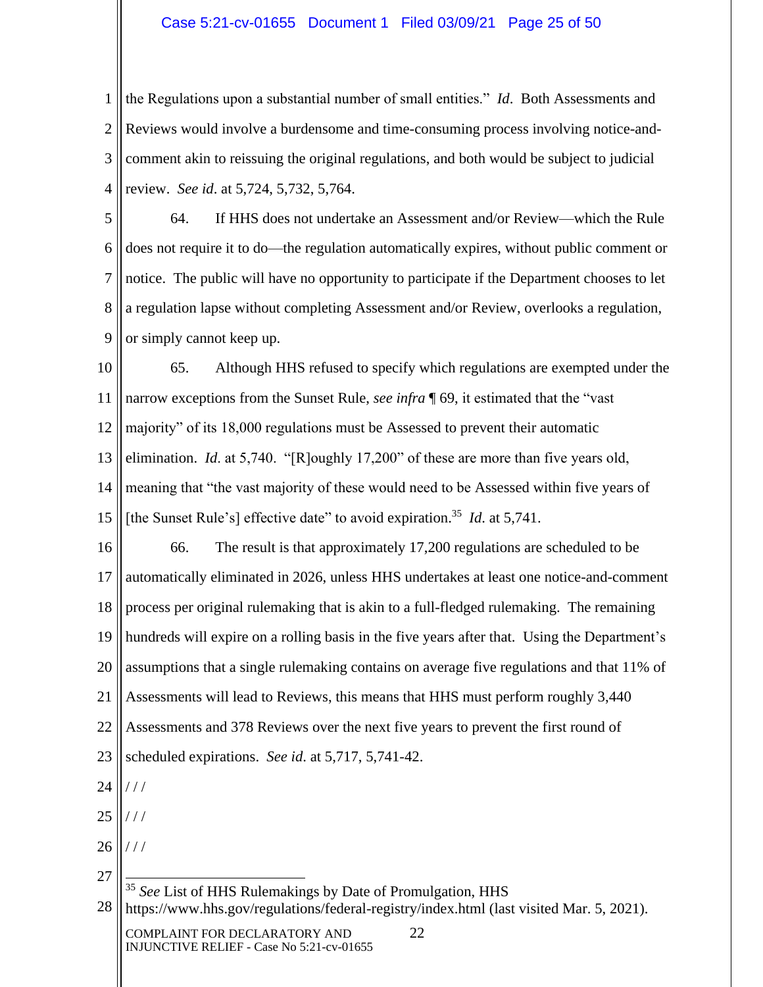## Case 5:21-cv-01655 Document 1 Filed 03/09/21 Page 25 of 50

1 2 3 4 the Regulations upon a substantial number of small entities." *Id*. Both Assessments and Reviews would involve a burdensome and time-consuming process involving notice-andcomment akin to reissuing the original regulations, and both would be subject to judicial review. *See id*. at 5,724, 5,732, 5,764.

5 6 7 8 9 64. If HHS does not undertake an Assessment and/or Review—which the Rule does not require it to do—the regulation automatically expires, without public comment or notice. The public will have no opportunity to participate if the Department chooses to let a regulation lapse without completing Assessment and/or Review, overlooks a regulation, or simply cannot keep up.

10 11 12 13 14 15 65. Although HHS refused to specify which regulations are exempted under the narrow exceptions from the Sunset Rule, *see infra* ¶ 69, it estimated that the "vast majority" of its 18,000 regulations must be Assessed to prevent their automatic elimination. *Id*. at 5,740. "[R]oughly 17,200" of these are more than five years old, meaning that "the vast majority of these would need to be Assessed within five years of [the Sunset Rule's] effective date" to avoid expiration.<sup>35</sup> *Id.* at 5,741.

16 17 18 19 20 21 22 23 24 66. The result is that approximately 17,200 regulations are scheduled to be automatically eliminated in 2026, unless HHS undertakes at least one notice-and-comment process per original rulemaking that is akin to a full-fledged rulemaking. The remaining hundreds will expire on a rolling basis in the five years after that. Using the Department's assumptions that a single rulemaking contains on average five regulations and that 11% of Assessments will lead to Reviews, this means that HHS must perform roughly 3,440 Assessments and 378 Reviews over the next five years to prevent the first round of scheduled expirations. *See id*. at 5,717, 5,741-42. / / /

25 / / /

26  $//$ 

27 28 <sup>35</sup> *See* List of HHS Rulemakings by Date of Promulgation, HHS https://www.hhs.gov/regulations/federal-registry/index.html (last visited Mar. 5, 2021).

COMPLAINT FOR DECLARATORY AND 22 INJUNCTIVE RELIEF - Case No 5:21-cv-01655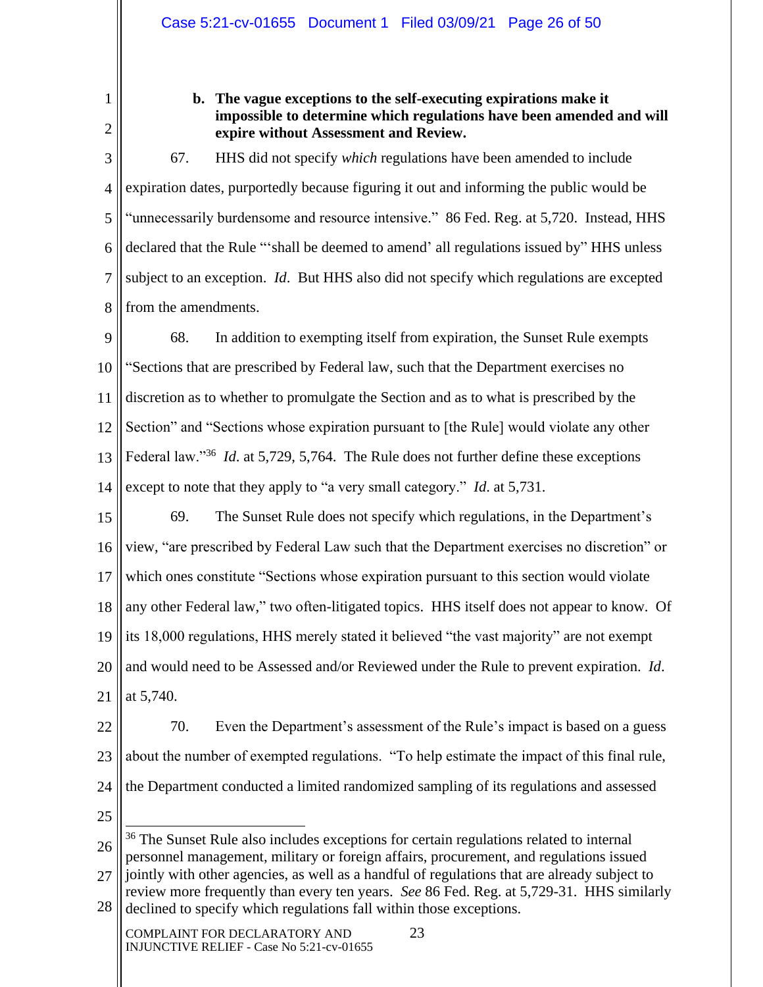1 2

# **b. The vague exceptions to the self-executing expirations make it impossible to determine which regulations have been amended and will expire without Assessment and Review.**

3 4 5 6 7 8 67. HHS did not specify *which* regulations have been amended to include expiration dates, purportedly because figuring it out and informing the public would be "unnecessarily burdensome and resource intensive." 86 Fed. Reg. at 5,720. Instead, HHS declared that the Rule "'shall be deemed to amend' all regulations issued by" HHS unless subject to an exception. *Id*. But HHS also did not specify which regulations are excepted from the amendments.

9 10 11 12 13 14 68. In addition to exempting itself from expiration, the Sunset Rule exempts "Sections that are prescribed by Federal law, such that the Department exercises no discretion as to whether to promulgate the Section and as to what is prescribed by the Section" and "Sections whose expiration pursuant to [the Rule] would violate any other Federal law."<sup>36</sup> *Id.* at 5,729, 5,764. The Rule does not further define these exceptions except to note that they apply to "a very small category." *Id*. at 5,731.

15 16 17 18 19 20 21 69. The Sunset Rule does not specify which regulations, in the Department's view, "are prescribed by Federal Law such that the Department exercises no discretion" or which ones constitute "Sections whose expiration pursuant to this section would violate any other Federal law," two often-litigated topics. HHS itself does not appear to know. Of its 18,000 regulations, HHS merely stated it believed "the vast majority" are not exempt and would need to be Assessed and/or Reviewed under the Rule to prevent expiration. *Id*. at 5,740.

- 22 23 24 70. Even the Department's assessment of the Rule's impact is based on a guess about the number of exempted regulations. "To help estimate the impact of this final rule, the Department conducted a limited randomized sampling of its regulations and assessed
- 25

<sup>26</sup> 27 <sup>36</sup> The Sunset Rule also includes exceptions for certain regulations related to internal personnel management, military or foreign affairs, procurement, and regulations issued jointly with other agencies, as well as a handful of regulations that are already subject to

<sup>28</sup> review more frequently than every ten years. *See* 86 Fed. Reg. at 5,729-31. HHS similarly declined to specify which regulations fall within those exceptions.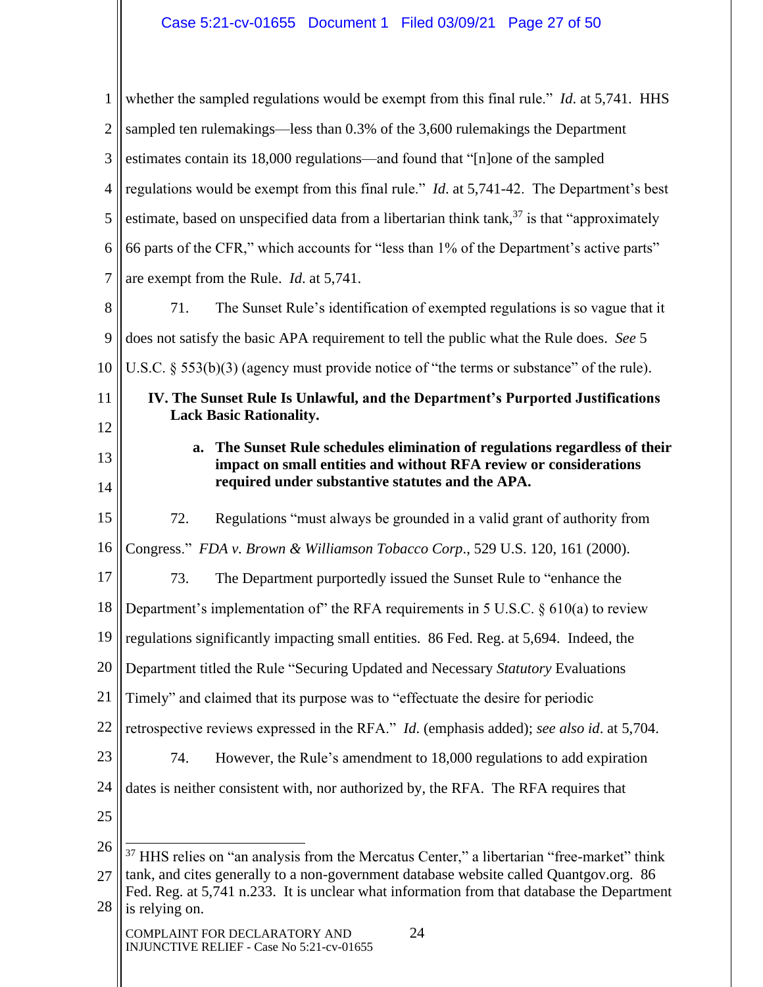| 1              | whether the sampled regulations would be exempt from this final rule." <i>Id.</i> at 5,741. HHS                                                                                                         |  |  |
|----------------|---------------------------------------------------------------------------------------------------------------------------------------------------------------------------------------------------------|--|--|
| $\overline{2}$ | sampled ten rulemakings—less than 0.3% of the 3,600 rulemakings the Department                                                                                                                          |  |  |
| 3              | estimates contain its 18,000 regulations—and found that "[n]one of the sampled                                                                                                                          |  |  |
| 4              | regulations would be exempt from this final rule." <i>Id.</i> at 5,741-42. The Department's best                                                                                                        |  |  |
| 5              | estimate, based on unspecified data from a libertarian think $tan k$ , $37$ is that "approximately                                                                                                      |  |  |
| 6              | 66 parts of the CFR," which accounts for "less than 1% of the Department's active parts"                                                                                                                |  |  |
| 7              | are exempt from the Rule. <i>Id.</i> at 5,741.                                                                                                                                                          |  |  |
| 8              | 71.<br>The Sunset Rule's identification of exempted regulations is so vague that it                                                                                                                     |  |  |
| 9              | does not satisfy the basic APA requirement to tell the public what the Rule does. See 5                                                                                                                 |  |  |
| 10             | U.S.C. $\S$ 553(b)(3) (agency must provide notice of "the terms or substance" of the rule).                                                                                                             |  |  |
| 11             | IV. The Sunset Rule Is Unlawful, and the Department's Purported Justifications<br><b>Lack Basic Rationality.</b>                                                                                        |  |  |
| 12             |                                                                                                                                                                                                         |  |  |
| 13<br>14       | The Sunset Rule schedules elimination of regulations regardless of their<br>a.<br>impact on small entities and without RFA review or considerations<br>required under substantive statutes and the APA. |  |  |
| 15             | Regulations "must always be grounded in a valid grant of authority from<br>72.                                                                                                                          |  |  |
| 16             | Congress." FDA v. Brown & Williamson Tobacco Corp., 529 U.S. 120, 161 (2000).                                                                                                                           |  |  |
| 17             | 73.<br>The Department purportedly issued the Sunset Rule to "enhance the                                                                                                                                |  |  |
| 18             | Department's implementation of the RFA requirements in 5 U.S.C. $\S 610(a)$ to review                                                                                                                   |  |  |
| 19             | regulations significantly impacting small entities. 86 Fed. Reg. at 5,694. Indeed, the                                                                                                                  |  |  |
| 20             | Department titled the Rule "Securing Updated and Necessary Statutory Evaluations                                                                                                                        |  |  |
| 21             | Timely" and claimed that its purpose was to "effectuate the desire for periodic                                                                                                                         |  |  |
| 22             | retrospective reviews expressed in the RFA." <i>Id.</i> (emphasis added); see also id. at 5,704.                                                                                                        |  |  |
| 23             | 74.<br>However, the Rule's amendment to 18,000 regulations to add expiration                                                                                                                            |  |  |
| 24             | dates is neither consistent with, nor authorized by, the RFA. The RFA requires that                                                                                                                     |  |  |
| 25             |                                                                                                                                                                                                         |  |  |
| 26             | <sup>37</sup> HHS relies on "an analysis from the Mercatus Center," a libertarian "free-market" think                                                                                                   |  |  |
| 27             | tank, and cites generally to a non-government database website called Quantgov.org. 86<br>Fed. Reg. at 5,741 n.233. It is unclear what information from that database the Department                    |  |  |
| 28             | is relying on.                                                                                                                                                                                          |  |  |
|                | 24<br>COMPLAINT FOR DECLARATORY AND<br>INJUNCTIVE RELIEF - Case No 5:21-cv-01655                                                                                                                        |  |  |

 $\mathbb{I}$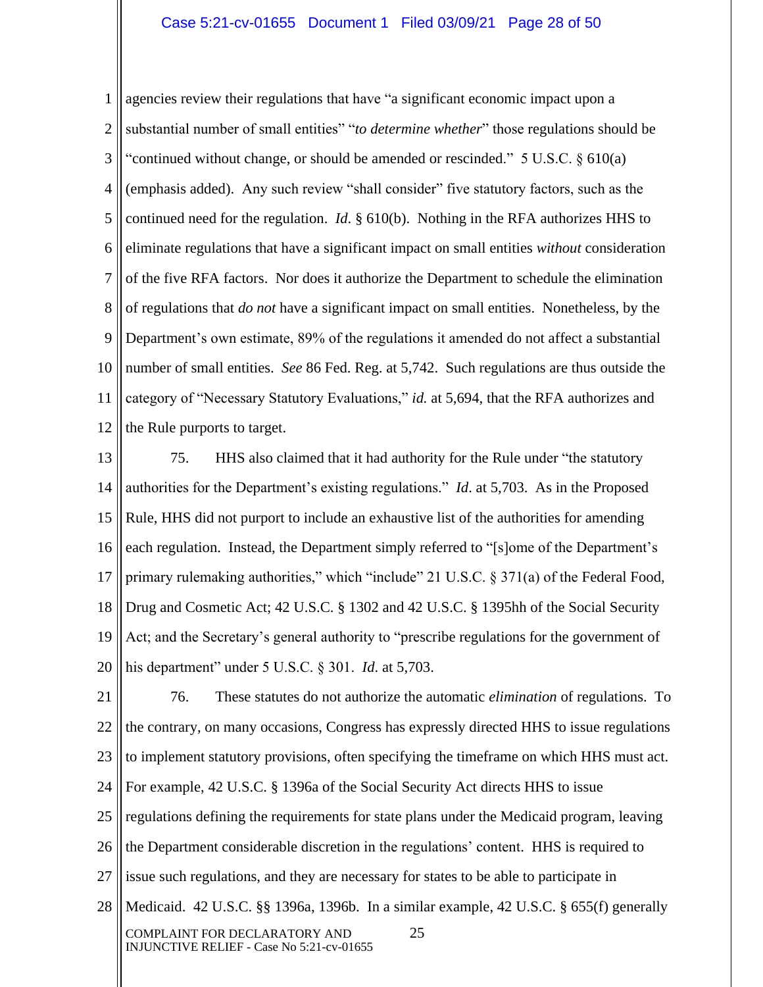#### Case 5:21-cv-01655 Document 1 Filed 03/09/21 Page 28 of 50

1 2 3 4 5 6 7 8 9 10 11 12 agencies review their regulations that have "a significant economic impact upon a substantial number of small entities" "*to determine whether*" those regulations should be "continued without change, or should be amended or rescinded." 5 U.S.C. § 610(a) (emphasis added). Any such review "shall consider" five statutory factors, such as the continued need for the regulation. *Id*. § 610(b). Nothing in the RFA authorizes HHS to eliminate regulations that have a significant impact on small entities *without* consideration of the five RFA factors. Nor does it authorize the Department to schedule the elimination of regulations that *do not* have a significant impact on small entities. Nonetheless, by the Department's own estimate, 89% of the regulations it amended do not affect a substantial number of small entities. *See* 86 Fed. Reg. at 5,742. Such regulations are thus outside the category of "Necessary Statutory Evaluations," *id.* at 5,694, that the RFA authorizes and the Rule purports to target.

13 14 15 16 17 18 19 20 75. HHS also claimed that it had authority for the Rule under "the statutory authorities for the Department's existing regulations." *Id*. at 5,703. As in the Proposed Rule, HHS did not purport to include an exhaustive list of the authorities for amending each regulation. Instead, the Department simply referred to "[s]ome of the Department's primary rulemaking authorities," which "include" 21 U.S.C. § 371(a) of the Federal Food, Drug and Cosmetic Act; 42 U.S.C. § 1302 and 42 U.S.C. § 1395hh of the Social Security Act; and the Secretary's general authority to "prescribe regulations for the government of his department" under 5 U.S.C. § 301. *Id*. at 5,703.

21 22 23 24 25 26 27 28 COMPLAINT FOR DECLARATORY AND 25 INJUNCTIVE RELIEF - Case No 5:21-cv-01655 76. These statutes do not authorize the automatic *elimination* of regulations. To the contrary, on many occasions, Congress has expressly directed HHS to issue regulations to implement statutory provisions, often specifying the timeframe on which HHS must act. For example, 42 U.S.C. § 1396a of the Social Security Act directs HHS to issue regulations defining the requirements for state plans under the Medicaid program, leaving the Department considerable discretion in the regulations' content. HHS is required to issue such regulations, and they are necessary for states to be able to participate in Medicaid. 42 U.S.C. §§ 1396a, 1396b. In a similar example, 42 U.S.C. § 655(f) generally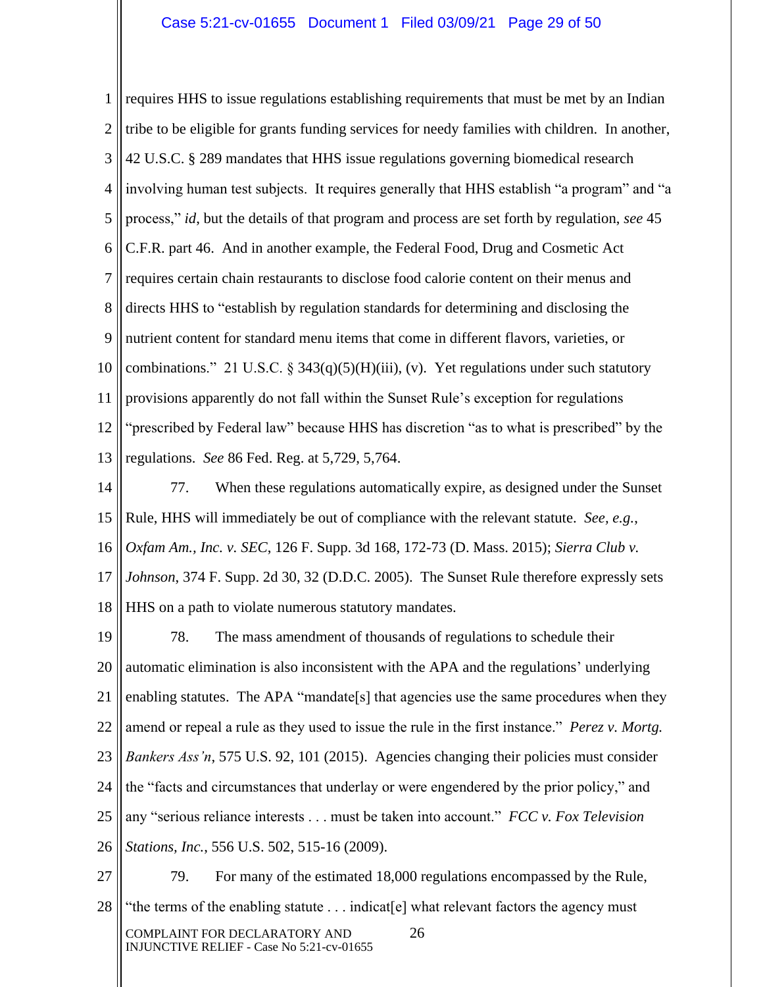1 2 3 4 5 6 7 8 9 10 11 12 13 requires HHS to issue regulations establishing requirements that must be met by an Indian tribe to be eligible for grants funding services for needy families with children. In another, 42 U.S.C. § 289 mandates that HHS issue regulations governing biomedical research involving human test subjects. It requires generally that HHS establish "a program" and "a process," *id*, but the details of that program and process are set forth by regulation, *see* 45 C.F.R. part 46. And in another example, the Federal Food, Drug and Cosmetic Act requires certain chain restaurants to disclose food calorie content on their menus and directs HHS to "establish by regulation standards for determining and disclosing the nutrient content for standard menu items that come in different flavors, varieties, or combinations." 21 U.S.C. § 343(q)(5)(H)(iii), (v). Yet regulations under such statutory provisions apparently do not fall within the Sunset Rule's exception for regulations "prescribed by Federal law" because HHS has discretion "as to what is prescribed" by the regulations. *See* 86 Fed. Reg. at 5,729, 5,764.

14 15 16 17 18 77. When these regulations automatically expire, as designed under the Sunset Rule, HHS will immediately be out of compliance with the relevant statute. *See, e.g.*, *Oxfam Am., Inc. v. SEC*, 126 F. Supp. 3d 168, 172-73 (D. Mass. 2015); *Sierra Club v. Johnson*, 374 F. Supp. 2d 30, 32 (D.D.C. 2005). The Sunset Rule therefore expressly sets HHS on a path to violate numerous statutory mandates.

19 20 21 22 23 24 25 26 78. The mass amendment of thousands of regulations to schedule their automatic elimination is also inconsistent with the APA and the regulations' underlying enabling statutes. The APA "mandate<sup>[s]</sup> that agencies use the same procedures when they amend or repeal a rule as they used to issue the rule in the first instance." *Perez v. Mortg. Bankers Ass'n*, 575 U.S. 92, 101 (2015). Agencies changing their policies must consider the "facts and circumstances that underlay or were engendered by the prior policy," and any "serious reliance interests . . . must be taken into account." *FCC v. Fox Television Stations, Inc.*, 556 U.S. 502, 515-16 (2009).

27 28 COMPLAINT FOR DECLARATORY AND 26 INJUNCTIVE RELIEF - Case No 5:21-cv-01655 79. For many of the estimated 18,000 regulations encompassed by the Rule, "the terms of the enabling statute . . . indicat[e] what relevant factors the agency must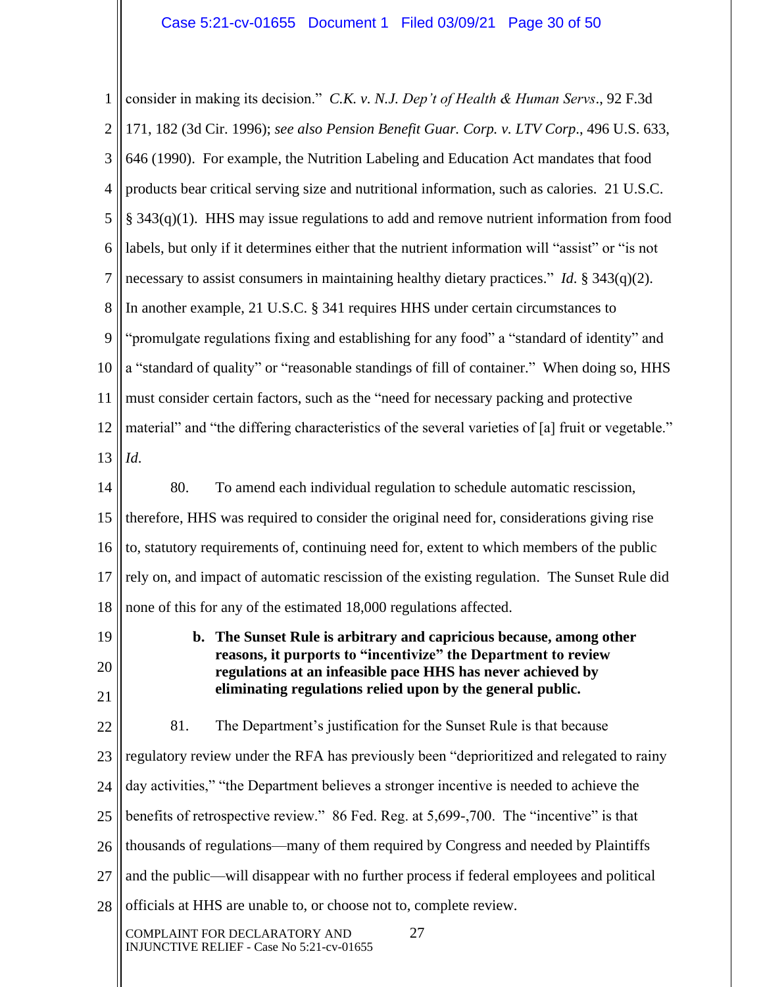1 2 3 4 5 6 7 8 9 10 11 12 13 14 15 16 17 18 19 20 21 22 23 24 25 26 27 28 COMPLAINT FOR DECLARATORY AND 27 INJUNCTIVE RELIEF - Case No 5:21-cv-01655 consider in making its decision." *C.K. v. N.J. Dep't of Health & Human Servs*., 92 F.3d 171, 182 (3d Cir. 1996); *see also Pension Benefit Guar. Corp. v. LTV Corp*., 496 U.S. 633, 646 (1990). For example, the Nutrition Labeling and Education Act mandates that food products bear critical serving size and nutritional information, such as calories. 21 U.S.C. § 343(q)(1). HHS may issue regulations to add and remove nutrient information from food labels, but only if it determines either that the nutrient information will "assist" or "is not necessary to assist consumers in maintaining healthy dietary practices." *Id*. § 343(q)(2). In another example, 21 U.S.C. § 341 requires HHS under certain circumstances to "promulgate regulations fixing and establishing for any food" a "standard of identity" and a "standard of quality" or "reasonable standings of fill of container." When doing so, HHS must consider certain factors, such as the "need for necessary packing and protective material" and "the differing characteristics of the several varieties of [a] fruit or vegetable." *Id*. 80. To amend each individual regulation to schedule automatic rescission, therefore, HHS was required to consider the original need for, considerations giving rise to, statutory requirements of, continuing need for, extent to which members of the public rely on, and impact of automatic rescission of the existing regulation. The Sunset Rule did none of this for any of the estimated 18,000 regulations affected. **b. The Sunset Rule is arbitrary and capricious because, among other reasons, it purports to "incentivize" the Department to review regulations at an infeasible pace HHS has never achieved by eliminating regulations relied upon by the general public.**  81. The Department's justification for the Sunset Rule is that because regulatory review under the RFA has previously been "deprioritized and relegated to rainy day activities," "the Department believes a stronger incentive is needed to achieve the benefits of retrospective review." 86 Fed. Reg. at 5,699-,700. The "incentive" is that thousands of regulations—many of them required by Congress and needed by Plaintiffs and the public—will disappear with no further process if federal employees and political officials at HHS are unable to, or choose not to, complete review.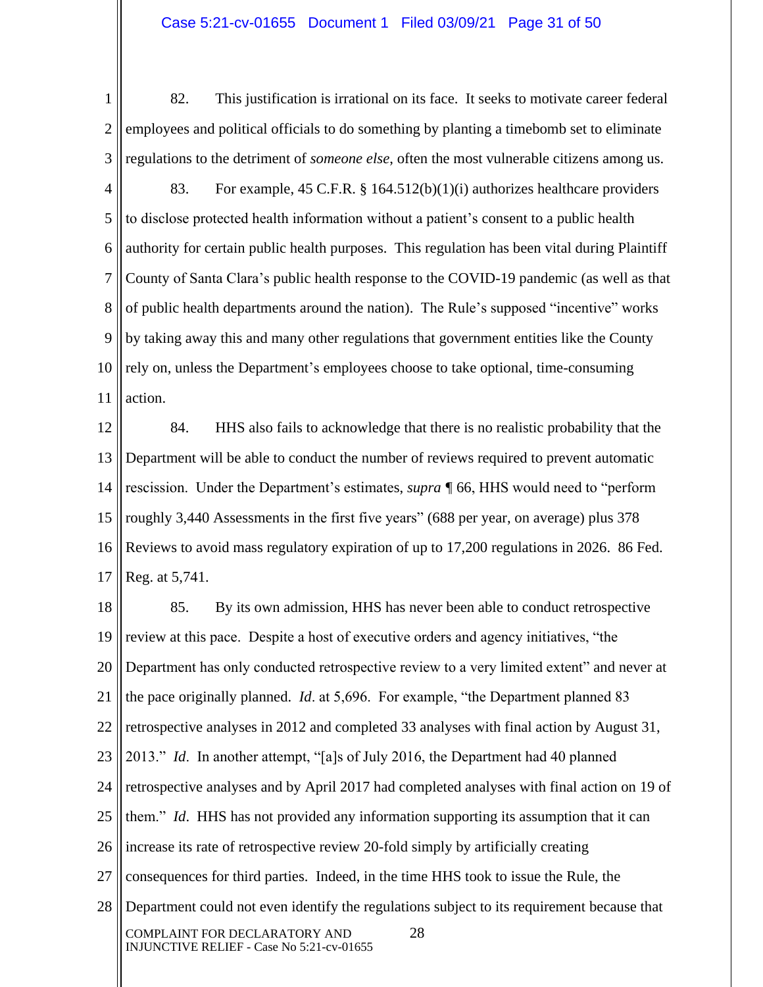#### Case 5:21-cv-01655 Document 1 Filed 03/09/21 Page 31 of 50

1 2 3 82. This justification is irrational on its face. It seeks to motivate career federal employees and political officials to do something by planting a timebomb set to eliminate regulations to the detriment of *someone else*, often the most vulnerable citizens among us.

4 5 6 7 8 9 10 11 83. For example, 45 C.F.R. § 164.512(b)(1)(i) authorizes healthcare providers to disclose protected health information without a patient's consent to a public health authority for certain public health purposes. This regulation has been vital during Plaintiff County of Santa Clara's public health response to the COVID-19 pandemic (as well as that of public health departments around the nation). The Rule's supposed "incentive" works by taking away this and many other regulations that government entities like the County rely on, unless the Department's employees choose to take optional, time-consuming action.

12 13 14 15 16 17 84. HHS also fails to acknowledge that there is no realistic probability that the Department will be able to conduct the number of reviews required to prevent automatic rescission. Under the Department's estimates, *supra ¶* 66, HHS would need to "perform roughly 3,440 Assessments in the first five years" (688 per year, on average) plus 378 Reviews to avoid mass regulatory expiration of up to 17,200 regulations in 2026. 86 Fed. Reg. at 5,741.

18 19 20 21 22 23 24 25 26 27 28 COMPLAINT FOR DECLARATORY AND 28 INJUNCTIVE RELIEF - Case No 5:21-cv-01655 85. By its own admission, HHS has never been able to conduct retrospective review at this pace. Despite a host of executive orders and agency initiatives, "the Department has only conducted retrospective review to a very limited extent" and never at the pace originally planned. *Id*. at 5,696. For example, "the Department planned 83 retrospective analyses in 2012 and completed 33 analyses with final action by August 31, 2013." *Id*. In another attempt, "[a]s of July 2016, the Department had 40 planned retrospective analyses and by April 2017 had completed analyses with final action on 19 of them." *Id*. HHS has not provided any information supporting its assumption that it can increase its rate of retrospective review 20-fold simply by artificially creating consequences for third parties. Indeed, in the time HHS took to issue the Rule, the Department could not even identify the regulations subject to its requirement because that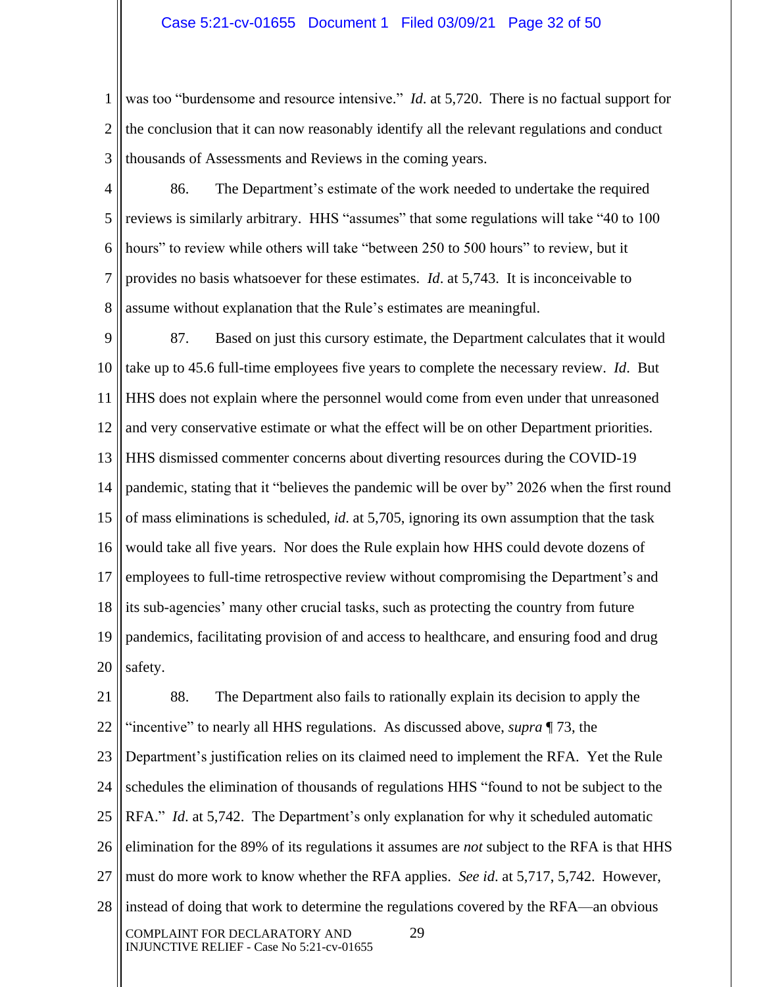1 2 3 was too "burdensome and resource intensive." *Id.* at 5,720. There is no factual support for the conclusion that it can now reasonably identify all the relevant regulations and conduct thousands of Assessments and Reviews in the coming years.

4 5 6 7 8 86. The Department's estimate of the work needed to undertake the required reviews is similarly arbitrary. HHS "assumes" that some regulations will take "40 to 100 hours" to review while others will take "between 250 to 500 hours" to review, but it provides no basis whatsoever for these estimates. *Id*. at 5,743. It is inconceivable to assume without explanation that the Rule's estimates are meaningful.

9 10 11 12 13 14 15 16 17 18 19 20 87. Based on just this cursory estimate, the Department calculates that it would take up to 45.6 full-time employees five years to complete the necessary review. *Id*. But HHS does not explain where the personnel would come from even under that unreasoned and very conservative estimate or what the effect will be on other Department priorities. HHS dismissed commenter concerns about diverting resources during the COVID-19 pandemic, stating that it "believes the pandemic will be over by" 2026 when the first round of mass eliminations is scheduled, *id*. at 5,705, ignoring its own assumption that the task would take all five years. Nor does the Rule explain how HHS could devote dozens of employees to full-time retrospective review without compromising the Department's and its sub-agencies' many other crucial tasks, such as protecting the country from future pandemics, facilitating provision of and access to healthcare, and ensuring food and drug safety.

21 22 23 24 25 26 27 28 COMPLAINT FOR DECLARATORY AND 29 INJUNCTIVE RELIEF - Case No 5:21-cv-01655 88. The Department also fails to rationally explain its decision to apply the "incentive" to nearly all HHS regulations. As discussed above, *supra* ¶ 73, the Department's justification relies on its claimed need to implement the RFA. Yet the Rule schedules the elimination of thousands of regulations HHS "found to not be subject to the RFA." *Id*. at 5,742. The Department's only explanation for why it scheduled automatic elimination for the 89% of its regulations it assumes are *not* subject to the RFA is that HHS must do more work to know whether the RFA applies. *See id*. at 5,717, 5,742. However, instead of doing that work to determine the regulations covered by the RFA—an obvious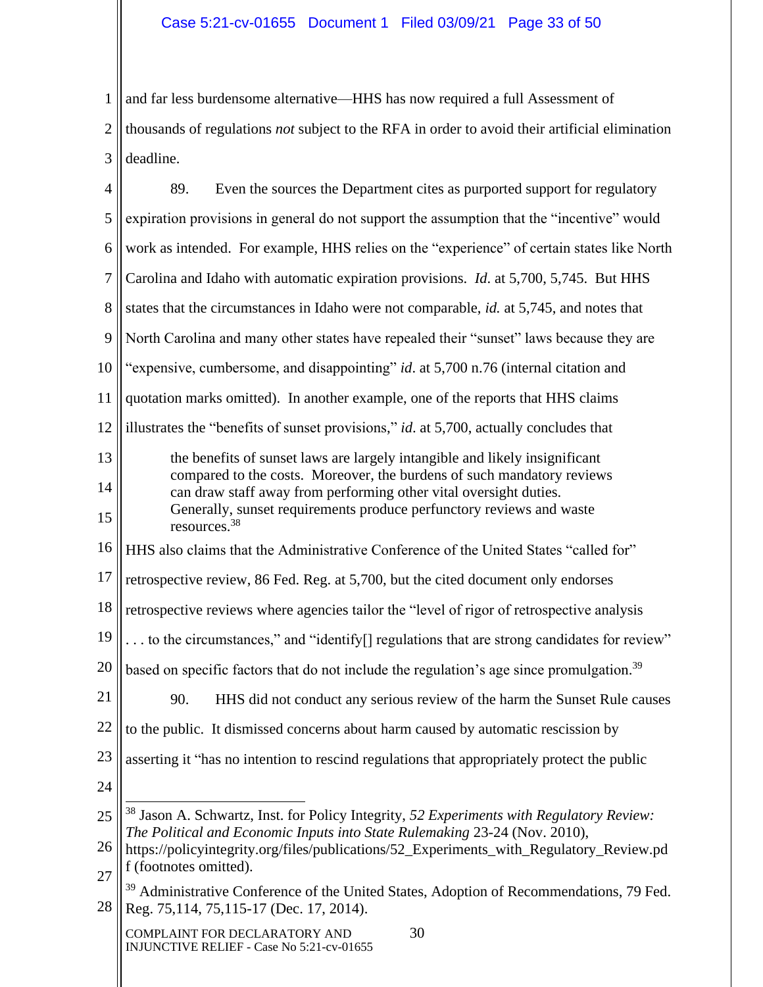1 2 3 and far less burdensome alternative—HHS has now required a full Assessment of thousands of regulations *not* subject to the RFA in order to avoid their artificial elimination deadline.

| $\overline{4}$ | Even the sources the Department cites as purported support for regulatory<br>89.                                                                                                  |  |  |
|----------------|-----------------------------------------------------------------------------------------------------------------------------------------------------------------------------------|--|--|
| 5              | expiration provisions in general do not support the assumption that the "incentive" would                                                                                         |  |  |
| 6              | work as intended. For example, HHS relies on the "experience" of certain states like North                                                                                        |  |  |
| $\overline{7}$ | Carolina and Idaho with automatic expiration provisions. <i>Id.</i> at 5,700, 5,745. But HHS                                                                                      |  |  |
| 8              | states that the circumstances in Idaho were not comparable, <i>id.</i> at 5,745, and notes that                                                                                   |  |  |
| 9              | North Carolina and many other states have repealed their "sunset" laws because they are                                                                                           |  |  |
| 10             | "expensive, cumbersome, and disappointing" id. at 5,700 n.76 (internal citation and                                                                                               |  |  |
| 11             | quotation marks omitted). In another example, one of the reports that HHS claims                                                                                                  |  |  |
| 12             | illustrates the "benefits of sunset provisions," id. at $5,700$ , actually concludes that                                                                                         |  |  |
| 13             | the benefits of sunset laws are largely intangible and likely insignificant                                                                                                       |  |  |
| 14             | compared to the costs. Moreover, the burdens of such mandatory reviews<br>can draw staff away from performing other vital oversight duties.                                       |  |  |
| 15             | Generally, sunset requirements produce perfunctory reviews and waste<br>resources. <sup>38</sup>                                                                                  |  |  |
| 16             | HHS also claims that the Administrative Conference of the United States "called for"                                                                                              |  |  |
| 17             | retrospective review, 86 Fed. Reg. at 5,700, but the cited document only endorses                                                                                                 |  |  |
| 18             | retrospective reviews where agencies tailor the "level of rigor of retrospective analysis                                                                                         |  |  |
| 19             | to the circumstances," and "identify <sup>[]</sup> regulations that are strong candidates for review"                                                                             |  |  |
| 20             | based on specific factors that do not include the regulation's age since promulgation. <sup>39</sup>                                                                              |  |  |
| 21             | 90.<br>HHS did not conduct any serious review of the harm the Sunset Rule causes                                                                                                  |  |  |
| 22             | to the public. It dismissed concerns about harm caused by automatic rescission by                                                                                                 |  |  |
| 23             | asserting it "has no intention to rescind regulations that appropriately protect the public                                                                                       |  |  |
| 24             |                                                                                                                                                                                   |  |  |
| 25             | <sup>38</sup> Jason A. Schwartz, Inst. for Policy Integrity, 52 Experiments with Regulatory Review:<br>The Political and Economic Inputs into State Rulemaking 23-24 (Nov. 2010), |  |  |
| 26             | https://policyintegrity.org/files/publications/52_Experiments_with_Regulatory_Review.pd                                                                                           |  |  |
| 27             | f (footnotes omitted).<br><sup>39</sup> Administrative Conference of the United States, Adoption of Recommendations, 79 Fed.                                                      |  |  |
| 28             | Reg. 75,114, 75,115-17 (Dec. 17, 2014).                                                                                                                                           |  |  |
|                | 30<br>COMPLAINT FOR DECLARATORY AND<br>INJUNCTIVE RELIEF - Case No 5:21-cv-01655                                                                                                  |  |  |
|                |                                                                                                                                                                                   |  |  |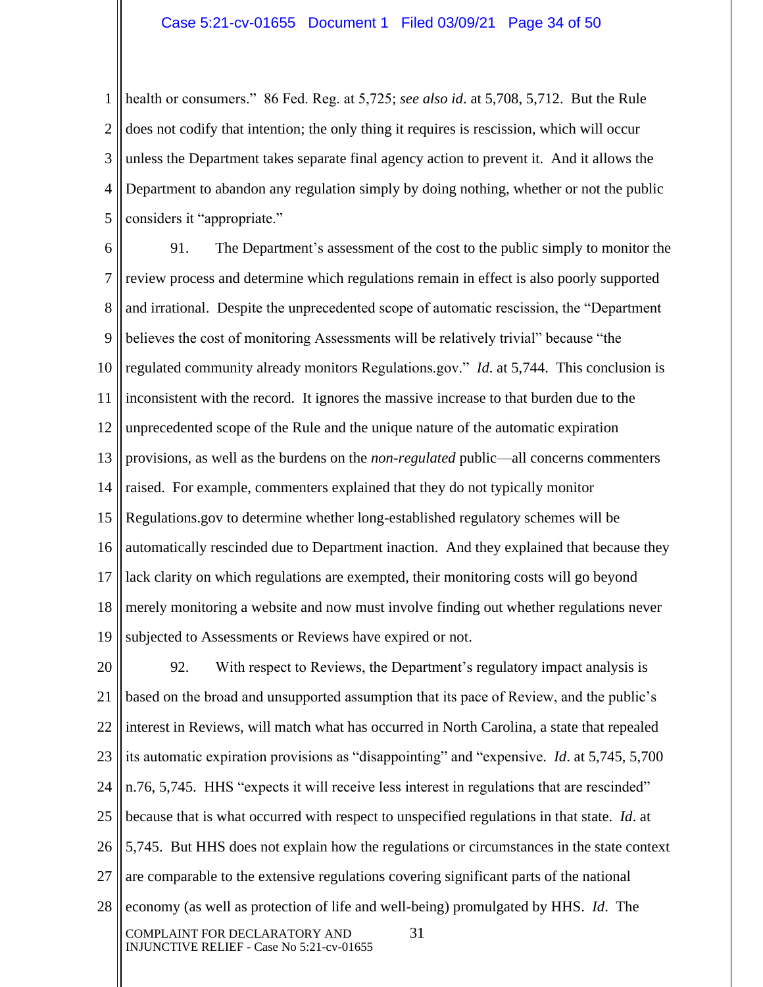1 2 3 4 5 health or consumers." 86 Fed. Reg. at 5,725; *see also id*. at 5,708, 5,712. But the Rule does not codify that intention; the only thing it requires is rescission, which will occur unless the Department takes separate final agency action to prevent it. And it allows the Department to abandon any regulation simply by doing nothing, whether or not the public considers it "appropriate."

6 7 8 9 10 11 12 13 14 15 16 17 18 19 91. The Department's assessment of the cost to the public simply to monitor the review process and determine which regulations remain in effect is also poorly supported and irrational. Despite the unprecedented scope of automatic rescission, the "Department believes the cost of monitoring Assessments will be relatively trivial" because "the regulated community already monitors Regulations.gov." *Id*. at 5,744. This conclusion is inconsistent with the record. It ignores the massive increase to that burden due to the unprecedented scope of the Rule and the unique nature of the automatic expiration provisions, as well as the burdens on the *non-regulated* public—all concerns commenters raised. For example, commenters explained that they do not typically monitor Regulations.gov to determine whether long-established regulatory schemes will be automatically rescinded due to Department inaction. And they explained that because they lack clarity on which regulations are exempted, their monitoring costs will go beyond merely monitoring a website and now must involve finding out whether regulations never subjected to Assessments or Reviews have expired or not.

20 21 22 23 24 25 26 27 28 COMPLAINT FOR DECLARATORY AND 31 INJUNCTIVE RELIEF - Case No 5:21-cv-01655 92. With respect to Reviews, the Department's regulatory impact analysis is based on the broad and unsupported assumption that its pace of Review, and the public's interest in Reviews, will match what has occurred in North Carolina, a state that repealed its automatic expiration provisions as "disappointing" and "expensive. *Id*. at 5,745, 5,700 n.76, 5,745. HHS "expects it will receive less interest in regulations that are rescinded" because that is what occurred with respect to unspecified regulations in that state. *Id*. at 5,745. But HHS does not explain how the regulations or circumstances in the state context are comparable to the extensive regulations covering significant parts of the national economy (as well as protection of life and well-being) promulgated by HHS. *Id*. The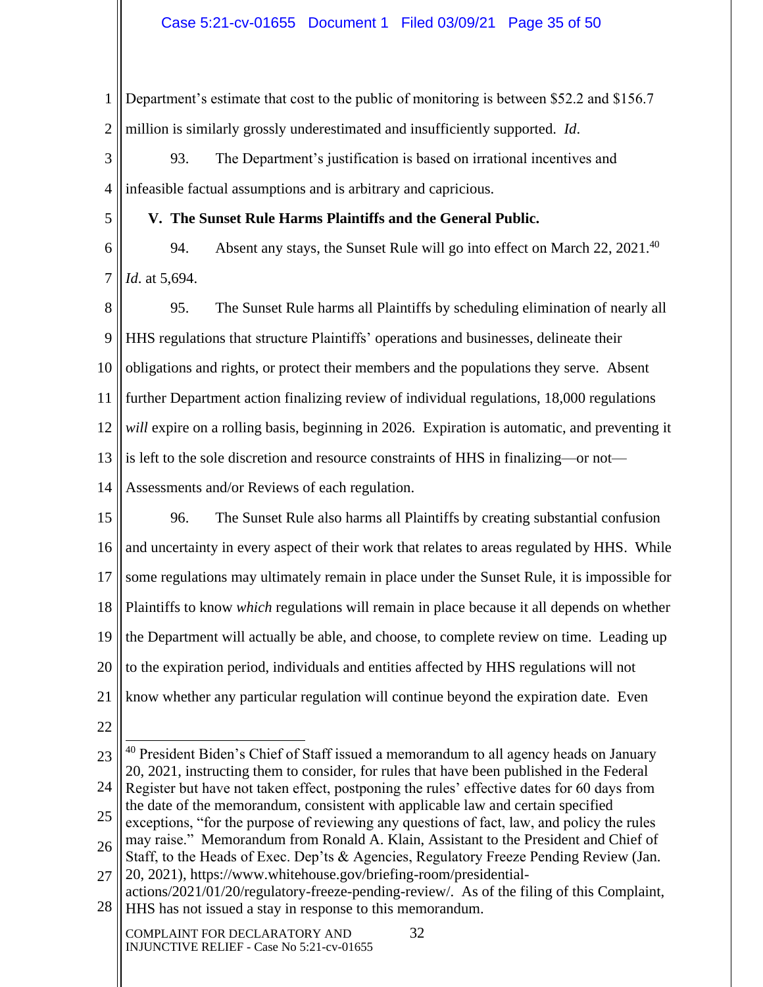1 2 Department's estimate that cost to the public of monitoring is between \$52.2 and \$156.7 million is similarly grossly underestimated and insufficiently supported. *Id*.

3 4 93. The Department's justification is based on irrational incentives and infeasible factual assumptions and is arbitrary and capricious.

**V. The Sunset Rule Harms Plaintiffs and the General Public.**

6 7 94. Absent any stays, the Sunset Rule will go into effect on March 22, 2021.<sup>40</sup> *Id*. at 5,694.

8 9 10 11 12 13 14 95. The Sunset Rule harms all Plaintiffs by scheduling elimination of nearly all HHS regulations that structure Plaintiffs' operations and businesses, delineate their obligations and rights, or protect their members and the populations they serve. Absent further Department action finalizing review of individual regulations, 18,000 regulations *will* expire on a rolling basis, beginning in 2026. Expiration is automatic, and preventing it is left to the sole discretion and resource constraints of HHS in finalizing—or not— Assessments and/or Reviews of each regulation.

15 16 17 18 19 20 21 96. The Sunset Rule also harms all Plaintiffs by creating substantial confusion and uncertainty in every aspect of their work that relates to areas regulated by HHS. While some regulations may ultimately remain in place under the Sunset Rule, it is impossible for Plaintiffs to know *which* regulations will remain in place because it all depends on whether the Department will actually be able, and choose, to complete review on time. Leading up to the expiration period, individuals and entities affected by HHS regulations will not know whether any particular regulation will continue beyond the expiration date. Even

22

5

23 24 25 26 <sup>40</sup> President Biden's Chief of Staff issued a memorandum to all agency heads on January 20, 2021, instructing them to consider, for rules that have been published in the Federal Register but have not taken effect, postponing the rules' effective dates for 60 days from the date of the memorandum, consistent with applicable law and certain specified exceptions, "for the purpose of reviewing any questions of fact, law, and policy the rules may raise." Memorandum from Ronald A. Klain, Assistant to the President and Chief of Staff, to the Heads of Exec. Dep'ts & Agencies, Regulatory Freeze Pending Review (Jan.

27 20, 2021), https://www.whitehouse.gov/briefing-room/presidential-

28 actions/2021/01/20/regulatory-freeze-pending-review/. As of the filing of this Complaint, HHS has not issued a stay in response to this memorandum.

COMPLAINT FOR DECLARATORY AND 32 INJUNCTIVE RELIEF - Case No 5:21-cv-01655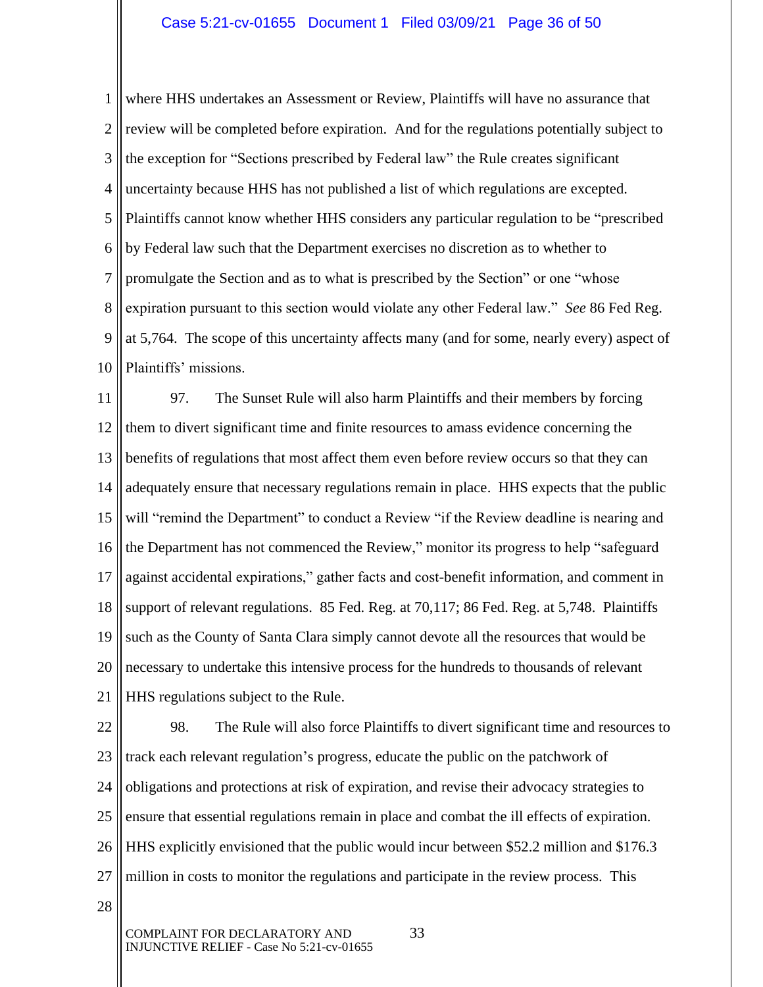1 2 3 4 5 6 7 8 9 10 where HHS undertakes an Assessment or Review, Plaintiffs will have no assurance that review will be completed before expiration. And for the regulations potentially subject to the exception for "Sections prescribed by Federal law" the Rule creates significant uncertainty because HHS has not published a list of which regulations are excepted. Plaintiffs cannot know whether HHS considers any particular regulation to be "prescribed by Federal law such that the Department exercises no discretion as to whether to promulgate the Section and as to what is prescribed by the Section" or one "whose expiration pursuant to this section would violate any other Federal law." *See* 86 Fed Reg. at 5,764. The scope of this uncertainty affects many (and for some, nearly every) aspect of Plaintiffs' missions.

11 12 13 14 15 16 17 18 19 20 21 97. The Sunset Rule will also harm Plaintiffs and their members by forcing them to divert significant time and finite resources to amass evidence concerning the benefits of regulations that most affect them even before review occurs so that they can adequately ensure that necessary regulations remain in place. HHS expects that the public will "remind the Department" to conduct a Review "if the Review deadline is nearing and the Department has not commenced the Review," monitor its progress to help "safeguard against accidental expirations," gather facts and cost-benefit information, and comment in support of relevant regulations. 85 Fed. Reg. at 70,117; 86 Fed. Reg. at 5,748. Plaintiffs such as the County of Santa Clara simply cannot devote all the resources that would be necessary to undertake this intensive process for the hundreds to thousands of relevant HHS regulations subject to the Rule.

22 23 24 25 26 27 98. The Rule will also force Plaintiffs to divert significant time and resources to track each relevant regulation's progress, educate the public on the patchwork of obligations and protections at risk of expiration, and revise their advocacy strategies to ensure that essential regulations remain in place and combat the ill effects of expiration. HHS explicitly envisioned that the public would incur between \$52.2 million and \$176.3 million in costs to monitor the regulations and participate in the review process. This

28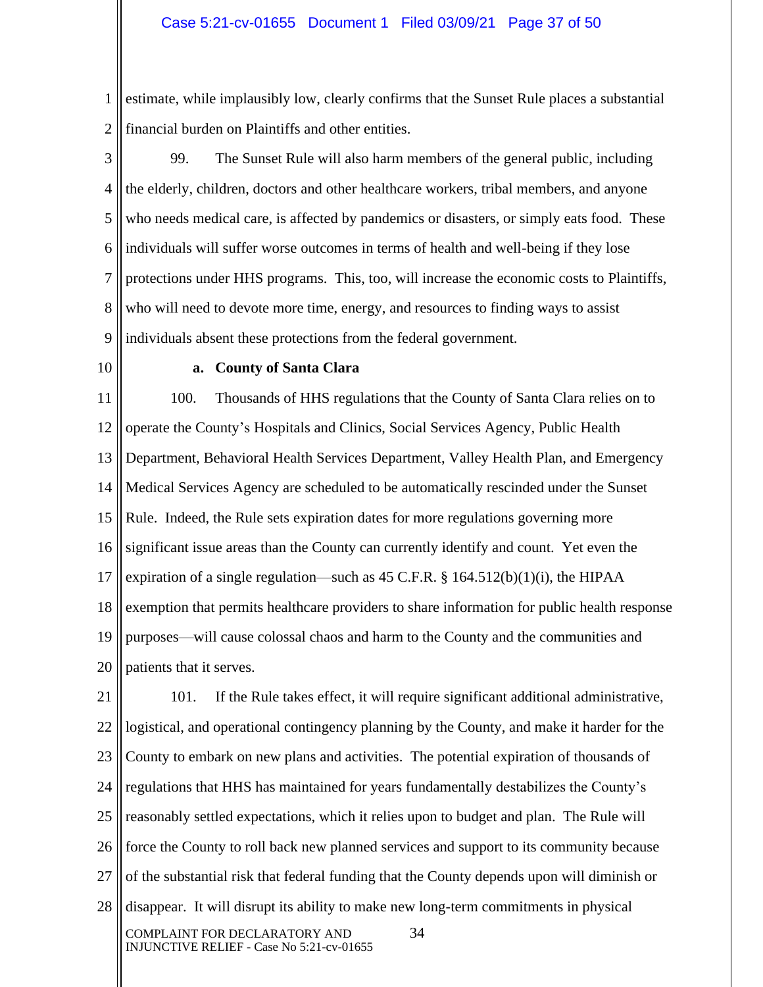1 2 estimate, while implausibly low, clearly confirms that the Sunset Rule places a substantial financial burden on Plaintiffs and other entities.

3 4 5 6 7 8 9 99. The Sunset Rule will also harm members of the general public, including the elderly, children, doctors and other healthcare workers, tribal members, and anyone who needs medical care, is affected by pandemics or disasters, or simply eats food. These individuals will suffer worse outcomes in terms of health and well-being if they lose protections under HHS programs. This, too, will increase the economic costs to Plaintiffs, who will need to devote more time, energy, and resources to finding ways to assist individuals absent these protections from the federal government.

10

#### **a. County of Santa Clara**

11 12 13 14 15 16 17 18 19 20 100. Thousands of HHS regulations that the County of Santa Clara relies on to operate the County's Hospitals and Clinics, Social Services Agency, Public Health Department, Behavioral Health Services Department, Valley Health Plan, and Emergency Medical Services Agency are scheduled to be automatically rescinded under the Sunset Rule. Indeed, the Rule sets expiration dates for more regulations governing more significant issue areas than the County can currently identify and count. Yet even the expiration of a single regulation—such as 45 C.F.R. § 164.512(b)(1)(i), the HIPAA exemption that permits healthcare providers to share information for public health response purposes—will cause colossal chaos and harm to the County and the communities and patients that it serves.

21 22 23 24 25 26 27 28 COMPLAINT FOR DECLARATORY AND 34 INJUNCTIVE RELIEF - Case No 5:21-cv-01655 101. If the Rule takes effect, it will require significant additional administrative, logistical, and operational contingency planning by the County, and make it harder for the County to embark on new plans and activities. The potential expiration of thousands of regulations that HHS has maintained for years fundamentally destabilizes the County's reasonably settled expectations, which it relies upon to budget and plan. The Rule will force the County to roll back new planned services and support to its community because of the substantial risk that federal funding that the County depends upon will diminish or disappear. It will disrupt its ability to make new long-term commitments in physical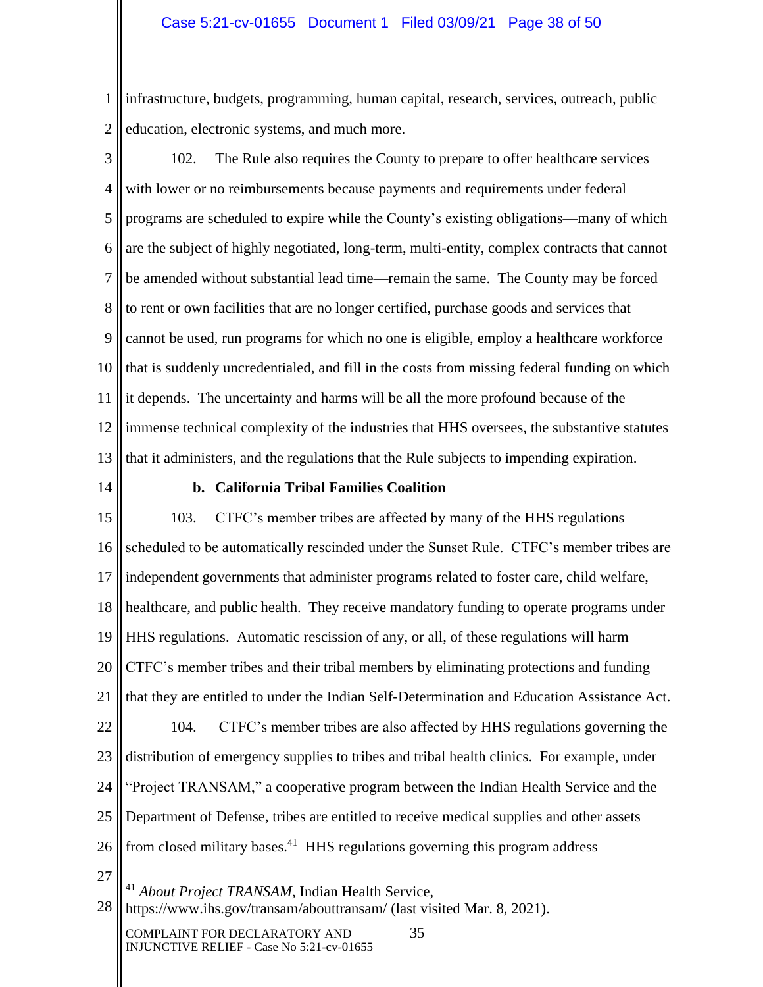1 2 infrastructure, budgets, programming, human capital, research, services, outreach, public education, electronic systems, and much more.

- 3 4 5 6 7 8 9 10 11 12 13 102. The Rule also requires the County to prepare to offer healthcare services with lower or no reimbursements because payments and requirements under federal programs are scheduled to expire while the County's existing obligations—many of which are the subject of highly negotiated, long-term, multi-entity, complex contracts that cannot be amended without substantial lead time—remain the same. The County may be forced to rent or own facilities that are no longer certified, purchase goods and services that cannot be used, run programs for which no one is eligible, employ a healthcare workforce that is suddenly uncredentialed, and fill in the costs from missing federal funding on which it depends. The uncertainty and harms will be all the more profound because of the immense technical complexity of the industries that HHS oversees, the substantive statutes that it administers, and the regulations that the Rule subjects to impending expiration.
- 14

## **b. California Tribal Families Coalition**

15 16 17 18 19 20 21 22 23 24 25 26 103. CTFC's member tribes are affected by many of the HHS regulations scheduled to be automatically rescinded under the Sunset Rule. CTFC's member tribes are independent governments that administer programs related to foster care, child welfare, healthcare, and public health. They receive mandatory funding to operate programs under HHS regulations. Automatic rescission of any, or all, of these regulations will harm CTFC's member tribes and their tribal members by eliminating protections and funding that they are entitled to under the Indian Self-Determination and Education Assistance Act. 104. CTFC's member tribes are also affected by HHS regulations governing the distribution of emergency supplies to tribes and tribal health clinics. For example, under "Project TRANSAM," a cooperative program between the Indian Health Service and the Department of Defense, tribes are entitled to receive medical supplies and other assets from closed military bases. $41$  HHS regulations governing this program address

27

<sup>41</sup> *About Project TRANSAM*, Indian Health Service,

28 https://www.ihs.gov/transam/abouttransam/ (last visited Mar. 8, 2021).

COMPLAINT FOR DECLARATORY AND 35 INJUNCTIVE RELIEF - Case No 5:21-cv-01655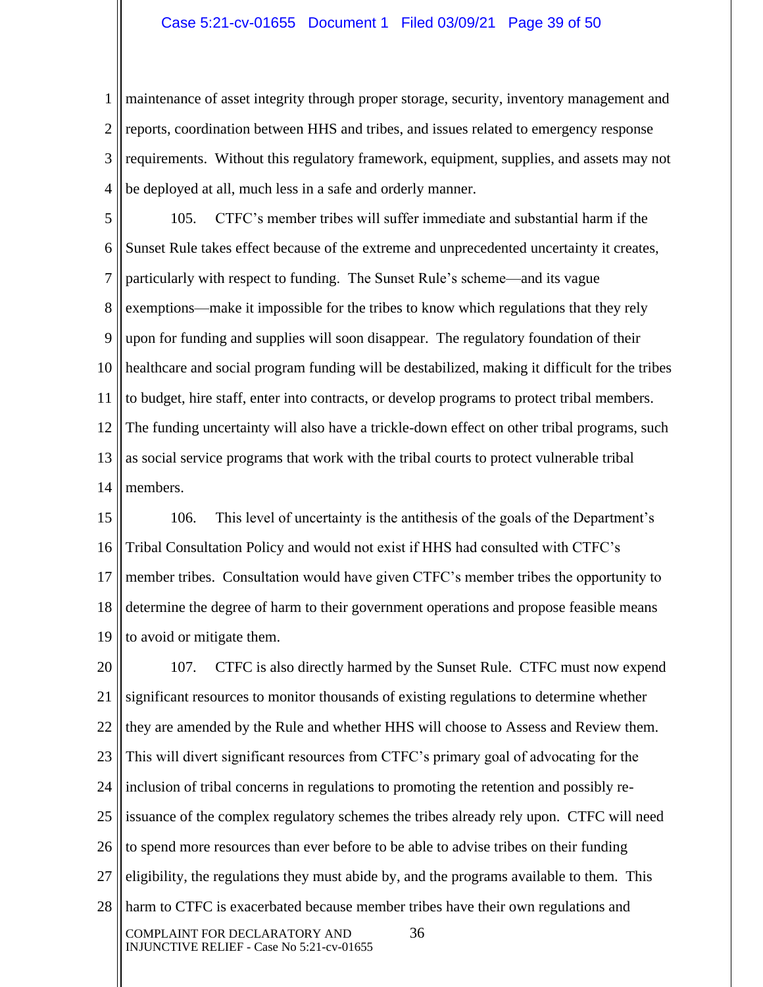1 2 3 4 maintenance of asset integrity through proper storage, security, inventory management and reports, coordination between HHS and tribes, and issues related to emergency response requirements. Without this regulatory framework, equipment, supplies, and assets may not be deployed at all, much less in a safe and orderly manner.

5 6 7 8 9 10 11 12 13 14 105. CTFC's member tribes will suffer immediate and substantial harm if the Sunset Rule takes effect because of the extreme and unprecedented uncertainty it creates, particularly with respect to funding. The Sunset Rule's scheme—and its vague exemptions—make it impossible for the tribes to know which regulations that they rely upon for funding and supplies will soon disappear. The regulatory foundation of their healthcare and social program funding will be destabilized, making it difficult for the tribes to budget, hire staff, enter into contracts, or develop programs to protect tribal members. The funding uncertainty will also have a trickle-down effect on other tribal programs, such as social service programs that work with the tribal courts to protect vulnerable tribal members.

15 16 17 18 19 106. This level of uncertainty is the antithesis of the goals of the Department's Tribal Consultation Policy and would not exist if HHS had consulted with CTFC's member tribes. Consultation would have given CTFC's member tribes the opportunity to determine the degree of harm to their government operations and propose feasible means to avoid or mitigate them.

20 21 22 23 24 25 26 27 28 COMPLAINT FOR DECLARATORY AND 36 INJUNCTIVE RELIEF - Case No 5:21-cv-01655 107. CTFC is also directly harmed by the Sunset Rule. CTFC must now expend significant resources to monitor thousands of existing regulations to determine whether they are amended by the Rule and whether HHS will choose to Assess and Review them. This will divert significant resources from CTFC's primary goal of advocating for the inclusion of tribal concerns in regulations to promoting the retention and possibly reissuance of the complex regulatory schemes the tribes already rely upon. CTFC will need to spend more resources than ever before to be able to advise tribes on their funding eligibility, the regulations they must abide by, and the programs available to them. This harm to CTFC is exacerbated because member tribes have their own regulations and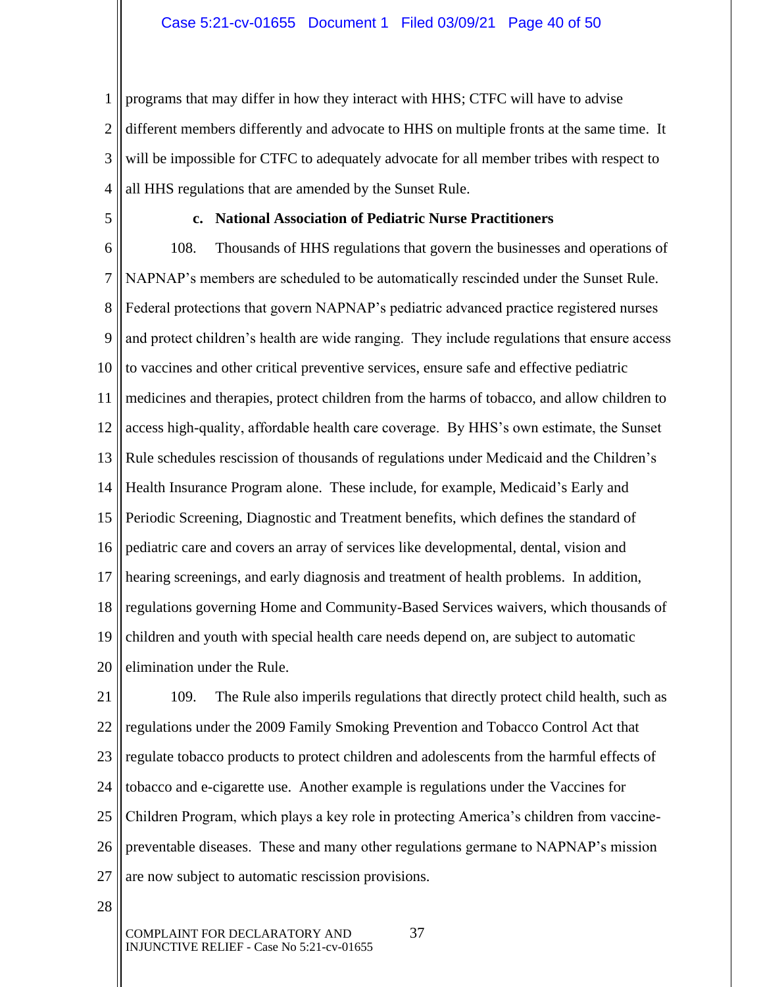1 2 3 4 programs that may differ in how they interact with HHS; CTFC will have to advise different members differently and advocate to HHS on multiple fronts at the same time. It will be impossible for CTFC to adequately advocate for all member tribes with respect to all HHS regulations that are amended by the Sunset Rule.

5

#### **c. National Association of Pediatric Nurse Practitioners**

6 7 8 9 10 11 12 13 14 15 16 17 18 19 20 108. Thousands of HHS regulations that govern the businesses and operations of NAPNAP's members are scheduled to be automatically rescinded under the Sunset Rule. Federal protections that govern NAPNAP's pediatric advanced practice registered nurses and protect children's health are wide ranging. They include regulations that ensure access to vaccines and other critical preventive services, ensure safe and effective pediatric medicines and therapies, protect children from the harms of tobacco, and allow children to access high-quality, affordable health care coverage. By HHS's own estimate, the Sunset Rule schedules rescission of thousands of regulations under Medicaid and the Children's Health Insurance Program alone. These include, for example, Medicaid's Early and Periodic Screening, Diagnostic and Treatment benefits, which defines the standard of pediatric care and covers an array of services like developmental, dental, vision and hearing screenings, and early diagnosis and treatment of health problems. In addition, regulations governing Home and Community-Based Services waivers, which thousands of children and youth with special health care needs depend on, are subject to automatic elimination under the Rule.

21 22 23 24 25 26 27 109. The Rule also imperils regulations that directly protect child health, such as regulations under the 2009 Family Smoking Prevention and Tobacco Control Act that regulate tobacco products to protect children and adolescents from the harmful effects of tobacco and e-cigarette use. Another example is regulations under the Vaccines for Children Program, which plays a key role in protecting America's children from vaccinepreventable diseases. These and many other regulations germane to NAPNAP's mission are now subject to automatic rescission provisions.

28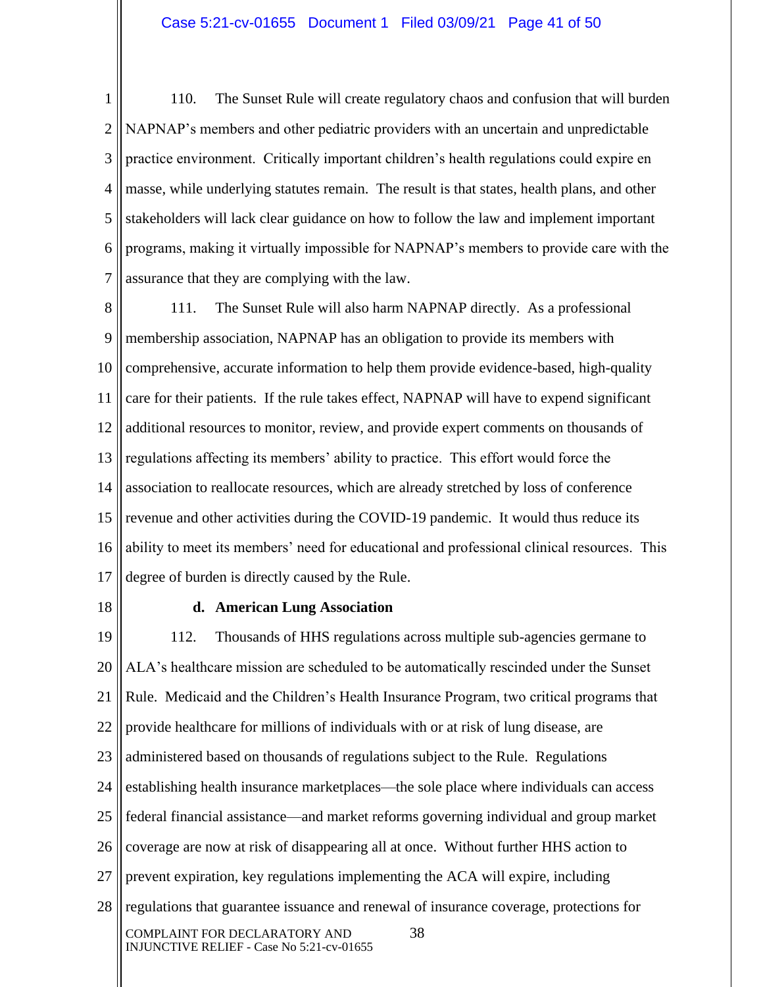1 2 3 4 5 6 7 110. The Sunset Rule will create regulatory chaos and confusion that will burden NAPNAP's members and other pediatric providers with an uncertain and unpredictable practice environment. Critically important children's health regulations could expire en masse, while underlying statutes remain. The result is that states, health plans, and other stakeholders will lack clear guidance on how to follow the law and implement important programs, making it virtually impossible for NAPNAP's members to provide care with the assurance that they are complying with the law.

8 9 10 11 12 13 14 15 16 17 111. The Sunset Rule will also harm NAPNAP directly. As a professional membership association, NAPNAP has an obligation to provide its members with comprehensive, accurate information to help them provide evidence-based, high-quality care for their patients. If the rule takes effect, NAPNAP will have to expend significant additional resources to monitor, review, and provide expert comments on thousands of regulations affecting its members' ability to practice. This effort would force the association to reallocate resources, which are already stretched by loss of conference revenue and other activities during the COVID-19 pandemic. It would thus reduce its ability to meet its members' need for educational and professional clinical resources. This degree of burden is directly caused by the Rule.

18

#### **d. American Lung Association**

19 20 21 22 23 24 25 26 27 28 COMPLAINT FOR DECLARATORY AND 38 INJUNCTIVE RELIEF - Case No 5:21-cv-01655 112. Thousands of HHS regulations across multiple sub-agencies germane to ALA's healthcare mission are scheduled to be automatically rescinded under the Sunset Rule. Medicaid and the Children's Health Insurance Program, two critical programs that provide healthcare for millions of individuals with or at risk of lung disease, are administered based on thousands of regulations subject to the Rule. Regulations establishing health insurance marketplaces—the sole place where individuals can access federal financial assistance—and market reforms governing individual and group market coverage are now at risk of disappearing all at once. Without further HHS action to prevent expiration, key regulations implementing the ACA will expire, including regulations that guarantee issuance and renewal of insurance coverage, protections for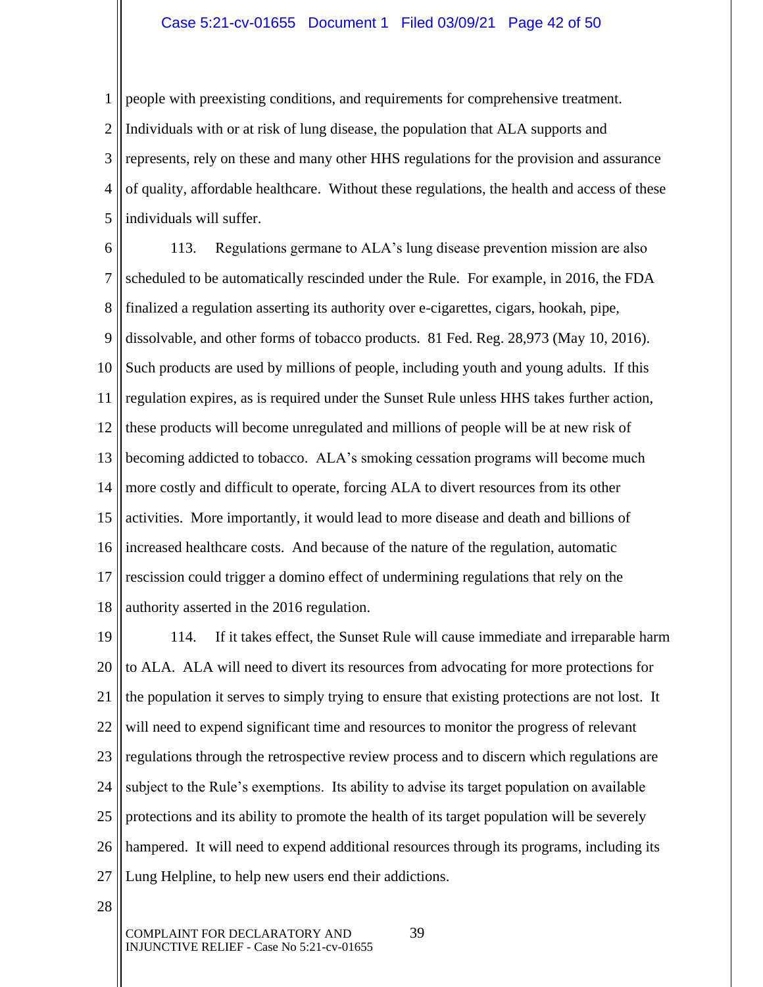#### Case 5:21-cv-01655 Document 1 Filed 03/09/21 Page 42 of 50

1 2 3 4 5 people with preexisting conditions, and requirements for comprehensive treatment. Individuals with or at risk of lung disease, the population that ALA supports and represents, rely on these and many other HHS regulations for the provision and assurance of quality, affordable healthcare. Without these regulations, the health and access of these individuals will suffer.

6 7 8 9 10 11 12 13 14 15 16 17 18 113. Regulations germane to ALA's lung disease prevention mission are also scheduled to be automatically rescinded under the Rule. For example, in 2016, the FDA finalized a regulation asserting its authority over e-cigarettes, cigars, hookah, pipe, dissolvable, and other forms of tobacco products. 81 Fed. Reg. 28,973 (May 10, 2016). Such products are used by millions of people, including youth and young adults. If this regulation expires, as is required under the Sunset Rule unless HHS takes further action, these products will become unregulated and millions of people will be at new risk of becoming addicted to tobacco. ALA's smoking cessation programs will become much more costly and difficult to operate, forcing ALA to divert resources from its other activities. More importantly, it would lead to more disease and death and billions of increased healthcare costs. And because of the nature of the regulation, automatic rescission could trigger a domino effect of undermining regulations that rely on the authority asserted in the 2016 regulation.

19 20 21 22 23 24 25 26 27 114. If it takes effect, the Sunset Rule will cause immediate and irreparable harm to ALA. ALA will need to divert its resources from advocating for more protections for the population it serves to simply trying to ensure that existing protections are not lost. It will need to expend significant time and resources to monitor the progress of relevant regulations through the retrospective review process and to discern which regulations are subject to the Rule's exemptions. Its ability to advise its target population on available protections and its ability to promote the health of its target population will be severely hampered. It will need to expend additional resources through its programs, including its Lung Helpline, to help new users end their addictions.

28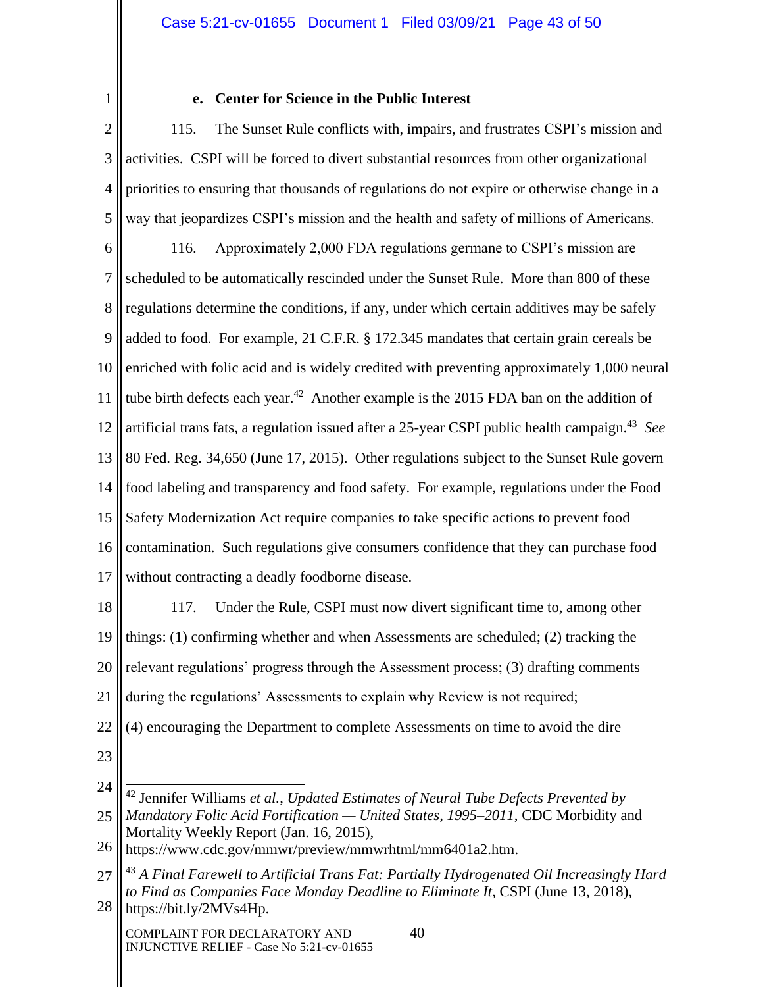1

# **e. Center for Science in the Public Interest**

2 3 4 5 115. The Sunset Rule conflicts with, impairs, and frustrates CSPI's mission and activities. CSPI will be forced to divert substantial resources from other organizational priorities to ensuring that thousands of regulations do not expire or otherwise change in a way that jeopardizes CSPI's mission and the health and safety of millions of Americans.

6 7 8 9 10 11 12 13 14 15 16 17 116. Approximately 2,000 FDA regulations germane to CSPI's mission are scheduled to be automatically rescinded under the Sunset Rule. More than 800 of these regulations determine the conditions, if any, under which certain additives may be safely added to food. For example, 21 C.F.R. § 172.345 mandates that certain grain cereals be enriched with folic acid and is widely credited with preventing approximately 1,000 neural tube birth defects each year.<sup>42</sup> Another example is the 2015 FDA ban on the addition of artificial trans fats, a regulation issued after a 25-year CSPI public health campaign.<sup>43</sup> See 80 Fed. Reg. 34,650 (June 17, 2015). Other regulations subject to the Sunset Rule govern food labeling and transparency and food safety. For example, regulations under the Food Safety Modernization Act require companies to take specific actions to prevent food contamination. Such regulations give consumers confidence that they can purchase food without contracting a deadly foodborne disease.

18 19 20 21 117. Under the Rule, CSPI must now divert significant time to, among other things: (1) confirming whether and when Assessments are scheduled; (2) tracking the relevant regulations' progress through the Assessment process; (3) drafting comments during the regulations' Assessments to explain why Review is not required; (4) encouraging the Department to complete Assessments on time to avoid the dire

- 22
- 23

<sup>24</sup> 25 <sup>42</sup> Jennifer Williams *et al.*, *Updated Estimates of Neural Tube Defects Prevented by Mandatory Folic Acid Fortification — United States, 1995–2011*, CDC Morbidity and Mortality Weekly Report (Jan. 16, 2015),

<sup>26</sup> https://www.cdc.gov/mmwr/preview/mmwrhtml/mm6401a2.htm.

<sup>27</sup> 28 <sup>43</sup> *A Final Farewell to Artificial Trans Fat: Partially Hydrogenated Oil Increasingly Hard to Find as Companies Face Monday Deadline to Eliminate It*, CSPI (June 13, 2018), https://bit.ly/2MVs4Hp.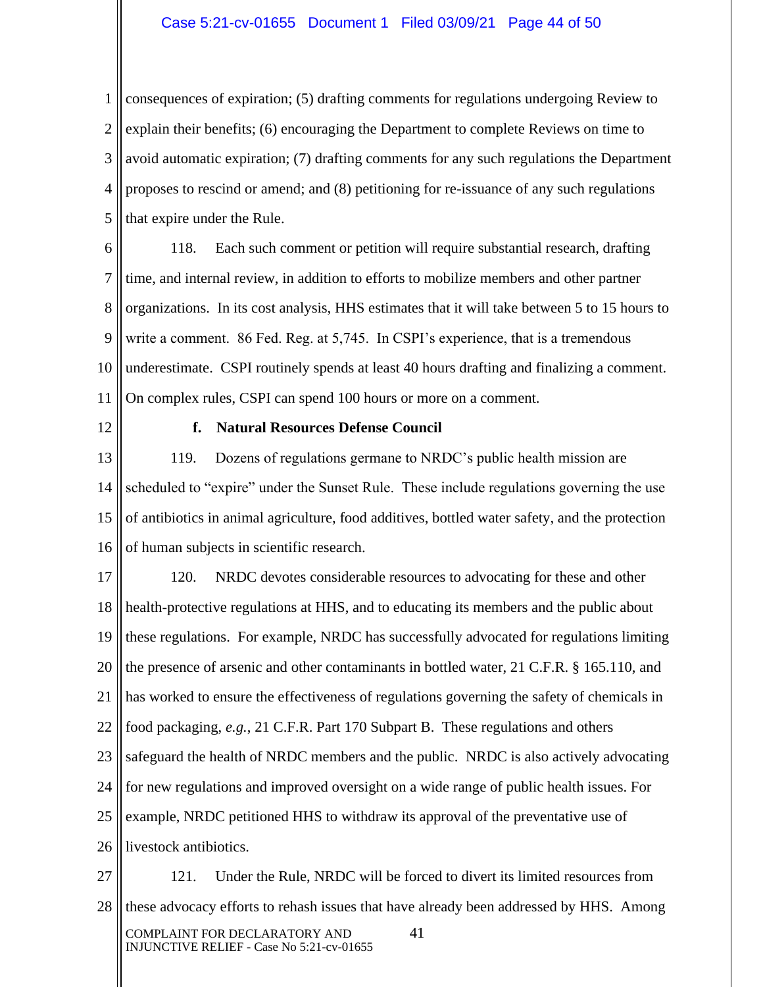#### Case 5:21-cv-01655 Document 1 Filed 03/09/21 Page 44 of 50

1 2 3 4 5 consequences of expiration; (5) drafting comments for regulations undergoing Review to explain their benefits; (6) encouraging the Department to complete Reviews on time to avoid automatic expiration; (7) drafting comments for any such regulations the Department proposes to rescind or amend; and (8) petitioning for re-issuance of any such regulations that expire under the Rule.

6 7 8 9 10 11 118. Each such comment or petition will require substantial research, drafting time, and internal review, in addition to efforts to mobilize members and other partner organizations. In its cost analysis, HHS estimates that it will take between 5 to 15 hours to write a comment. 86 Fed. Reg. at 5,745. In CSPI's experience, that is a tremendous underestimate. CSPI routinely spends at least 40 hours drafting and finalizing a comment. On complex rules, CSPI can spend 100 hours or more on a comment.

12

#### **f. Natural Resources Defense Council**

13 14 15 16 119. Dozens of regulations germane to NRDC's public health mission are scheduled to "expire" under the Sunset Rule. These include regulations governing the use of antibiotics in animal agriculture, food additives, bottled water safety, and the protection of human subjects in scientific research.

17 18 19 20 21 22 23 24 25 26 120. NRDC devotes considerable resources to advocating for these and other health-protective regulations at HHS, and to educating its members and the public about these regulations. For example, NRDC has successfully advocated for regulations limiting the presence of arsenic and other contaminants in bottled water, 21 C.F.R. § 165.110, and has worked to ensure the effectiveness of regulations governing the safety of chemicals in food packaging, *e.g.*, 21 C.F.R. Part 170 Subpart B. These regulations and others safeguard the health of NRDC members and the public. NRDC is also actively advocating for new regulations and improved oversight on a wide range of public health issues. For example, NRDC petitioned HHS to withdraw its approval of the preventative use of livestock antibiotics.

27 28 COMPLAINT FOR DECLARATORY AND 41 INJUNCTIVE RELIEF - Case No 5:21-cv-01655 121. Under the Rule, NRDC will be forced to divert its limited resources from these advocacy efforts to rehash issues that have already been addressed by HHS. Among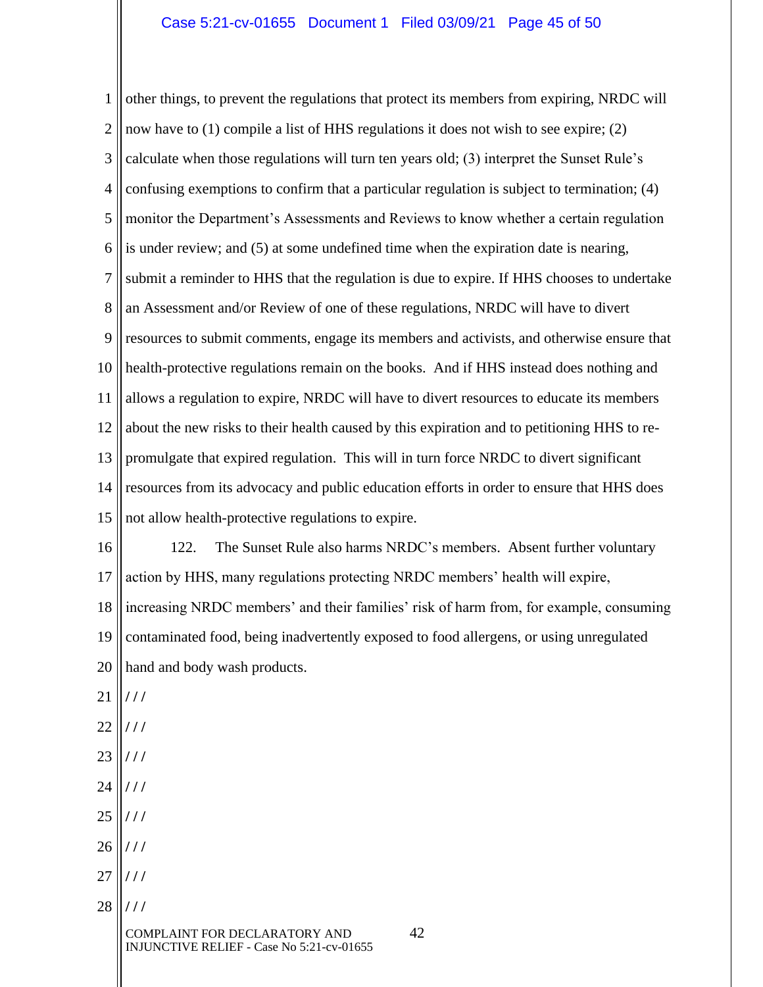1 2 3 4 5 6 7 8 9 10 11 12 13 14 15 16 17 18 19 20 21 22 23 24 25 26 27 28 other things, to prevent the regulations that protect its members from expiring, NRDC will now have to (1) compile a list of HHS regulations it does not wish to see expire; (2) calculate when those regulations will turn ten years old; (3) interpret the Sunset Rule's confusing exemptions to confirm that a particular regulation is subject to termination; (4) monitor the Department's Assessments and Reviews to know whether a certain regulation is under review; and (5) at some undefined time when the expiration date is nearing, submit a reminder to HHS that the regulation is due to expire. If HHS chooses to undertake an Assessment and/or Review of one of these regulations, NRDC will have to divert resources to submit comments, engage its members and activists, and otherwise ensure that health-protective regulations remain on the books. And if HHS instead does nothing and allows a regulation to expire, NRDC will have to divert resources to educate its members about the new risks to their health caused by this expiration and to petitioning HHS to repromulgate that expired regulation. This will in turn force NRDC to divert significant resources from its advocacy and public education efforts in order to ensure that HHS does not allow health-protective regulations to expire. 122. The Sunset Rule also harms NRDC's members. Absent further voluntary action by HHS, many regulations protecting NRDC members' health will expire, increasing NRDC members' and their families' risk of harm from, for example, consuming contaminated food, being inadvertently exposed to food allergens, or using unregulated hand and body wash products. **/ / / / / / / / / / / / / / / / / / / / / / / /**

COMPLAINT FOR DECLARATORY AND 42 INJUNCTIVE RELIEF - Case No 5:21-cv-01655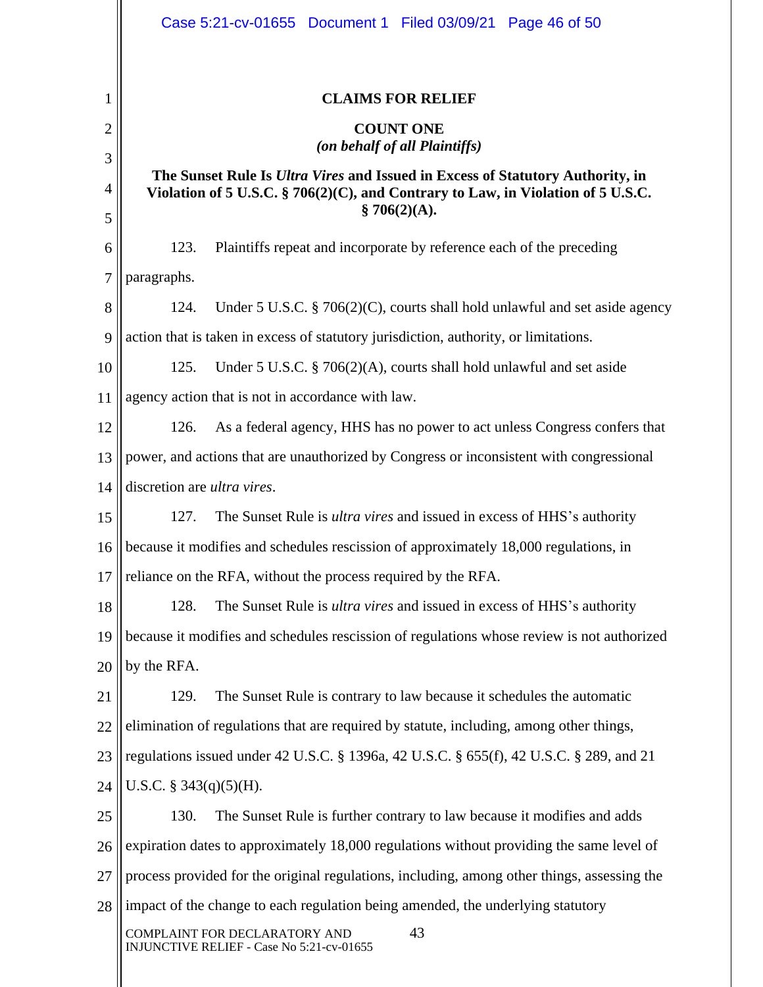|                | Case 5:21-cv-01655 Document 1 Filed 03/09/21 Page 46 of 50                                                                                                                                |  |  |
|----------------|-------------------------------------------------------------------------------------------------------------------------------------------------------------------------------------------|--|--|
| 1              | <b>CLAIMS FOR RELIEF</b>                                                                                                                                                                  |  |  |
| $\overline{c}$ | <b>COUNT ONE</b>                                                                                                                                                                          |  |  |
| 3              | (on behalf of all Plaintiffs)                                                                                                                                                             |  |  |
| 4<br>5         | The Sunset Rule Is <i>Ultra Vires</i> and Issued in Excess of Statutory Authority, in<br>Violation of 5 U.S.C. § 706(2)(C), and Contrary to Law, in Violation of 5 U.S.C.<br>\$706(2)(A). |  |  |
| 6              | 123.<br>Plaintiffs repeat and incorporate by reference each of the preceding                                                                                                              |  |  |
| 7              | paragraphs.                                                                                                                                                                               |  |  |
| 8              | Under 5 U.S.C. $\S$ 706(2)(C), courts shall hold unlawful and set aside agency<br>124.                                                                                                    |  |  |
| 9              | action that is taken in excess of statutory jurisdiction, authority, or limitations.                                                                                                      |  |  |
| 10             | Under 5 U.S.C. $\S$ 706(2)(A), courts shall hold unlawful and set aside<br>125.                                                                                                           |  |  |
| 11             | agency action that is not in accordance with law.                                                                                                                                         |  |  |
| 12             | 126.<br>As a federal agency, HHS has no power to act unless Congress confers that                                                                                                         |  |  |
| 13             | power, and actions that are unauthorized by Congress or inconsistent with congressional                                                                                                   |  |  |
| 14             | discretion are ultra vires.                                                                                                                                                               |  |  |
| 15             | The Sunset Rule is <i>ultra vires</i> and issued in excess of HHS's authority<br>127.                                                                                                     |  |  |
| 16             | because it modifies and schedules rescission of approximately 18,000 regulations, in                                                                                                      |  |  |
| 17             | reliance on the RFA, without the process required by the RFA.                                                                                                                             |  |  |
| 18             | The Sunset Rule is <i>ultra vires</i> and issued in excess of HHS's authority<br>128.                                                                                                     |  |  |
| 19             | because it modifies and schedules rescission of regulations whose review is not authorized                                                                                                |  |  |
| 20             | by the RFA.                                                                                                                                                                               |  |  |
| 21             | The Sunset Rule is contrary to law because it schedules the automatic<br>129.                                                                                                             |  |  |
| 22             | elimination of regulations that are required by statute, including, among other things,                                                                                                   |  |  |
| 23             | regulations issued under 42 U.S.C. § 1396a, 42 U.S.C. § 655(f), 42 U.S.C. § 289, and 21                                                                                                   |  |  |
| 24             | U.S.C. $\S$ 343(q)(5)(H).                                                                                                                                                                 |  |  |
| 25             | The Sunset Rule is further contrary to law because it modifies and adds<br>130.                                                                                                           |  |  |
| 26             | expiration dates to approximately 18,000 regulations without providing the same level of                                                                                                  |  |  |
| 27             | process provided for the original regulations, including, among other things, assessing the                                                                                               |  |  |
| 28             | impact of the change to each regulation being amended, the underlying statutory                                                                                                           |  |  |
|                | 43<br>COMPLAINT FOR DECLARATORY AND<br>INJUNCTIVE RELIEF - Case No 5:21-cv-01655                                                                                                          |  |  |
|                |                                                                                                                                                                                           |  |  |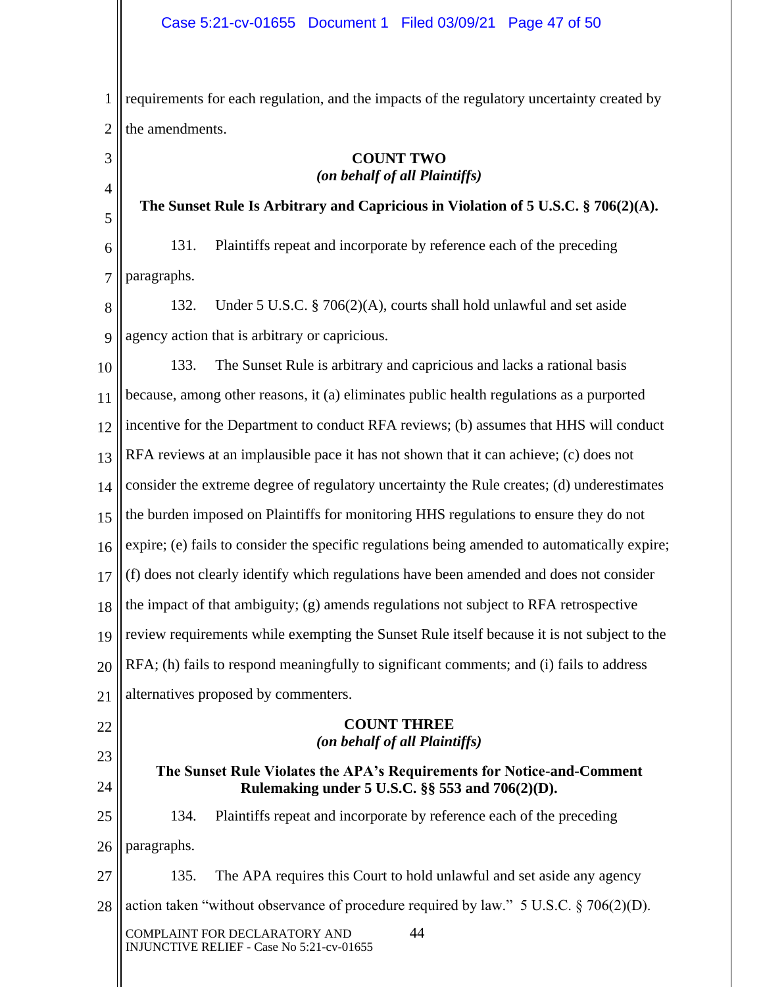1 2 requirements for each regulation, and the impacts of the regulatory uncertainty created by the amendments.

# **COUNT TWO** *(on behalf of all Plaintiffs)*

**The Sunset Rule Is Arbitrary and Capricious in Violation of 5 U.S.C. § 706(2)(A).**

6 7 131. Plaintiffs repeat and incorporate by reference each of the preceding paragraphs.

3

4

5

22

23

24

8 9 132. Under 5 U.S.C. § 706(2)(A), courts shall hold unlawful and set aside agency action that is arbitrary or capricious.

10 11 12 13 14 15 16 17 18 19 20 21 133. The Sunset Rule is arbitrary and capricious and lacks a rational basis because, among other reasons, it (a) eliminates public health regulations as a purported incentive for the Department to conduct RFA reviews; (b) assumes that HHS will conduct RFA reviews at an implausible pace it has not shown that it can achieve; (c) does not consider the extreme degree of regulatory uncertainty the Rule creates; (d) underestimates the burden imposed on Plaintiffs for monitoring HHS regulations to ensure they do not expire; (e) fails to consider the specific regulations being amended to automatically expire; (f) does not clearly identify which regulations have been amended and does not consider the impact of that ambiguity; (g) amends regulations not subject to RFA retrospective review requirements while exempting the Sunset Rule itself because it is not subject to the RFA; (h) fails to respond meaningfully to significant comments; and (i) fails to address alternatives proposed by commenters.

## **COUNT THREE** *(on behalf of all Plaintiffs)*

# **The Sunset Rule Violates the APA's Requirements for Notice-and-Comment Rulemaking under 5 U.S.C. §§ 553 and 706(2)(D).**

25 26 134. Plaintiffs repeat and incorporate by reference each of the preceding paragraphs.

27 28 135. The APA requires this Court to hold unlawful and set aside any agency action taken "without observance of procedure required by law." 5 U.S.C.  $\S$  706(2)(D).

COMPLAINT FOR DECLARATORY AND 44 INJUNCTIVE RELIEF - Case No 5:21-cv-01655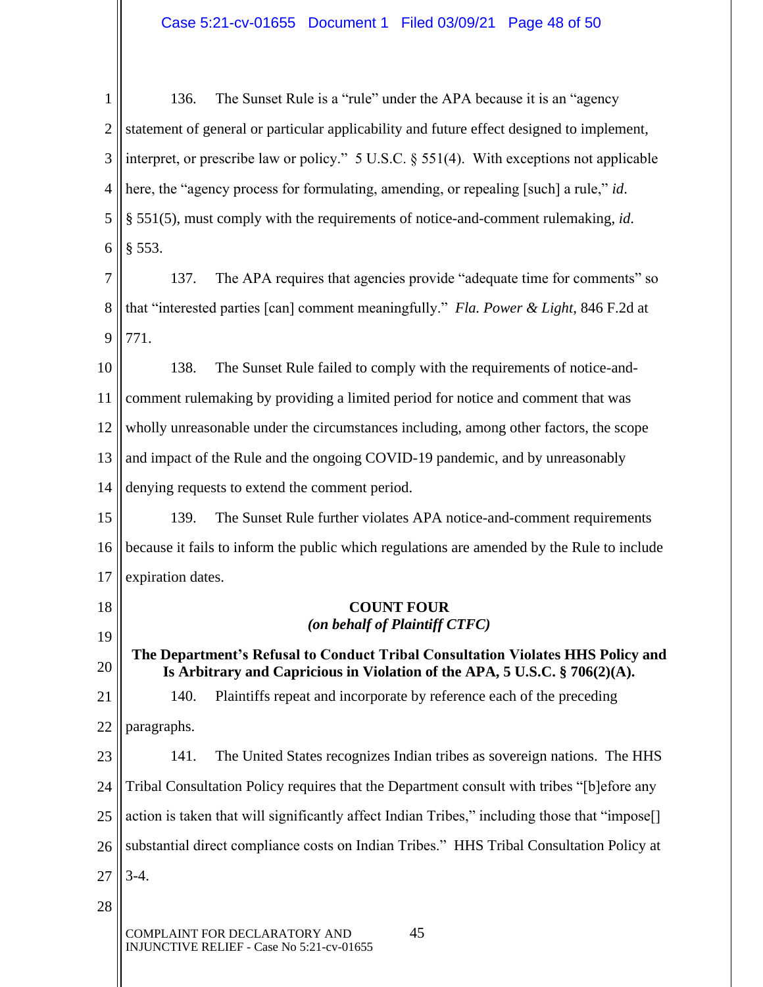# Case 5:21-cv-01655 Document 1 Filed 03/09/21 Page 48 of 50

1 2 3 4 5 6 136. The Sunset Rule is a "rule" under the APA because it is an "agency statement of general or particular applicability and future effect designed to implement, interpret, or prescribe law or policy." 5 U.S.C. § 551(4). With exceptions not applicable here, the "agency process for formulating, amending, or repealing [such] a rule," *id*. § 551(5), must comply with the requirements of notice-and-comment rulemaking, *id*. § 553.

7 8 9 137. The APA requires that agencies provide "adequate time for comments" so that "interested parties [can] comment meaningfully." *Fla. Power & Light*, 846 F.2d at 771.

10 11 12 13 14 138. The Sunset Rule failed to comply with the requirements of notice-andcomment rulemaking by providing a limited period for notice and comment that was wholly unreasonable under the circumstances including, among other factors, the scope and impact of the Rule and the ongoing COVID-19 pandemic, and by unreasonably denying requests to extend the comment period.

15 16 17 139. The Sunset Rule further violates APA notice-and-comment requirements because it fails to inform the public which regulations are amended by the Rule to include expiration dates.

> **COUNT FOUR** *(on behalf of Plaintiff CTFC)*

**The Department's Refusal to Conduct Tribal Consultation Violates HHS Policy and Is Arbitrary and Capricious in Violation of the APA, 5 U.S.C. § 706(2)(A).**

21 22 140. Plaintiffs repeat and incorporate by reference each of the preceding paragraphs.

23 24 25 26 27 141. The United States recognizes Indian tribes as sovereign nations. The HHS Tribal Consultation Policy requires that the Department consult with tribes "[b]efore any action is taken that will significantly affect Indian Tribes," including those that "impose<sup>[]</sup> substantial direct compliance costs on Indian Tribes." HHS Tribal Consultation Policy at 3-4.

28

18

19

20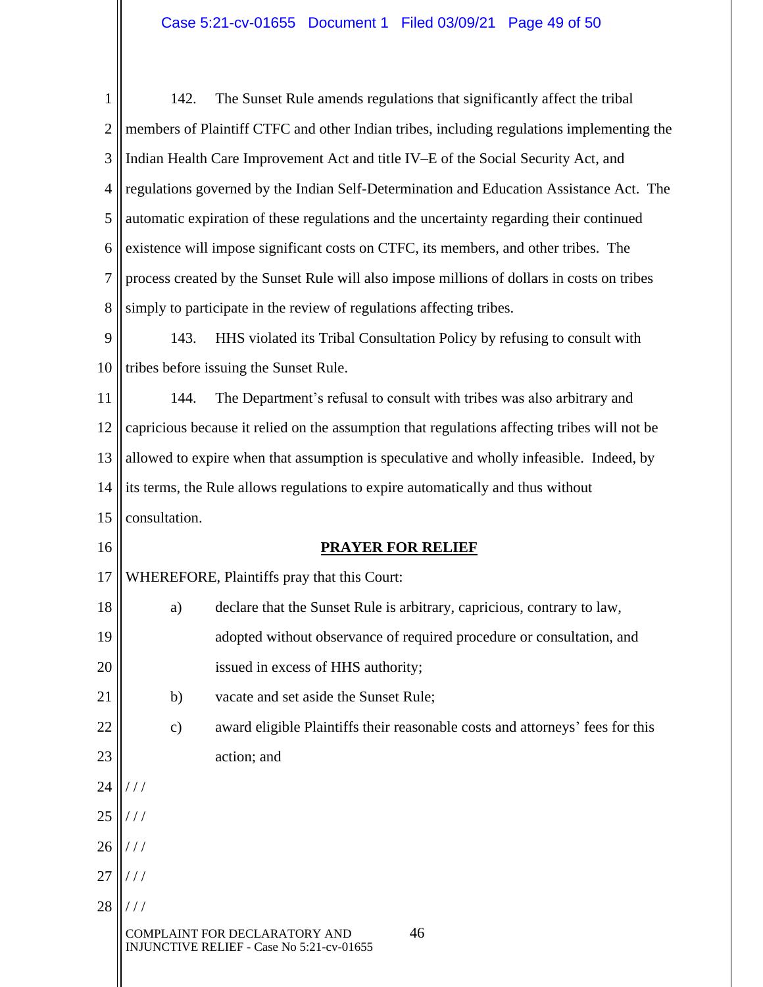# Case 5:21-cv-01655 Document 1 Filed 03/09/21 Page 49 of 50

| $\mathbf{1}$   | 142.                                                                                       | The Sunset Rule amends regulations that significantly affect the tribal                      |  |
|----------------|--------------------------------------------------------------------------------------------|----------------------------------------------------------------------------------------------|--|
| $\overline{2}$ |                                                                                            | members of Plaintiff CTFC and other Indian tribes, including regulations implementing the    |  |
| 3              |                                                                                            | Indian Health Care Improvement Act and title IV-E of the Social Security Act, and            |  |
| $\overline{4}$ | regulations governed by the Indian Self-Determination and Education Assistance Act. The    |                                                                                              |  |
| 5              | automatic expiration of these regulations and the uncertainty regarding their continued    |                                                                                              |  |
| 6              | existence will impose significant costs on CTFC, its members, and other tribes. The        |                                                                                              |  |
| 7              | process created by the Sunset Rule will also impose millions of dollars in costs on tribes |                                                                                              |  |
| 8              |                                                                                            | simply to participate in the review of regulations affecting tribes.                         |  |
| 9              | 143.                                                                                       | HHS violated its Tribal Consultation Policy by refusing to consult with                      |  |
| 10             |                                                                                            | tribes before issuing the Sunset Rule.                                                       |  |
| 11             | 144.                                                                                       | The Department's refusal to consult with tribes was also arbitrary and                       |  |
| 12             |                                                                                            | capricious because it relied on the assumption that regulations affecting tribes will not be |  |
| 13             | allowed to expire when that assumption is speculative and wholly infeasible. Indeed, by    |                                                                                              |  |
| 14             | its terms, the Rule allows regulations to expire automatically and thus without            |                                                                                              |  |
| 15             | consultation.                                                                              |                                                                                              |  |
| 16             |                                                                                            | <b>PRAYER FOR RELIEF</b>                                                                     |  |
| 17             |                                                                                            | WHEREFORE, Plaintiffs pray that this Court:                                                  |  |
| 18             | a)                                                                                         | declare that the Sunset Rule is arbitrary, capricious, contrary to law,                      |  |
| 19             |                                                                                            | adopted without observance of required procedure or consultation, and                        |  |
| 20             |                                                                                            | issued in excess of HHS authority;                                                           |  |
| 21             | b)                                                                                         | vacate and set aside the Sunset Rule;                                                        |  |
| 22             | $\mathbf{c})$                                                                              | award eligible Plaintiffs their reasonable costs and attorneys' fees for this                |  |
| 23             |                                                                                            | action; and                                                                                  |  |
| 24             |                                                                                            |                                                                                              |  |
| 25             |                                                                                            |                                                                                              |  |
| 26             |                                                                                            |                                                                                              |  |
| 27             |                                                                                            |                                                                                              |  |
| 28             |                                                                                            |                                                                                              |  |
|                |                                                                                            | 46<br>AINT FOR DECLARATORY AND<br>INJUNCTIVE RELIEF - Case No 5:21-cv-01655                  |  |